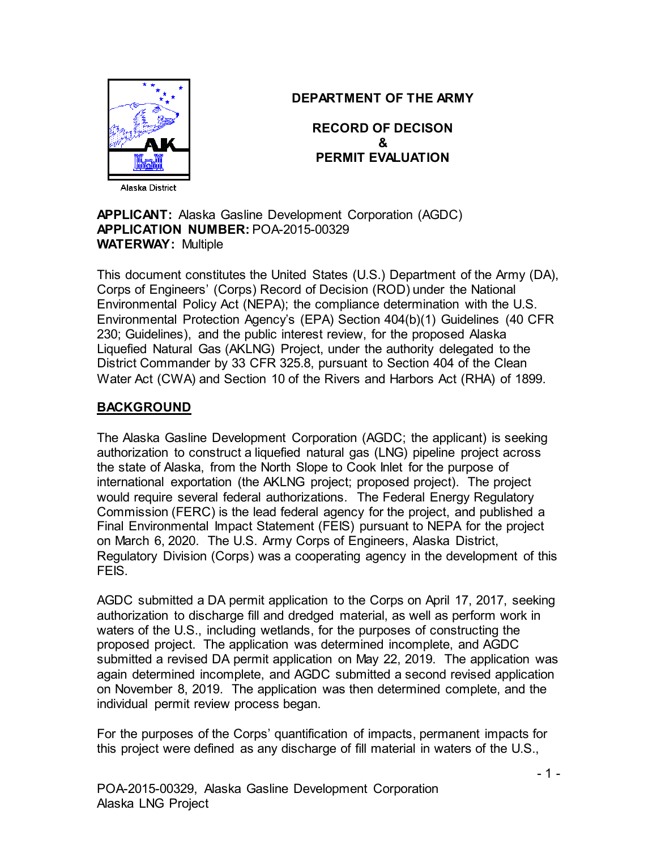

# **DEPARTMENT OF THE ARMY**

**RECORD OF DECISON & PERMIT EVALUATION**

**APPLICANT:** Alaska Gasline Development Corporation (AGDC) **APPLICATION NUMBER:** POA-2015-00329 **WATERWAY:** Multiple

This document constitutes the United States (U.S.) Department of the Army (DA), Corps of Engineers' (Corps) Record of Decision (ROD) under the National Environmental Policy Act (NEPA); the compliance determination with the U.S. Environmental Protection Agency's (EPA) Section 404(b)(1) Guidelines (40 CFR 230; Guidelines), and the public interest review, for the proposed Alaska Liquefied Natural Gas (AKLNG) Project, under the authority delegated to the District Commander by 33 CFR 325.8, pursuant to Section 404 of the Clean Water Act (CWA) and Section 10 of the Rivers and Harbors Act (RHA) of 1899.

## **BACKGROUND**

The Alaska Gasline Development Corporation (AGDC; the applicant) is seeking authorization to construct a liquefied natural gas (LNG) pipeline project across the state of Alaska, from the North Slope to Cook Inlet for the purpose of international exportation (the AKLNG project; proposed project). The project would require several federal authorizations. The Federal Energy Regulatory Commission (FERC) is the lead federal agency for the project, and published a Final Environmental Impact Statement (FEIS) pursuant to NEPA for the project on March 6, 2020. The U.S. Army Corps of Engineers, Alaska District, Regulatory Division (Corps) was a cooperating agency in the development of this FEIS.

AGDC submitted a DA permit application to the Corps on April 17, 2017, seeking authorization to discharge fill and dredged material, as well as perform work in waters of the U.S., including wetlands, for the purposes of constructing the proposed project. The application was determined incomplete, and AGDC submitted a revised DA permit application on May 22, 2019. The application was again determined incomplete, and AGDC submitted a second revised application on November 8, 2019. The application was then determined complete, and the individual permit review process began.

For the purposes of the Corps' quantification of impacts, permanent impacts for this project were defined as any discharge of fill material in waters of the U.S.,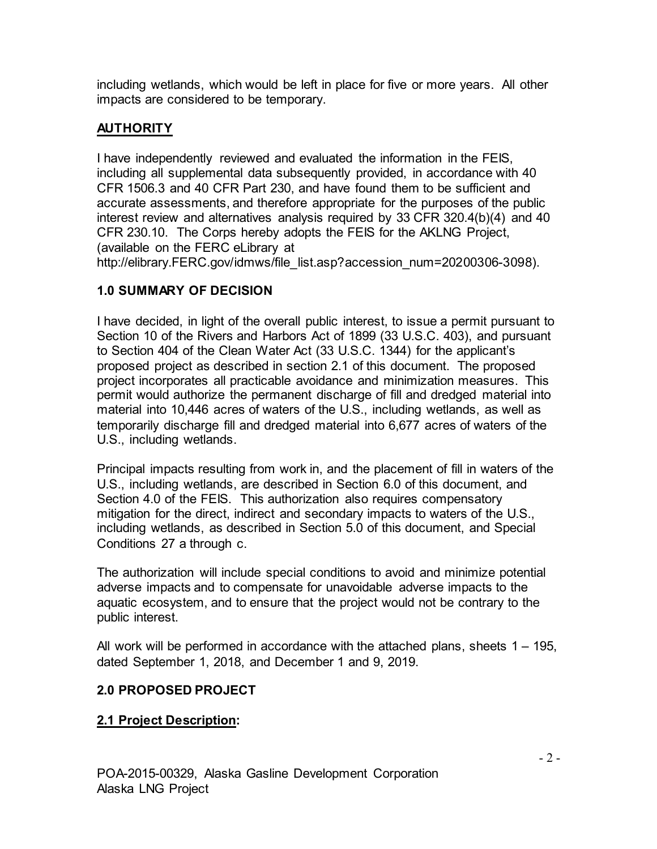including wetlands, which would be left in place for five or more years. All other impacts are considered to be temporary.

# **AUTHORITY**

I have independently reviewed and evaluated the information in the FEIS, including all supplemental data subsequently provided, in accordance with 40 CFR 1506.3 and 40 CFR Part 230, and have found them to be sufficient and accurate assessments, and therefore appropriate for the purposes of the public interest review and alternatives analysis required by 33 CFR 320.4(b)(4) and 40 CFR 230.10. The Corps hereby adopts the FEIS for the AKLNG Project, (available on the FERC eLibrary at

http://elibrary.FERC.gov/idmws/file\_list.asp?accession\_num=20200306-3098).

# **1.0 SUMMARY OF DECISION**

I have decided, in light of the overall public interest, to issue a permit pursuant to Section 10 of the Rivers and Harbors Act of 1899 (33 U.S.C. 403), and pursuant to Section 404 of the Clean Water Act (33 U.S.C. 1344) for the applicant's proposed project as described in section 2.1 of this document. The proposed project incorporates all practicable avoidance and minimization measures. This permit would authorize the permanent discharge of fill and dredged material into material into 10,446 acres of waters of the U.S., including wetlands, as well as temporarily discharge fill and dredged material into 6,677 acres of waters of the U.S., including wetlands.

Principal impacts resulting from work in, and the placement of fill in waters of the U.S., including wetlands, are described in Section 6.0 of this document, and Section 4.0 of the FEIS. This authorization also requires compensatory mitigation for the direct, indirect and secondary impacts to waters of the U.S., including wetlands, as described in Section 5.0 of this document, and Special Conditions 27 a through c.

The authorization will include special conditions to avoid and minimize potential adverse impacts and to compensate for unavoidable adverse impacts to the aquatic ecosystem, and to ensure that the project would not be contrary to the public interest.

All work will be performed in accordance with the attached plans, sheets 1 – 195, dated September 1, 2018, and December 1 and 9, 2019.

# **2.0 PROPOSED PROJECT**

# **2.1 Project Description:**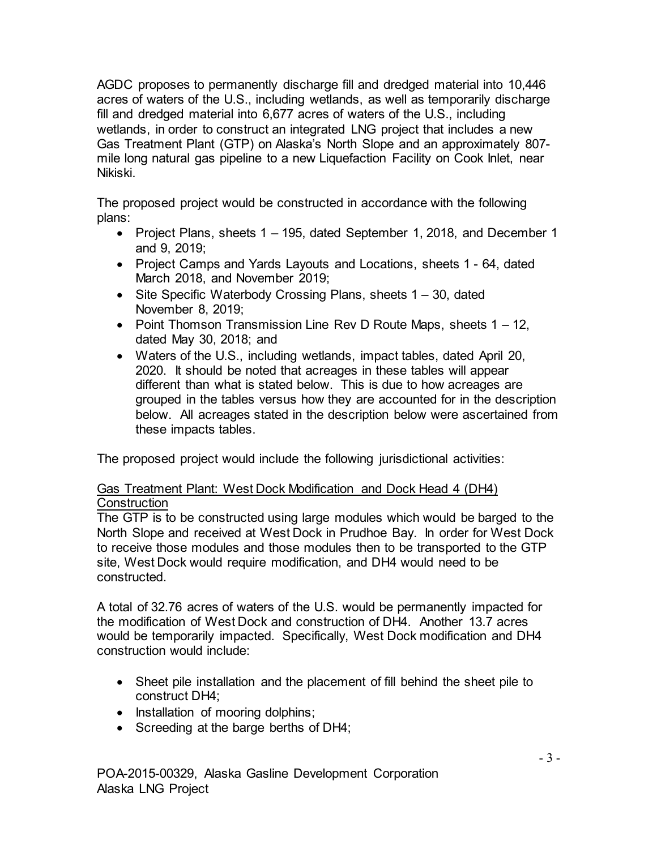AGDC proposes to permanently discharge fill and dredged material into 10,446 acres of waters of the U.S., including wetlands, as well as temporarily discharge fill and dredged material into 6,677 acres of waters of the U.S., including wetlands, in order to construct an integrated LNG project that includes a new Gas Treatment Plant (GTP) on Alaska's North Slope and an approximately 807 mile long natural gas pipeline to a new Liquefaction Facility on Cook Inlet, near Nikiski.

The proposed project would be constructed in accordance with the following plans:

- Project Plans, sheets 1 195, dated September 1, 2018, and December 1 and 9, 2019;
- Project Camps and Yards Layouts and Locations, sheets 1 64, dated March 2018, and November 2019;
- Site Specific Waterbody Crossing Plans, sheets 1 30, dated November 8, 2019;
- Point Thomson Transmission Line Rev D Route Maps, sheets 1 12, dated May 30, 2018; and
- Waters of the U.S., including wetlands, impact tables, dated April 20, 2020. It should be noted that acreages in these tables will appear different than what is stated below. This is due to how acreages are grouped in the tables versus how they are accounted for in the description below. All acreages stated in the description below were ascertained from these impacts tables.

The proposed project would include the following jurisdictional activities:

#### Gas Treatment Plant: West Dock Modification and Dock Head 4 (DH4) **Construction**

The GTP is to be constructed using large modules which would be barged to the North Slope and received at West Dock in Prudhoe Bay. In order for West Dock to receive those modules and those modules then to be transported to the GTP site, West Dock would require modification, and DH4 would need to be constructed.

A total of 32.76 acres of waters of the U.S. would be permanently impacted for the modification of West Dock and construction of DH4. Another 13.7 acres would be temporarily impacted. Specifically, West Dock modification and DH4 construction would include:

- Sheet pile installation and the placement of fill behind the sheet pile to construct DH4;
- Installation of mooring dolphins;
- Screeding at the barge berths of DH4;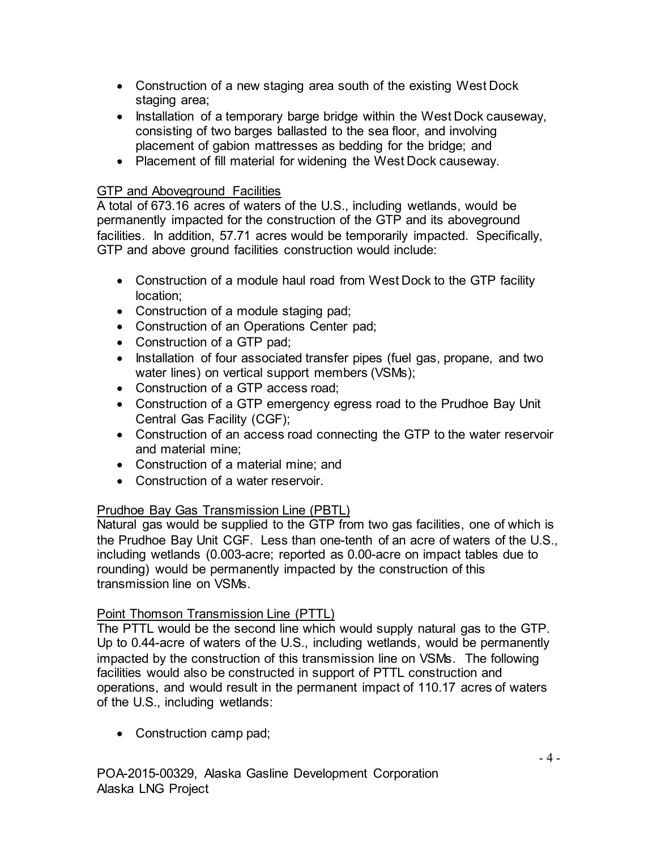- Construction of a new staging area south of the existing West Dock staging area;
- Installation of a temporary barge bridge within the West Dock causeway, consisting of two barges ballasted to the sea floor, and involving placement of gabion mattresses as bedding for the bridge; and
- Placement of fill material for widening the West Dock causeway.

## GTP and Aboveground Facilities

A total of 673.16 acres of waters of the U.S., including wetlands, would be permanently impacted for the construction of the GTP and its aboveground facilities. In addition, 57.71 acres would be temporarily impacted. Specifically, GTP and above ground facilities construction would include:

- Construction of a module haul road from West Dock to the GTP facility location;
- Construction of a module staging pad;
- Construction of an Operations Center pad;
- Construction of a GTP pad;
- Installation of four associated transfer pipes (fuel gas, propane, and two water lines) on vertical support members (VSMs);
- Construction of a GTP access road;
- Construction of a GTP emergency egress road to the Prudhoe Bay Unit Central Gas Facility (CGF);
- Construction of an access road connecting the GTP to the water reservoir and material mine;
- Construction of a material mine; and
- Construction of a water reservoir.

## Prudhoe Bay Gas Transmission Line (PBTL)

Natural gas would be supplied to the GTP from two gas facilities, one of which is the Prudhoe Bay Unit CGF. Less than one-tenth of an acre of waters of the U.S., including wetlands (0.003-acre; reported as 0.00-acre on impact tables due to rounding) would be permanently impacted by the construction of this transmission line on VSMs.

## Point Thomson Transmission Line (PTTL)

The PTTL would be the second line which would supply natural gas to the GTP. Up to 0.44-acre of waters of the U.S., including wetlands, would be permanently impacted by the construction of this transmission line on VSMs. The following facilities would also be constructed in support of PTTL construction and operations, and would result in the permanent impact of 110.17 acres of waters of the U.S., including wetlands:

• Construction camp pad;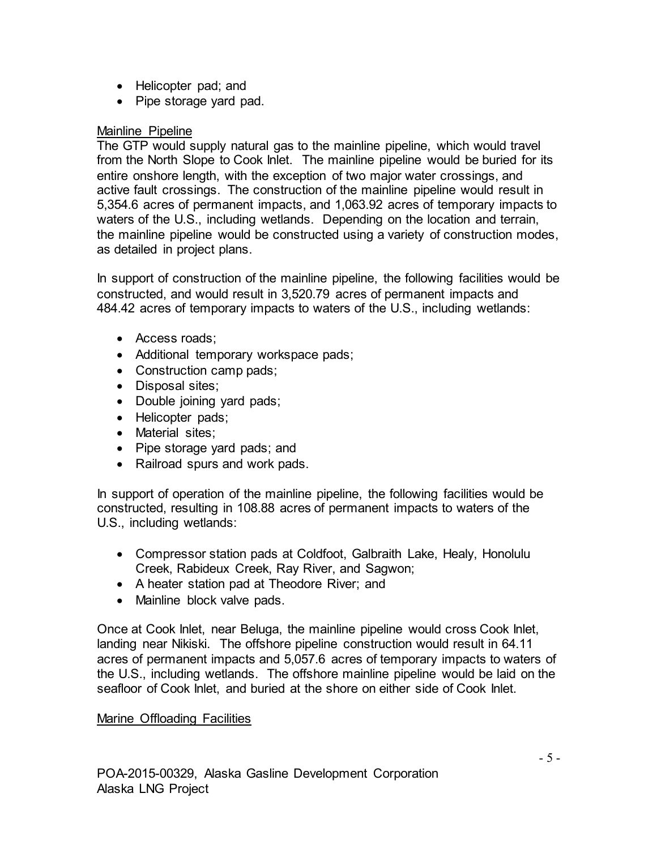- Helicopter pad; and
- Pipe storage yard pad.

## Mainline Pipeline

The GTP would supply natural gas to the mainline pipeline, which would travel from the North Slope to Cook Inlet. The mainline pipeline would be buried for its entire onshore length, with the exception of two major water crossings, and active fault crossings. The construction of the mainline pipeline would result in 5,354.6 acres of permanent impacts, and 1,063.92 acres of temporary impacts to waters of the U.S., including wetlands. Depending on the location and terrain, the mainline pipeline would be constructed using a variety of construction modes, as detailed in project plans.

In support of construction of the mainline pipeline, the following facilities would be constructed, and would result in 3,520.79 acres of permanent impacts and 484.42 acres of temporary impacts to waters of the U.S., including wetlands:

- Access roads;
- Additional temporary workspace pads;
- Construction camp pads;
- Disposal sites;
- Double joining yard pads;
- Helicopter pads;
- Material sites:
- Pipe storage yard pads; and
- Railroad spurs and work pads.

In support of operation of the mainline pipeline, the following facilities would be constructed, resulting in 108.88 acres of permanent impacts to waters of the U.S., including wetlands:

- Compressor station pads at Coldfoot, Galbraith Lake, Healy, Honolulu Creek, Rabideux Creek, Ray River, and Sagwon;
- A heater station pad at Theodore River; and
- Mainline block valve pads.

Once at Cook Inlet, near Beluga, the mainline pipeline would cross Cook Inlet, landing near Nikiski. The offshore pipeline construction would result in 64.11 acres of permanent impacts and 5,057.6 acres of temporary impacts to waters of the U.S., including wetlands. The offshore mainline pipeline would be laid on the seafloor of Cook Inlet, and buried at the shore on either side of Cook Inlet.

## Marine Offloading Facilities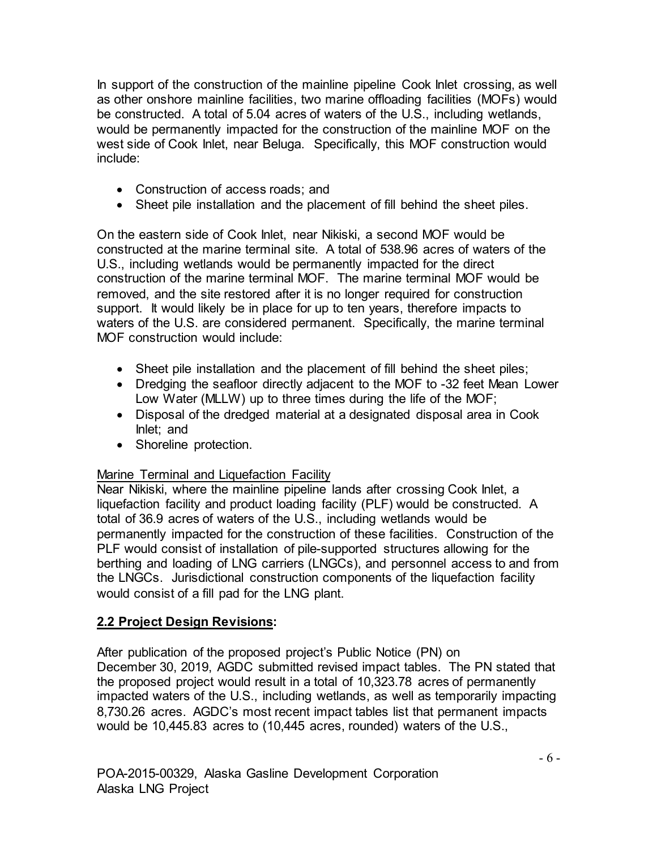In support of the construction of the mainline pipeline Cook Inlet crossing, as well as other onshore mainline facilities, two marine offloading facilities (MOFs) would be constructed. A total of 5.04 acres of waters of the U.S., including wetlands, would be permanently impacted for the construction of the mainline MOF on the west side of Cook Inlet, near Beluga. Specifically, this MOF construction would include:

- Construction of access roads; and
- Sheet pile installation and the placement of fill behind the sheet piles.

On the eastern side of Cook Inlet, near Nikiski, a second MOF would be constructed at the marine terminal site. A total of 538.96 acres of waters of the U.S., including wetlands would be permanently impacted for the direct construction of the marine terminal MOF. The marine terminal MOF would be removed, and the site restored after it is no longer required for construction support. It would likely be in place for up to ten years, therefore impacts to waters of the U.S. are considered permanent. Specifically, the marine terminal MOF construction would include:

- Sheet pile installation and the placement of fill behind the sheet piles;
- Dredging the seafloor directly adjacent to the MOF to -32 feet Mean Lower Low Water (MLLW) up to three times during the life of the MOF;
- Disposal of the dredged material at a designated disposal area in Cook Inlet; and
- Shoreline protection.

# Marine Terminal and Liquefaction Facility

Near Nikiski, where the mainline pipeline lands after crossing Cook Inlet, a liquefaction facility and product loading facility (PLF) would be constructed. A total of 36.9 acres of waters of the U.S., including wetlands would be permanently impacted for the construction of these facilities. Construction of the PLF would consist of installation of pile-supported structures allowing for the berthing and loading of LNG carriers (LNGCs), and personnel access to and from the LNGCs. Jurisdictional construction components of the liquefaction facility would consist of a fill pad for the LNG plant.

# **2.2 Project Design Revisions:**

After publication of the proposed project's Public Notice (PN) on December 30, 2019, AGDC submitted revised impact tables. The PN stated that the proposed project would result in a total of 10,323.78 acres of permanently impacted waters of the U.S., including wetlands, as well as temporarily impacting 8,730.26 acres. AGDC's most recent impact tables list that permanent impacts would be 10,445.83 acres to (10,445 acres, rounded) waters of the U.S.,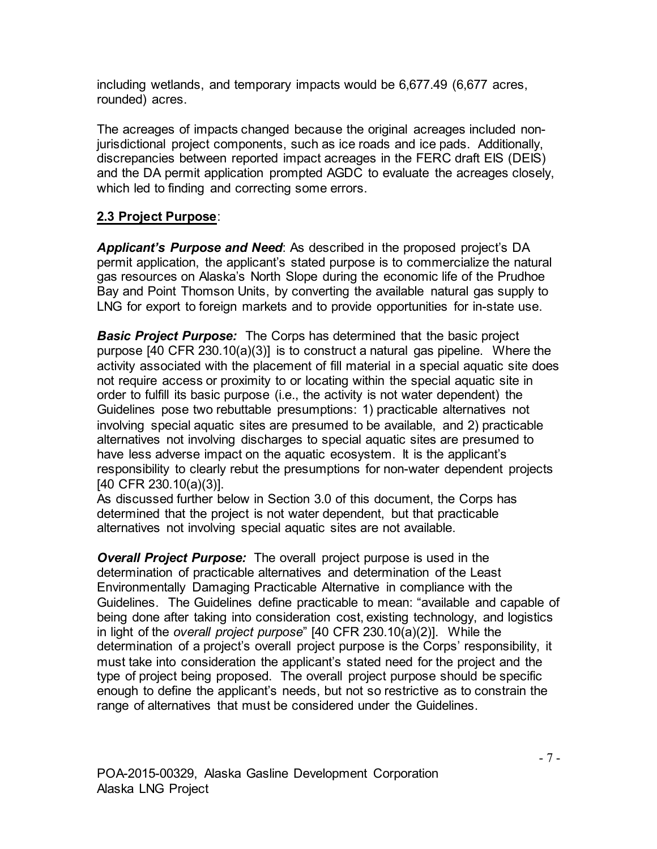including wetlands, and temporary impacts would be 6,677.49 (6,677 acres, rounded) acres.

The acreages of impacts changed because the original acreages included nonjurisdictional project components, such as ice roads and ice pads. Additionally, discrepancies between reported impact acreages in the FERC draft EIS (DEIS) and the DA permit application prompted AGDC to evaluate the acreages closely, which led to finding and correcting some errors.

# **2.3 Project Purpose**:

*Applicant's Purpose and Need*: As described in the proposed project's DA permit application, the applicant's stated purpose is to commercialize the natural gas resources on Alaska's North Slope during the economic life of the Prudhoe Bay and Point Thomson Units, by converting the available natural gas supply to LNG for export to foreign markets and to provide opportunities for in-state use.

*Basic Project Purpose:* The Corps has determined that the basic project purpose [40 CFR 230.10(a)(3)] is to construct a natural gas pipeline. Where the activity associated with the placement of fill material in a special aquatic site does not require access or proximity to or locating within the special aquatic site in order to fulfill its basic purpose (i.e., the activity is not water dependent) the Guidelines pose two rebuttable presumptions: 1) practicable alternatives not involving special aquatic sites are presumed to be available, and 2) practicable alternatives not involving discharges to special aquatic sites are presumed to have less adverse impact on the aquatic ecosystem. It is the applicant's responsibility to clearly rebut the presumptions for non-water dependent projects [40 CFR 230.10(a)(3)].

As discussed further below in Section 3.0 of this document, the Corps has determined that the project is not water dependent, but that practicable alternatives not involving special aquatic sites are not available.

*Overall Project Purpose:* The overall project purpose is used in the determination of practicable alternatives and determination of the Least Environmentally Damaging Practicable Alternative in compliance with the Guidelines. The Guidelines define practicable to mean: "available and capable of being done after taking into consideration cost, existing technology, and logistics in light of the *overall project purpose*" [40 CFR 230.10(a)(2)]. While the determination of a project's overall project purpose is the Corps' responsibility, it must take into consideration the applicant's stated need for the project and the type of project being proposed. The overall project purpose should be specific enough to define the applicant's needs, but not so restrictive as to constrain the range of alternatives that must be considered under the Guidelines.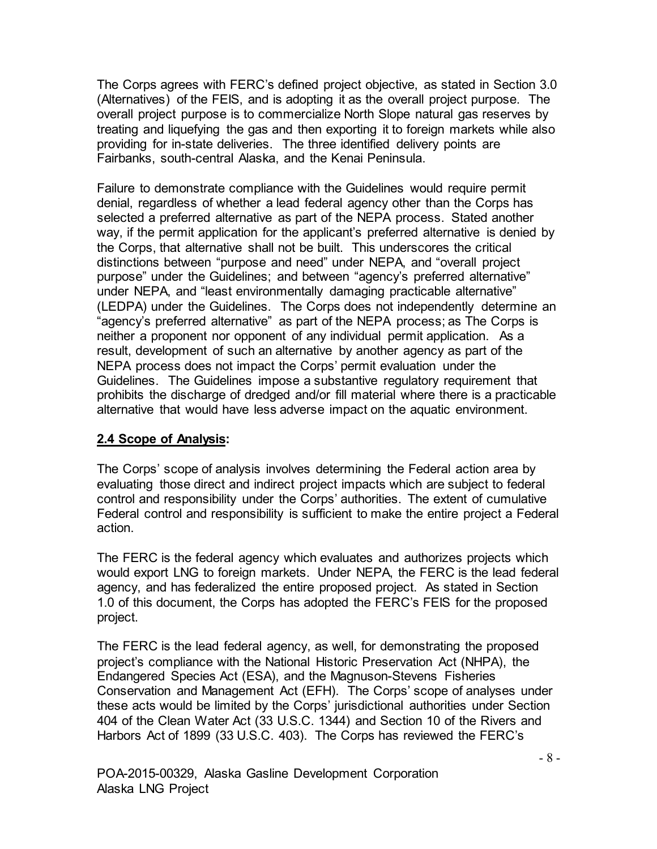The Corps agrees with FERC's defined project objective, as stated in Section 3.0 (Alternatives) of the FEIS, and is adopting it as the overall project purpose. The overall project purpose is to commercialize North Slope natural gas reserves by treating and liquefying the gas and then exporting it to foreign markets while also providing for in-state deliveries. The three identified delivery points are Fairbanks, south-central Alaska, and the Kenai Peninsula.

Failure to demonstrate compliance with the Guidelines would require permit denial, regardless of whether a lead federal agency other than the Corps has selected a preferred alternative as part of the NEPA process. Stated another way, if the permit application for the applicant's preferred alternative is denied by the Corps, that alternative shall not be built. This underscores the critical distinctions between "purpose and need" under NEPA, and "overall project purpose" under the Guidelines; and between "agency's preferred alternative" under NEPA, and "least environmentally damaging practicable alternative" (LEDPA) under the Guidelines. The Corps does not independently determine an "agency's preferred alternative" as part of the NEPA process; as The Corps is neither a proponent nor opponent of any individual permit application. As a result, development of such an alternative by another agency as part of the NEPA process does not impact the Corps' permit evaluation under the Guidelines. The Guidelines impose a substantive regulatory requirement that prohibits the discharge of dredged and/or fill material where there is a practicable alternative that would have less adverse impact on the aquatic environment.

## **2.4 Scope of Analysis:**

The Corps' scope of analysis involves determining the Federal action area by evaluating those direct and indirect project impacts which are subject to federal control and responsibility under the Corps' authorities. The extent of cumulative Federal control and responsibility is sufficient to make the entire project a Federal action.

The FERC is the federal agency which evaluates and authorizes projects which would export LNG to foreign markets. Under NEPA, the FERC is the lead federal agency, and has federalized the entire proposed project. As stated in Section 1.0 of this document, the Corps has adopted the FERC's FEIS for the proposed project.

The FERC is the lead federal agency, as well, for demonstrating the proposed project's compliance with the National Historic Preservation Act (NHPA), the Endangered Species Act (ESA), and the Magnuson-Stevens Fisheries Conservation and Management Act (EFH). The Corps' scope of analyses under these acts would be limited by the Corps' jurisdictional authorities under Section 404 of the Clean Water Act (33 U.S.C. 1344) and Section 10 of the Rivers and Harbors Act of 1899 (33 U.S.C. 403). The Corps has reviewed the FERC's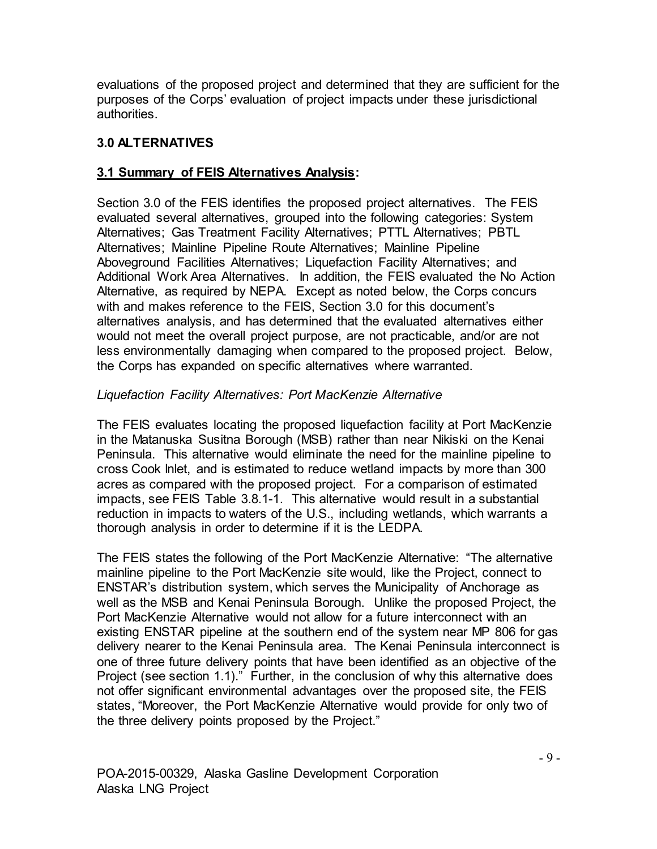evaluations of the proposed project and determined that they are sufficient for the purposes of the Corps' evaluation of project impacts under these jurisdictional authorities.

## **3.0 ALTERNATIVES**

#### **3.1 Summary of FEIS Alternatives Analysis:**

Section 3.0 of the FEIS identifies the proposed project alternatives. The FEIS evaluated several alternatives, grouped into the following categories: System Alternatives; Gas Treatment Facility Alternatives; PTTL Alternatives; PBTL Alternatives; Mainline Pipeline Route Alternatives; Mainline Pipeline Aboveground Facilities Alternatives; Liquefaction Facility Alternatives; and Additional Work Area Alternatives. In addition, the FEIS evaluated the No Action Alternative, as required by NEPA. Except as noted below, the Corps concurs with and makes reference to the FEIS, Section 3.0 for this document's alternatives analysis, and has determined that the evaluated alternatives either would not meet the overall project purpose, are not practicable, and/or are not less environmentally damaging when compared to the proposed project. Below, the Corps has expanded on specific alternatives where warranted.

#### *Liquefaction Facility Alternatives: Port MacKenzie Alternative*

The FEIS evaluates locating the proposed liquefaction facility at Port MacKenzie in the Matanuska Susitna Borough (MSB) rather than near Nikiski on the Kenai Peninsula. This alternative would eliminate the need for the mainline pipeline to cross Cook Inlet, and is estimated to reduce wetland impacts by more than 300 acres as compared with the proposed project. For a comparison of estimated impacts, see FEIS Table 3.8.1-1. This alternative would result in a substantial reduction in impacts to waters of the U.S., including wetlands, which warrants a thorough analysis in order to determine if it is the LEDPA.

The FEIS states the following of the Port MacKenzie Alternative: "The alternative mainline pipeline to the Port MacKenzie site would, like the Project, connect to ENSTAR's distribution system, which serves the Municipality of Anchorage as well as the MSB and Kenai Peninsula Borough. Unlike the proposed Project, the Port MacKenzie Alternative would not allow for a future interconnect with an existing ENSTAR pipeline at the southern end of the system near MP 806 for gas delivery nearer to the Kenai Peninsula area. The Kenai Peninsula interconnect is one of three future delivery points that have been identified as an objective of the Project (see section 1.1)." Further, in the conclusion of why this alternative does not offer significant environmental advantages over the proposed site, the FEIS states, "Moreover, the Port MacKenzie Alternative would provide for only two of the three delivery points proposed by the Project."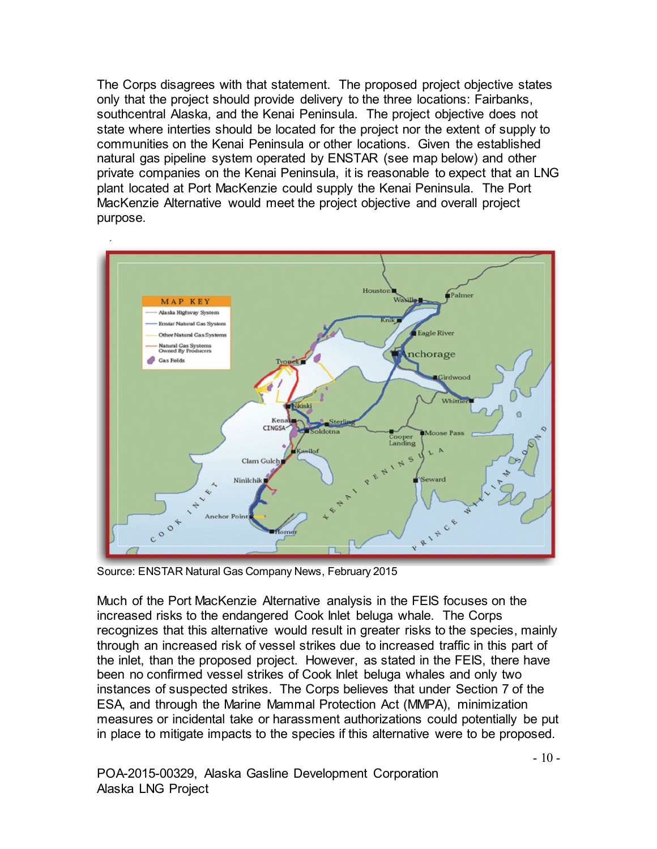The Corps disagrees with that statement. The proposed project objective states only that the project should provide delivery to the three locations: Fairbanks, southcentral Alaska, and the Kenai Peninsula. The project objective does not state where interties should be located for the project nor the extent of supply to communities on the Kenai Peninsula or other locations. Given the established natural gas pipeline system operated by ENSTAR (see map below) and other private companies on the Kenai Peninsula, it is reasonable to expect that an LNG plant located at Port MacKenzie could supply the Kenai Peninsula. The Port MacKenzie Alternative would meet the project objective and overall project purpose.



Source: ENSTAR Natural Gas Company News, February 2015

Much of the Port MacKenzie Alternative analysis in the FEIS focuses on the increased risks to the endangered Cook Inlet beluga whale. The Corps recognizes that this alternative would result in greater risks to the species, mainly through an increased risk of vessel strikes due to increased traffic in this part of the inlet, than the proposed project. However, as stated in the FEIS, there have been no confirmed vessel strikes of Cook Inlet beluga whales and only two instances of suspected strikes. The Corps believes that under Section 7 of the ESA, and through the Marine Mammal Protection Act (MMPA), minimization measures or incidental take or harassment authorizations could potentially be put in place to mitigate impacts to the species if this alternative were to be proposed.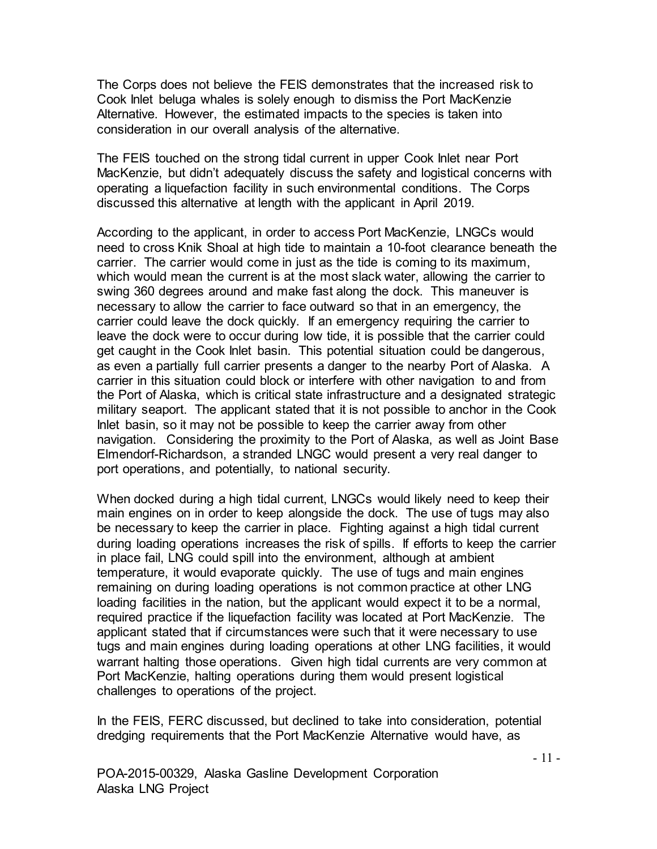The Corps does not believe the FEIS demonstrates that the increased risk to Cook Inlet beluga whales is solely enough to dismiss the Port MacKenzie Alternative. However, the estimated impacts to the species is taken into consideration in our overall analysis of the alternative.

The FEIS touched on the strong tidal current in upper Cook Inlet near Port MacKenzie, but didn't adequately discuss the safety and logistical concerns with operating a liquefaction facility in such environmental conditions. The Corps discussed this alternative at length with the applicant in April 2019.

According to the applicant, in order to access Port MacKenzie, LNGCs would need to cross Knik Shoal at high tide to maintain a 10-foot clearance beneath the carrier. The carrier would come in just as the tide is coming to its maximum, which would mean the current is at the most slack water, allowing the carrier to swing 360 degrees around and make fast along the dock. This maneuver is necessary to allow the carrier to face outward so that in an emergency, the carrier could leave the dock quickly. If an emergency requiring the carrier to leave the dock were to occur during low tide, it is possible that the carrier could get caught in the Cook Inlet basin. This potential situation could be dangerous, as even a partially full carrier presents a danger to the nearby Port of Alaska. A carrier in this situation could block or interfere with other navigation to and from the Port of Alaska, which is critical state infrastructure and a designated strategic military seaport. The applicant stated that it is not possible to anchor in the Cook Inlet basin, so it may not be possible to keep the carrier away from other navigation. Considering the proximity to the Port of Alaska, as well as Joint Base Elmendorf-Richardson, a stranded LNGC would present a very real danger to port operations, and potentially, to national security.

When docked during a high tidal current, LNGCs would likely need to keep their main engines on in order to keep alongside the dock. The use of tugs may also be necessary to keep the carrier in place. Fighting against a high tidal current during loading operations increases the risk of spills. If efforts to keep the carrier in place fail, LNG could spill into the environment, although at ambient temperature, it would evaporate quickly. The use of tugs and main engines remaining on during loading operations is not common practice at other LNG loading facilities in the nation, but the applicant would expect it to be a normal, required practice if the liquefaction facility was located at Port MacKenzie. The applicant stated that if circumstances were such that it were necessary to use tugs and main engines during loading operations at other LNG facilities, it would warrant halting those operations. Given high tidal currents are very common at Port MacKenzie, halting operations during them would present logistical challenges to operations of the project.

In the FEIS, FERC discussed, but declined to take into consideration, potential dredging requirements that the Port MacKenzie Alternative would have, as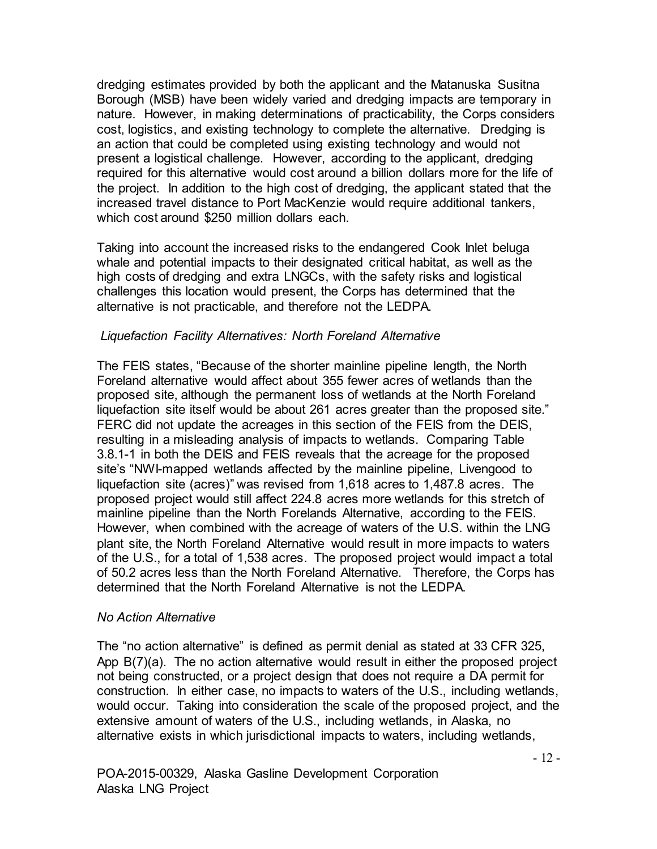dredging estimates provided by both the applicant and the Matanuska Susitna Borough (MSB) have been widely varied and dredging impacts are temporary in nature. However, in making determinations of practicability, the Corps considers cost, logistics, and existing technology to complete the alternative. Dredging is an action that could be completed using existing technology and would not present a logistical challenge. However, according to the applicant, dredging required for this alternative would cost around a billion dollars more for the life of the project. In addition to the high cost of dredging, the applicant stated that the increased travel distance to Port MacKenzie would require additional tankers, which cost around \$250 million dollars each.

Taking into account the increased risks to the endangered Cook Inlet beluga whale and potential impacts to their designated critical habitat, as well as the high costs of dredging and extra LNGCs, with the safety risks and logistical challenges this location would present, the Corps has determined that the alternative is not practicable, and therefore not the LEDPA.

#### *Liquefaction Facility Alternatives: North Foreland Alternative*

The FEIS states, "Because of the shorter mainline pipeline length, the North Foreland alternative would affect about 355 fewer acres of wetlands than the proposed site, although the permanent loss of wetlands at the North Foreland liquefaction site itself would be about 261 acres greater than the proposed site." FERC did not update the acreages in this section of the FEIS from the DEIS, resulting in a misleading analysis of impacts to wetlands. Comparing Table 3.8.1-1 in both the DEIS and FEIS reveals that the acreage for the proposed site's "NWI-mapped wetlands affected by the mainline pipeline, Livengood to liquefaction site (acres)" was revised from 1,618 acres to 1,487.8 acres. The proposed project would still affect 224.8 acres more wetlands for this stretch of mainline pipeline than the North Forelands Alternative, according to the FEIS. However, when combined with the acreage of waters of the U.S. within the LNG plant site, the North Foreland Alternative would result in more impacts to waters of the U.S., for a total of 1,538 acres. The proposed project would impact a total of 50.2 acres less than the North Foreland Alternative. Therefore, the Corps has determined that the North Foreland Alternative is not the LEDPA.

#### *No Action Alternative*

The "no action alternative" is defined as permit denial as stated at 33 CFR 325, App B(7)(a). The no action alternative would result in either the proposed project not being constructed, or a project design that does not require a DA permit for construction. In either case, no impacts to waters of the U.S., including wetlands, would occur. Taking into consideration the scale of the proposed project, and the extensive amount of waters of the U.S., including wetlands, in Alaska, no alternative exists in which jurisdictional impacts to waters, including wetlands,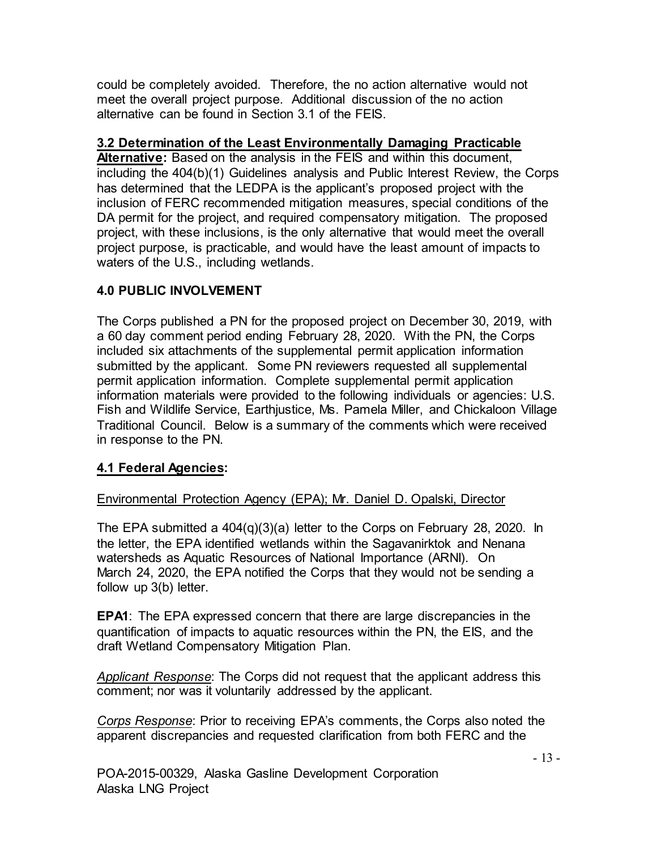could be completely avoided. Therefore, the no action alternative would not meet the overall project purpose. Additional discussion of the no action alternative can be found in Section 3.1 of the FEIS.

#### **3.2 Determination of the Least Environmentally Damaging Practicable**

**Alternative:** Based on the analysis in the FEIS and within this document, including the 404(b)(1) Guidelines analysis and Public Interest Review, the Corps has determined that the LEDPA is the applicant's proposed project with the inclusion of FERC recommended mitigation measures, special conditions of the DA permit for the project, and required compensatory mitigation. The proposed project, with these inclusions, is the only alternative that would meet the overall project purpose, is practicable, and would have the least amount of impacts to waters of the U.S., including wetlands.

#### **4.0 PUBLIC INVOLVEMENT**

The Corps published a PN for the proposed project on December 30, 2019, with a 60 day comment period ending February 28, 2020. With the PN, the Corps included six attachments of the supplemental permit application information submitted by the applicant. Some PN reviewers requested all supplemental permit application information. Complete supplemental permit application information materials were provided to the following individuals or agencies: U.S. Fish and Wildlife Service, Earthjustice, Ms. Pamela Miller, and Chickaloon Village Traditional Council. Below is a summary of the comments which were received in response to the PN.

## **4.1 Federal Agencies:**

#### Environmental Protection Agency (EPA); Mr. Daniel D. Opalski, Director

The EPA submitted a 404(q)(3)(a) letter to the Corps on February 28, 2020. In the letter, the EPA identified wetlands within the Sagavanirktok and Nenana watersheds as Aquatic Resources of National Importance (ARNI). On March 24, 2020, the EPA notified the Corps that they would not be sending a follow up 3(b) letter.

**EPA1**: The EPA expressed concern that there are large discrepancies in the quantification of impacts to aquatic resources within the PN, the EIS, and the draft Wetland Compensatory Mitigation Plan.

*Applicant Response*: The Corps did not request that the applicant address this comment; nor was it voluntarily addressed by the applicant.

*Corps Response*: Prior to receiving EPA's comments, the Corps also noted the apparent discrepancies and requested clarification from both FERC and the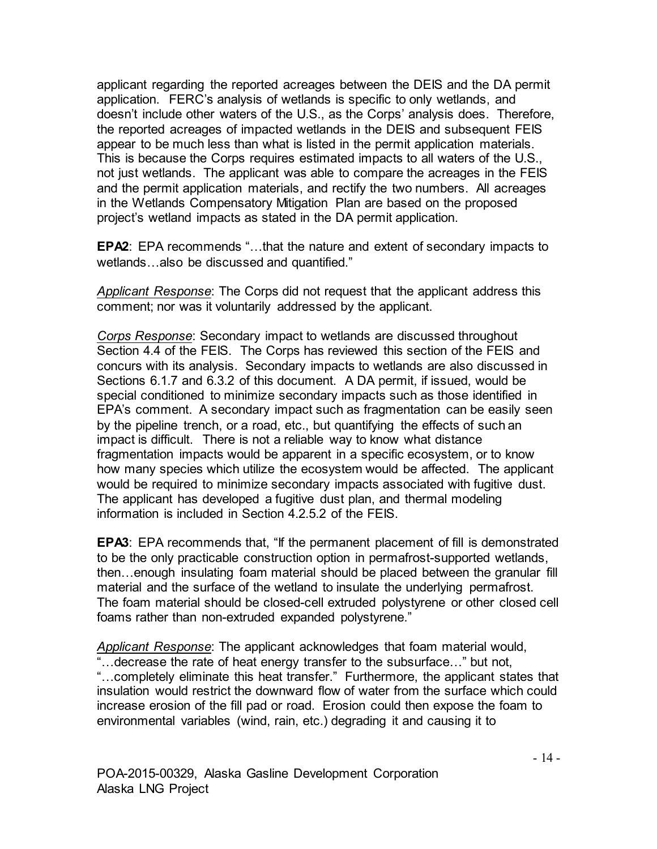applicant regarding the reported acreages between the DEIS and the DA permit application. FERC's analysis of wetlands is specific to only wetlands, and doesn't include other waters of the U.S., as the Corps' analysis does. Therefore, the reported acreages of impacted wetlands in the DEIS and subsequent FEIS appear to be much less than what is listed in the permit application materials. This is because the Corps requires estimated impacts to all waters of the U.S., not just wetlands. The applicant was able to compare the acreages in the FEIS and the permit application materials, and rectify the two numbers. All acreages in the Wetlands Compensatory Mitigation Plan are based on the proposed project's wetland impacts as stated in the DA permit application.

**EPA2**: EPA recommends "…that the nature and extent of secondary impacts to wetlands…also be discussed and quantified."

*Applicant Response*: The Corps did not request that the applicant address this comment; nor was it voluntarily addressed by the applicant.

*Corps Response*: Secondary impact to wetlands are discussed throughout Section 4.4 of the FEIS. The Corps has reviewed this section of the FEIS and concurs with its analysis. Secondary impacts to wetlands are also discussed in Sections 6.1.7 and 6.3.2 of this document. A DA permit, if issued, would be special conditioned to minimize secondary impacts such as those identified in EPA's comment. A secondary impact such as fragmentation can be easily seen by the pipeline trench, or a road, etc., but quantifying the effects of such an impact is difficult. There is not a reliable way to know what distance fragmentation impacts would be apparent in a specific ecosystem, or to know how many species which utilize the ecosystem would be affected. The applicant would be required to minimize secondary impacts associated with fugitive dust. The applicant has developed a fugitive dust plan, and thermal modeling information is included in Section 4.2.5.2 of the FEIS.

**EPA3**: EPA recommends that, "If the permanent placement of fill is demonstrated to be the only practicable construction option in permafrost-supported wetlands, then…enough insulating foam material should be placed between the granular fill material and the surface of the wetland to insulate the underlying permafrost. The foam material should be closed-cell extruded polystyrene or other closed cell foams rather than non-extruded expanded polystyrene."

*Applicant Response*: The applicant acknowledges that foam material would, "…decrease the rate of heat energy transfer to the subsurface…" but not, "....completely eliminate this heat transfer." Furthermore, the applicant states that insulation would restrict the downward flow of water from the surface which could increase erosion of the fill pad or road. Erosion could then expose the foam to environmental variables (wind, rain, etc.) degrading it and causing it to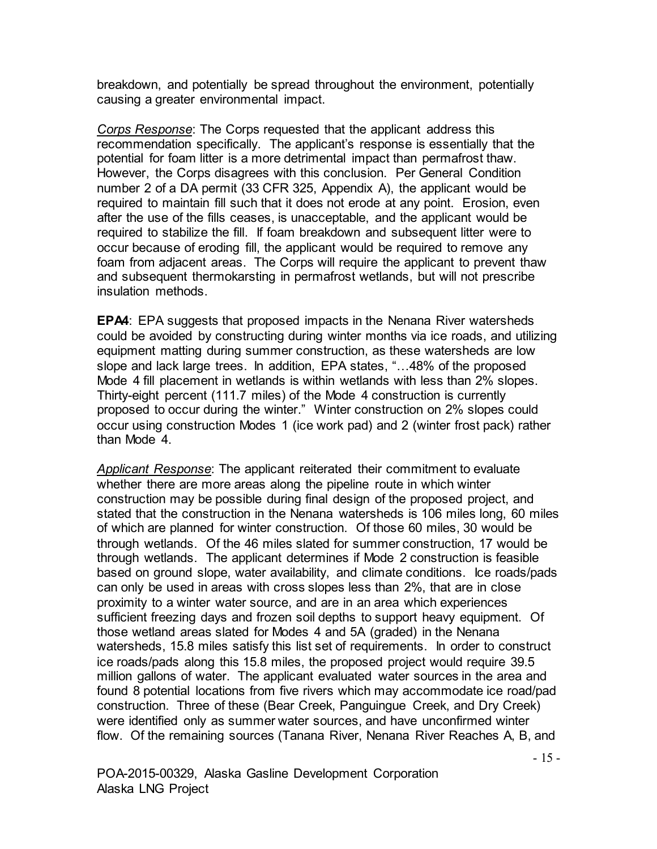breakdown, and potentially be spread throughout the environment, potentially causing a greater environmental impact.

*Corps Response*: The Corps requested that the applicant address this recommendation specifically. The applicant's response is essentially that the potential for foam litter is a more detrimental impact than permafrost thaw. However, the Corps disagrees with this conclusion. Per General Condition number 2 of a DA permit (33 CFR 325, Appendix A), the applicant would be required to maintain fill such that it does not erode at any point. Erosion, even after the use of the fills ceases, is unacceptable, and the applicant would be required to stabilize the fill. If foam breakdown and subsequent litter were to occur because of eroding fill, the applicant would be required to remove any foam from adjacent areas. The Corps will require the applicant to prevent thaw and subsequent thermokarsting in permafrost wetlands, but will not prescribe insulation methods.

**EPA4**: EPA suggests that proposed impacts in the Nenana River watersheds could be avoided by constructing during winter months via ice roads, and utilizing equipment matting during summer construction, as these watersheds are low slope and lack large trees. In addition, EPA states, "…48% of the proposed Mode 4 fill placement in wetlands is within wetlands with less than 2% slopes. Thirty-eight percent (111.7 miles) of the Mode 4 construction is currently proposed to occur during the winter." Winter construction on 2% slopes could occur using construction Modes 1 (ice work pad) and 2 (winter frost pack) rather than Mode 4.

*Applicant Response*: The applicant reiterated their commitment to evaluate whether there are more areas along the pipeline route in which winter construction may be possible during final design of the proposed project, and stated that the construction in the Nenana watersheds is 106 miles long, 60 miles of which are planned for winter construction. Of those 60 miles, 30 would be through wetlands. Of the 46 miles slated for summer construction, 17 would be through wetlands. The applicant determines if Mode 2 construction is feasible based on ground slope, water availability, and climate conditions. Ice roads/pads can only be used in areas with cross slopes less than 2%, that are in close proximity to a winter water source, and are in an area which experiences sufficient freezing days and frozen soil depths to support heavy equipment. Of those wetland areas slated for Modes 4 and 5A (graded) in the Nenana watersheds, 15.8 miles satisfy this list set of requirements. In order to construct ice roads/pads along this 15.8 miles, the proposed project would require 39.5 million gallons of water. The applicant evaluated water sources in the area and found 8 potential locations from five rivers which may accommodate ice road/pad construction. Three of these (Bear Creek, Panguingue Creek, and Dry Creek) were identified only as summer water sources, and have unconfirmed winter flow. Of the remaining sources (Tanana River, Nenana River Reaches A, B, and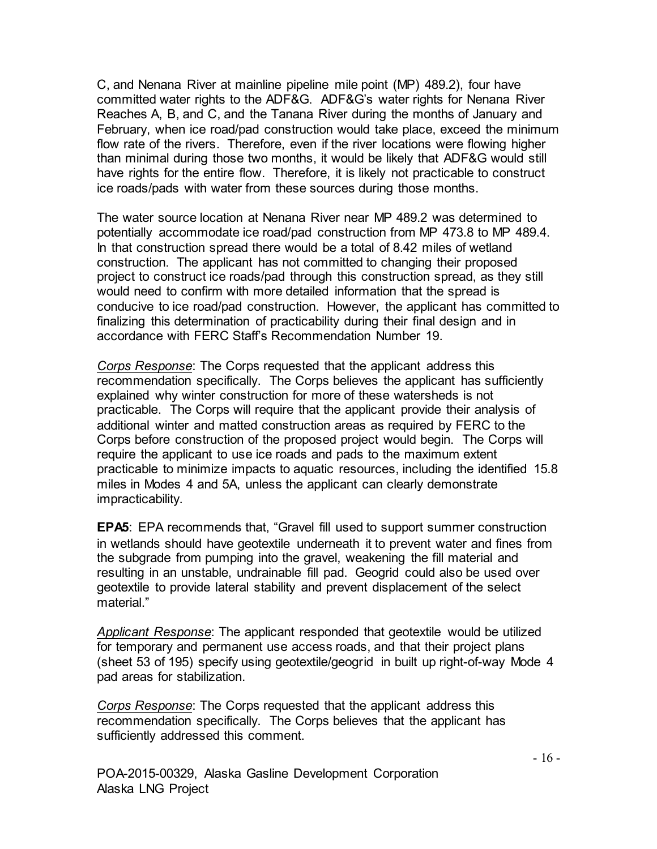C, and Nenana River at mainline pipeline mile point (MP) 489.2), four have committed water rights to the ADF&G. ADF&G's water rights for Nenana River Reaches A, B, and C, and the Tanana River during the months of January and February, when ice road/pad construction would take place, exceed the minimum flow rate of the rivers. Therefore, even if the river locations were flowing higher than minimal during those two months, it would be likely that ADF&G would still have rights for the entire flow. Therefore, it is likely not practicable to construct ice roads/pads with water from these sources during those months.

The water source location at Nenana River near MP 489.2 was determined to potentially accommodate ice road/pad construction from MP 473.8 to MP 489.4. In that construction spread there would be a total of 8.42 miles of wetland construction. The applicant has not committed to changing their proposed project to construct ice roads/pad through this construction spread, as they still would need to confirm with more detailed information that the spread is conducive to ice road/pad construction. However, the applicant has committed to finalizing this determination of practicability during their final design and in accordance with FERC Staff's Recommendation Number 19.

*Corps Response*: The Corps requested that the applicant address this recommendation specifically. The Corps believes the applicant has sufficiently explained why winter construction for more of these watersheds is not practicable. The Corps will require that the applicant provide their analysis of additional winter and matted construction areas as required by FERC to the Corps before construction of the proposed project would begin. The Corps will require the applicant to use ice roads and pads to the maximum extent practicable to minimize impacts to aquatic resources, including the identified 15.8 miles in Modes 4 and 5A, unless the applicant can clearly demonstrate impracticability.

**EPA5**: EPA recommends that, "Gravel fill used to support summer construction in wetlands should have geotextile underneath it to prevent water and fines from the subgrade from pumping into the gravel, weakening the fill material and resulting in an unstable, undrainable fill pad. Geogrid could also be used over geotextile to provide lateral stability and prevent displacement of the select material."

*Applicant Response*: The applicant responded that geotextile would be utilized for temporary and permanent use access roads, and that their project plans (sheet 53 of 195) specify using geotextile/geogrid in built up right-of-way Mode 4 pad areas for stabilization.

*Corps Response*: The Corps requested that the applicant address this recommendation specifically. The Corps believes that the applicant has sufficiently addressed this comment.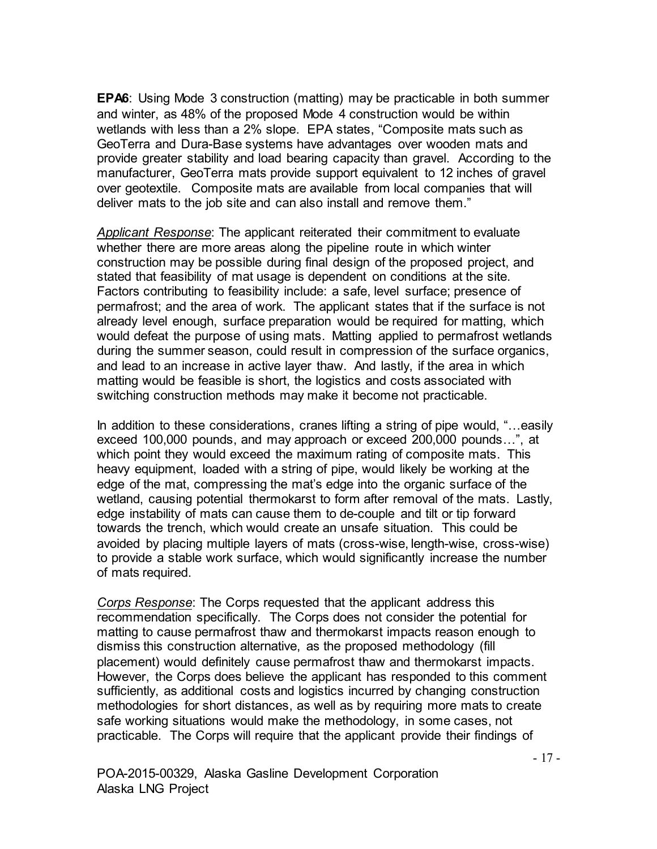**EPA6**: Using Mode 3 construction (matting) may be practicable in both summer and winter, as 48% of the proposed Mode 4 construction would be within wetlands with less than a 2% slope. EPA states, "Composite mats such as GeoTerra and Dura-Base systems have advantages over wooden mats and provide greater stability and load bearing capacity than gravel. According to the manufacturer, GeoTerra mats provide support equivalent to 12 inches of gravel over geotextile. Composite mats are available from local companies that will deliver mats to the job site and can also install and remove them."

*Applicant Response*: The applicant reiterated their commitment to evaluate whether there are more areas along the pipeline route in which winter construction may be possible during final design of the proposed project, and stated that feasibility of mat usage is dependent on conditions at the site. Factors contributing to feasibility include: a safe, level surface; presence of permafrost; and the area of work. The applicant states that if the surface is not already level enough, surface preparation would be required for matting, which would defeat the purpose of using mats. Matting applied to permafrost wetlands during the summer season, could result in compression of the surface organics, and lead to an increase in active layer thaw. And lastly, if the area in which matting would be feasible is short, the logistics and costs associated with switching construction methods may make it become not practicable.

In addition to these considerations, cranes lifting a string of pipe would, "…easily exceed 100,000 pounds, and may approach or exceed 200,000 pounds…", at which point they would exceed the maximum rating of composite mats. This heavy equipment, loaded with a string of pipe, would likely be working at the edge of the mat, compressing the mat's edge into the organic surface of the wetland, causing potential thermokarst to form after removal of the mats. Lastly, edge instability of mats can cause them to de-couple and tilt or tip forward towards the trench, which would create an unsafe situation. This could be avoided by placing multiple layers of mats (cross-wise, length-wise, cross-wise) to provide a stable work surface, which would significantly increase the number of mats required.

*Corps Response*: The Corps requested that the applicant address this recommendation specifically. The Corps does not consider the potential for matting to cause permafrost thaw and thermokarst impacts reason enough to dismiss this construction alternative, as the proposed methodology (fill placement) would definitely cause permafrost thaw and thermokarst impacts. However, the Corps does believe the applicant has responded to this comment sufficiently, as additional costs and logistics incurred by changing construction methodologies for short distances, as well as by requiring more mats to create safe working situations would make the methodology, in some cases, not practicable. The Corps will require that the applicant provide their findings of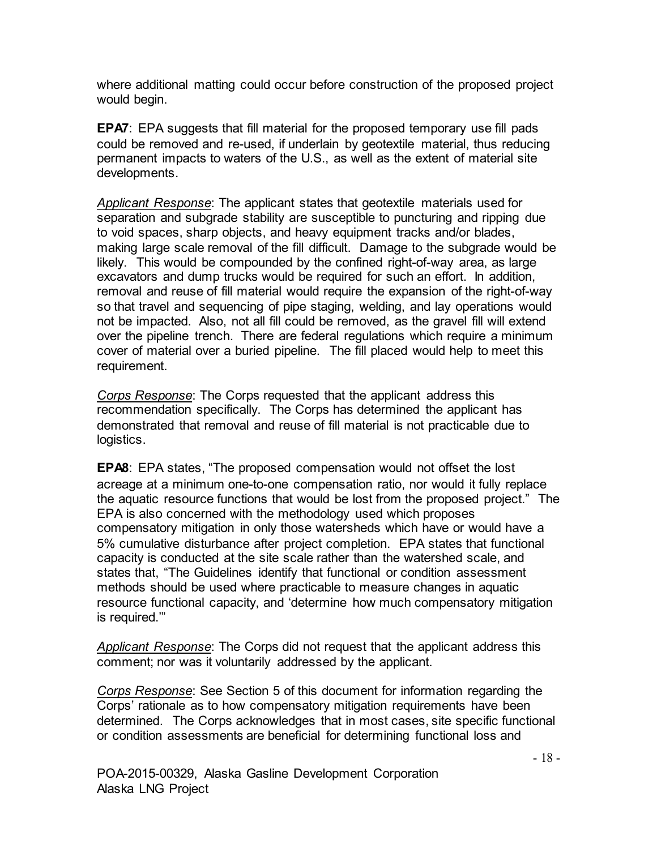where additional matting could occur before construction of the proposed project would begin.

**EPA7**: EPA suggests that fill material for the proposed temporary use fill pads could be removed and re-used, if underlain by geotextile material, thus reducing permanent impacts to waters of the U.S., as well as the extent of material site developments.

*Applicant Response*: The applicant states that geotextile materials used for separation and subgrade stability are susceptible to puncturing and ripping due to void spaces, sharp objects, and heavy equipment tracks and/or blades, making large scale removal of the fill difficult. Damage to the subgrade would be likely. This would be compounded by the confined right-of-way area, as large excavators and dump trucks would be required for such an effort. In addition, removal and reuse of fill material would require the expansion of the right-of-way so that travel and sequencing of pipe staging, welding, and lay operations would not be impacted. Also, not all fill could be removed, as the gravel fill will extend over the pipeline trench. There are federal regulations which require a minimum cover of material over a buried pipeline. The fill placed would help to meet this requirement.

*Corps Response*: The Corps requested that the applicant address this recommendation specifically. The Corps has determined the applicant has demonstrated that removal and reuse of fill material is not practicable due to logistics.

**EPA8**: EPA states, "The proposed compensation would not offset the lost acreage at a minimum one-to-one compensation ratio, nor would it fully replace the aquatic resource functions that would be lost from the proposed project." The EPA is also concerned with the methodology used which proposes compensatory mitigation in only those watersheds which have or would have a 5% cumulative disturbance after project completion. EPA states that functional capacity is conducted at the site scale rather than the watershed scale, and states that, "The Guidelines identify that functional or condition assessment methods should be used where practicable to measure changes in aquatic resource functional capacity, and 'determine how much compensatory mitigation is required.'"

*Applicant Response*: The Corps did not request that the applicant address this comment; nor was it voluntarily addressed by the applicant.

*Corps Response*: See Section 5 of this document for information regarding the Corps' rationale as to how compensatory mitigation requirements have been determined. The Corps acknowledges that in most cases, site specific functional or condition assessments are beneficial for determining functional loss and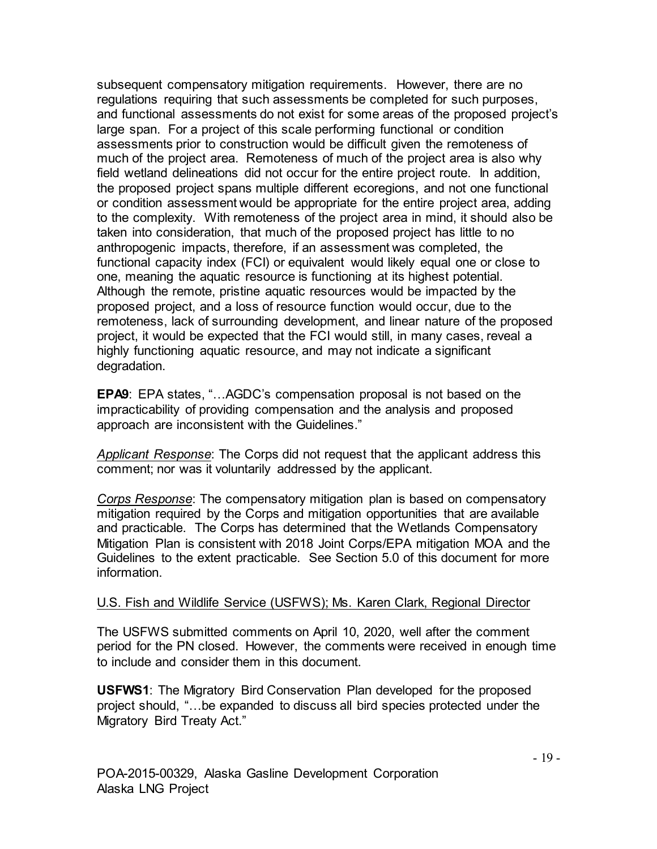subsequent compensatory mitigation requirements. However, there are no regulations requiring that such assessments be completed for such purposes, and functional assessments do not exist for some areas of the proposed project's large span. For a project of this scale performing functional or condition assessments prior to construction would be difficult given the remoteness of much of the project area. Remoteness of much of the project area is also why field wetland delineations did not occur for the entire project route. In addition, the proposed project spans multiple different ecoregions, and not one functional or condition assessment would be appropriate for the entire project area, adding to the complexity. With remoteness of the project area in mind, it should also be taken into consideration, that much of the proposed project has little to no anthropogenic impacts, therefore, if an assessment was completed, the functional capacity index (FCI) or equivalent would likely equal one or close to one, meaning the aquatic resource is functioning at its highest potential. Although the remote, pristine aquatic resources would be impacted by the proposed project, and a loss of resource function would occur, due to the remoteness, lack of surrounding development, and linear nature of the proposed project, it would be expected that the FCI would still, in many cases, reveal a highly functioning aquatic resource, and may not indicate a significant degradation.

**EPA9**: EPA states, "…AGDC's compensation proposal is not based on the impracticability of providing compensation and the analysis and proposed approach are inconsistent with the Guidelines."

*Applicant Response*: The Corps did not request that the applicant address this comment; nor was it voluntarily addressed by the applicant.

*Corps Response*: The compensatory mitigation plan is based on compensatory mitigation required by the Corps and mitigation opportunities that are available and practicable. The Corps has determined that the Wetlands Compensatory Mitigation Plan is consistent with 2018 Joint Corps/EPA mitigation MOA and the Guidelines to the extent practicable. See Section 5.0 of this document for more information.

#### U.S. Fish and Wildlife Service (USFWS); Ms. Karen Clark, Regional Director

The USFWS submitted comments on April 10, 2020, well after the comment period for the PN closed. However, the comments were received in enough time to include and consider them in this document.

**USFWS1**: The Migratory Bird Conservation Plan developed for the proposed project should, "…be expanded to discuss all bird species protected under the Migratory Bird Treaty Act."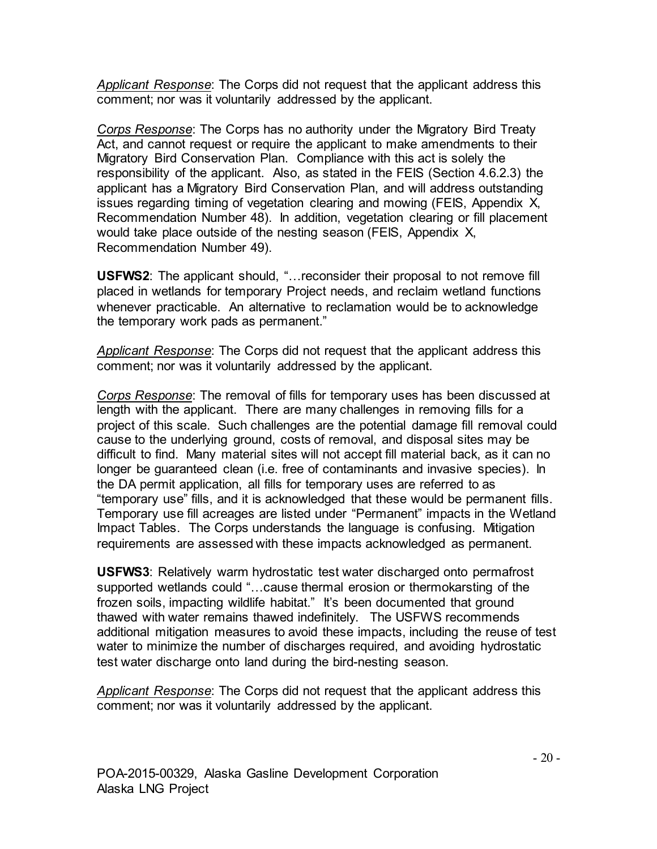*Applicant Response*: The Corps did not request that the applicant address this comment; nor was it voluntarily addressed by the applicant.

*Corps Response*: The Corps has no authority under the Migratory Bird Treaty Act, and cannot request or require the applicant to make amendments to their Migratory Bird Conservation Plan. Compliance with this act is solely the responsibility of the applicant. Also, as stated in the FEIS (Section 4.6.2.3) the applicant has a Migratory Bird Conservation Plan, and will address outstanding issues regarding timing of vegetation clearing and mowing (FEIS, Appendix X, Recommendation Number 48). In addition, vegetation clearing or fill placement would take place outside of the nesting season (FEIS, Appendix X, Recommendation Number 49).

**USFWS2**: The applicant should, "…reconsider their proposal to not remove fill placed in wetlands for temporary Project needs, and reclaim wetland functions whenever practicable. An alternative to reclamation would be to acknowledge the temporary work pads as permanent."

*Applicant Response*: The Corps did not request that the applicant address this comment; nor was it voluntarily addressed by the applicant.

*Corps Response*: The removal of fills for temporary uses has been discussed at length with the applicant. There are many challenges in removing fills for a project of this scale. Such challenges are the potential damage fill removal could cause to the underlying ground, costs of removal, and disposal sites may be difficult to find. Many material sites will not accept fill material back, as it can no longer be guaranteed clean (i.e. free of contaminants and invasive species). In the DA permit application, all fills for temporary uses are referred to as "temporary use" fills, and it is acknowledged that these would be permanent fills. Temporary use fill acreages are listed under "Permanent" impacts in the Wetland Impact Tables. The Corps understands the language is confusing. Mitigation requirements are assessed with these impacts acknowledged as permanent.

**USFWS3**: Relatively warm hydrostatic test water discharged onto permafrost supported wetlands could "…cause thermal erosion or thermokarsting of the frozen soils, impacting wildlife habitat." It's been documented that ground thawed with water remains thawed indefinitely. The USFWS recommends additional mitigation measures to avoid these impacts, including the reuse of test water to minimize the number of discharges required, and avoiding hydrostatic test water discharge onto land during the bird-nesting season.

*Applicant Response*: The Corps did not request that the applicant address this comment; nor was it voluntarily addressed by the applicant.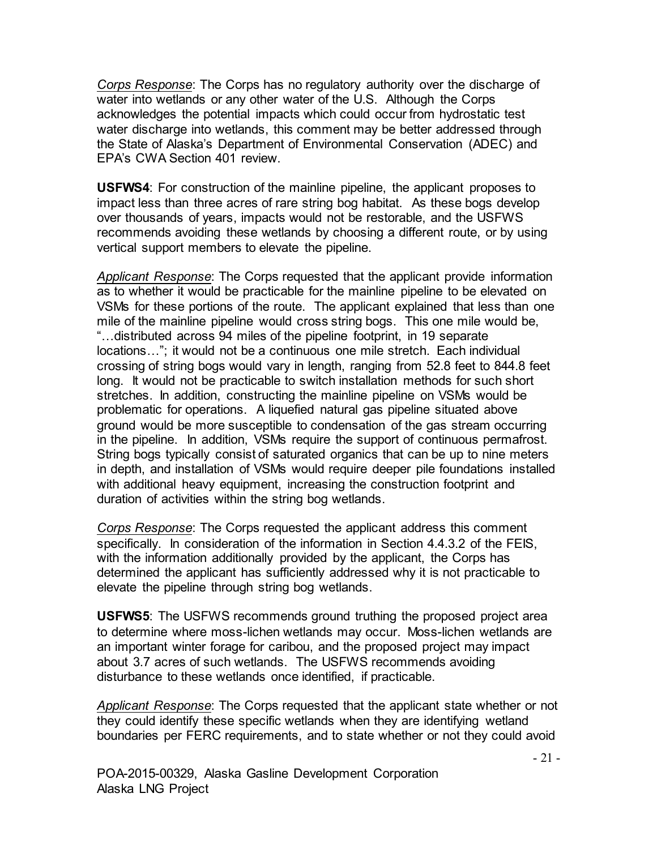*Corps Response*: The Corps has no regulatory authority over the discharge of water into wetlands or any other water of the U.S. Although the Corps acknowledges the potential impacts which could occur from hydrostatic test water discharge into wetlands, this comment may be better addressed through the State of Alaska's Department of Environmental Conservation (ADEC) and EPA's CWA Section 401 review.

**USFWS4**: For construction of the mainline pipeline, the applicant proposes to impact less than three acres of rare string bog habitat. As these bogs develop over thousands of years, impacts would not be restorable, and the USFWS recommends avoiding these wetlands by choosing a different route, or by using vertical support members to elevate the pipeline.

*Applicant Response*: The Corps requested that the applicant provide information as to whether it would be practicable for the mainline pipeline to be elevated on VSMs for these portions of the route. The applicant explained that less than one mile of the mainline pipeline would cross string bogs. This one mile would be, "…distributed across 94 miles of the pipeline footprint, in 19 separate locations…"; it would not be a continuous one mile stretch. Each individual crossing of string bogs would vary in length, ranging from 52.8 feet to 844.8 feet long. It would not be practicable to switch installation methods for such short stretches. In addition, constructing the mainline pipeline on VSMs would be problematic for operations. A liquefied natural gas pipeline situated above ground would be more susceptible to condensation of the gas stream occurring in the pipeline. In addition, VSMs require the support of continuous permafrost. String bogs typically consist of saturated organics that can be up to nine meters in depth, and installation of VSMs would require deeper pile foundations installed with additional heavy equipment, increasing the construction footprint and duration of activities within the string bog wetlands.

*Corps Response*: The Corps requested the applicant address this comment specifically. In consideration of the information in Section 4.4.3.2 of the FEIS, with the information additionally provided by the applicant, the Corps has determined the applicant has sufficiently addressed why it is not practicable to elevate the pipeline through string bog wetlands.

**USFWS5**: The USFWS recommends ground truthing the proposed project area to determine where moss-lichen wetlands may occur. Moss-lichen wetlands are an important winter forage for caribou, and the proposed project may impact about 3.7 acres of such wetlands. The USFWS recommends avoiding disturbance to these wetlands once identified, if practicable.

*Applicant Response*: The Corps requested that the applicant state whether or not they could identify these specific wetlands when they are identifying wetland boundaries per FERC requirements, and to state whether or not they could avoid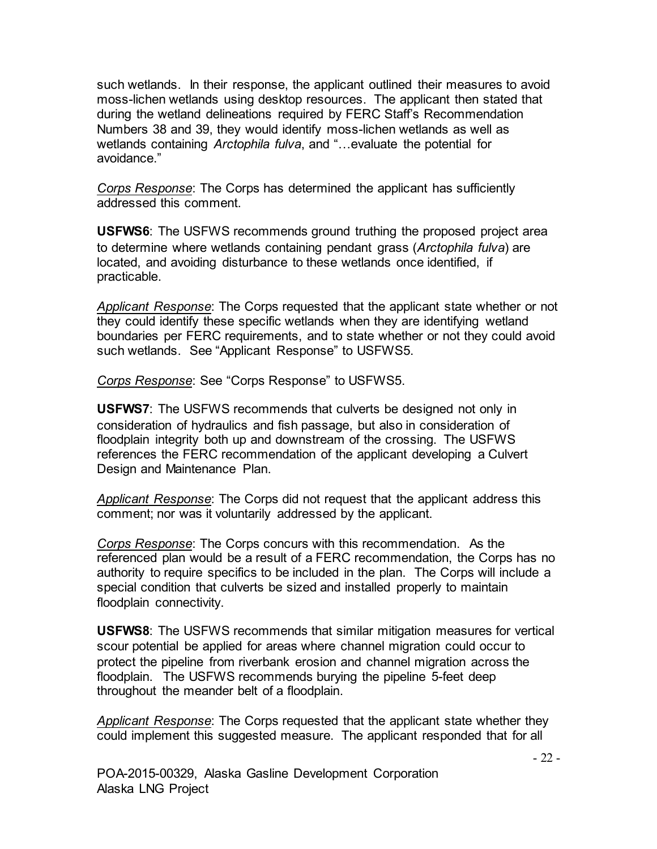such wetlands. In their response, the applicant outlined their measures to avoid moss-lichen wetlands using desktop resources. The applicant then stated that during the wetland delineations required by FERC Staff's Recommendation Numbers 38 and 39, they would identify moss-lichen wetlands as well as wetlands containing *Arctophila fulva*, and "…evaluate the potential for avoidance."

*Corps Response*: The Corps has determined the applicant has sufficiently addressed this comment.

**USFWS6**: The USFWS recommends ground truthing the proposed project area to determine where wetlands containing pendant grass (*Arctophila fulva*) are located, and avoiding disturbance to these wetlands once identified, if practicable.

*Applicant Response*: The Corps requested that the applicant state whether or not they could identify these specific wetlands when they are identifying wetland boundaries per FERC requirements, and to state whether or not they could avoid such wetlands. See "Applicant Response" to USFWS5.

*Corps Response*: See "Corps Response" to USFWS5.

**USFWS7**: The USFWS recommends that culverts be designed not only in consideration of hydraulics and fish passage, but also in consideration of floodplain integrity both up and downstream of the crossing. The USFWS references the FERC recommendation of the applicant developing a Culvert Design and Maintenance Plan.

*Applicant Response*: The Corps did not request that the applicant address this comment; nor was it voluntarily addressed by the applicant.

*Corps Response*: The Corps concurs with this recommendation. As the referenced plan would be a result of a FERC recommendation, the Corps has no authority to require specifics to be included in the plan. The Corps will include a special condition that culverts be sized and installed properly to maintain floodplain connectivity.

**USFWS8**: The USFWS recommends that similar mitigation measures for vertical scour potential be applied for areas where channel migration could occur to protect the pipeline from riverbank erosion and channel migration across the floodplain. The USFWS recommends burying the pipeline 5-feet deep throughout the meander belt of a floodplain.

*Applicant Response*: The Corps requested that the applicant state whether they could implement this suggested measure. The applicant responded that for all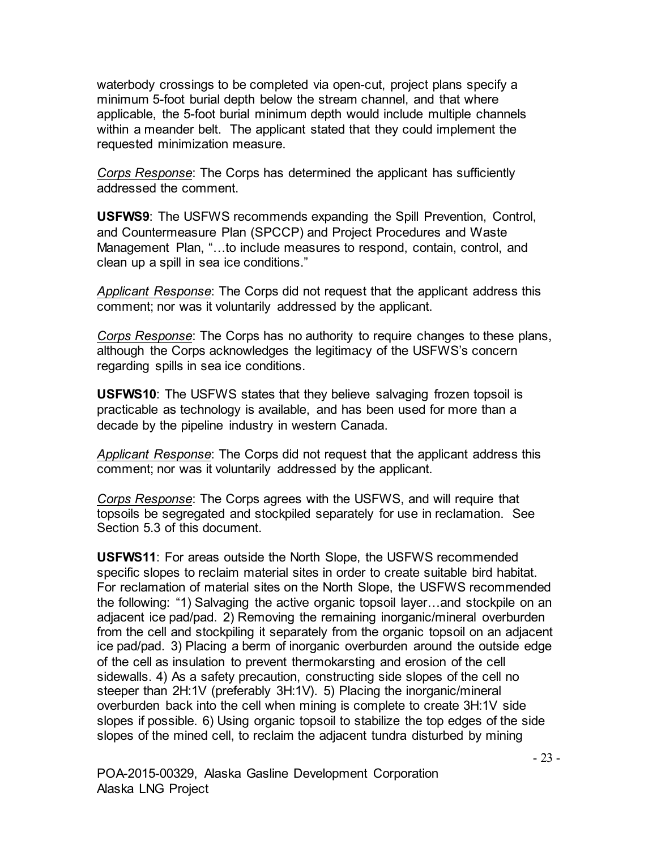waterbody crossings to be completed via open-cut, project plans specify a minimum 5-foot burial depth below the stream channel, and that where applicable, the 5-foot burial minimum depth would include multiple channels within a meander belt. The applicant stated that they could implement the requested minimization measure.

*Corps Response*: The Corps has determined the applicant has sufficiently addressed the comment.

**USFWS9**: The USFWS recommends expanding the Spill Prevention, Control, and Countermeasure Plan (SPCCP) and Project Procedures and Waste Management Plan, "…to include measures to respond, contain, control, and clean up a spill in sea ice conditions."

*Applicant Response*: The Corps did not request that the applicant address this comment; nor was it voluntarily addressed by the applicant.

*Corps Response*: The Corps has no authority to require changes to these plans, although the Corps acknowledges the legitimacy of the USFWS's concern regarding spills in sea ice conditions.

**USFWS10**: The USFWS states that they believe salvaging frozen topsoil is practicable as technology is available, and has been used for more than a decade by the pipeline industry in western Canada.

*Applicant Response*: The Corps did not request that the applicant address this comment; nor was it voluntarily addressed by the applicant.

*Corps Response*: The Corps agrees with the USFWS, and will require that topsoils be segregated and stockpiled separately for use in reclamation. See Section 5.3 of this document.

**USFWS11**: For areas outside the North Slope, the USFWS recommended specific slopes to reclaim material sites in order to create suitable bird habitat. For reclamation of material sites on the North Slope, the USFWS recommended the following: "1) Salvaging the active organic topsoil layer…and stockpile on an adjacent ice pad/pad. 2) Removing the remaining inorganic/mineral overburden from the cell and stockpiling it separately from the organic topsoil on an adjacent ice pad/pad. 3) Placing a berm of inorganic overburden around the outside edge of the cell as insulation to prevent thermokarsting and erosion of the cell sidewalls. 4) As a safety precaution, constructing side slopes of the cell no steeper than 2H:1V (preferably 3H:1V). 5) Placing the inorganic/mineral overburden back into the cell when mining is complete to create 3H:1V side slopes if possible. 6) Using organic topsoil to stabilize the top edges of the side slopes of the mined cell, to reclaim the adjacent tundra disturbed by mining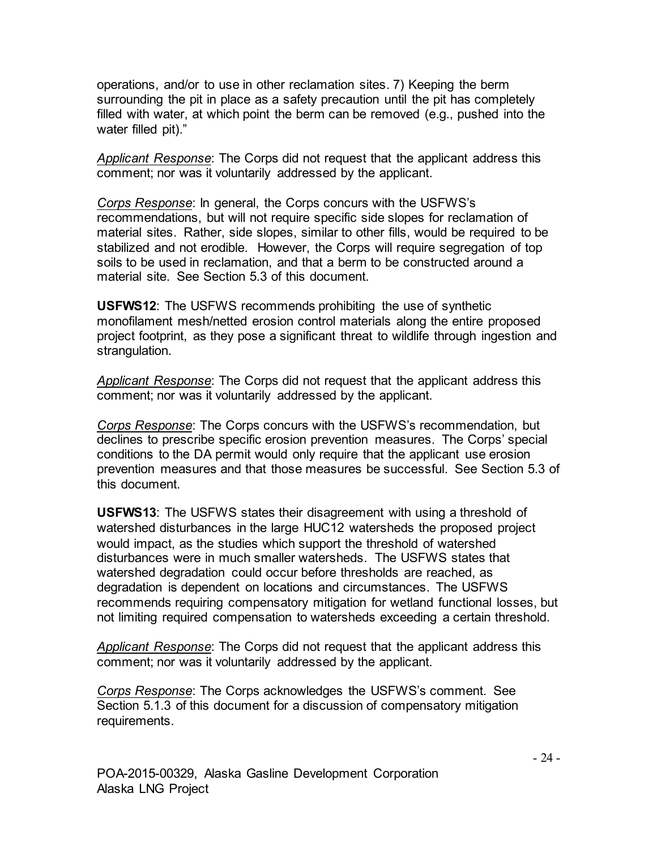operations, and/or to use in other reclamation sites. 7) Keeping the berm surrounding the pit in place as a safety precaution until the pit has completely filled with water, at which point the berm can be removed (e.g., pushed into the water filled pit)."

*Applicant Response*: The Corps did not request that the applicant address this comment; nor was it voluntarily addressed by the applicant.

*Corps Response*: In general, the Corps concurs with the USFWS's recommendations, but will not require specific side slopes for reclamation of material sites. Rather, side slopes, similar to other fills, would be required to be stabilized and not erodible. However, the Corps will require segregation of top soils to be used in reclamation, and that a berm to be constructed around a material site. See Section 5.3 of this document.

**USFWS12**: The USFWS recommends prohibiting the use of synthetic monofilament mesh/netted erosion control materials along the entire proposed project footprint, as they pose a significant threat to wildlife through ingestion and strangulation.

*Applicant Response*: The Corps did not request that the applicant address this comment; nor was it voluntarily addressed by the applicant.

*Corps Response*: The Corps concurs with the USFWS's recommendation, but declines to prescribe specific erosion prevention measures. The Corps' special conditions to the DA permit would only require that the applicant use erosion prevention measures and that those measures be successful. See Section 5.3 of this document.

**USFWS13**: The USFWS states their disagreement with using a threshold of watershed disturbances in the large HUC12 watersheds the proposed project would impact, as the studies which support the threshold of watershed disturbances were in much smaller watersheds. The USFWS states that watershed degradation could occur before thresholds are reached, as degradation is dependent on locations and circumstances. The USFWS recommends requiring compensatory mitigation for wetland functional losses, but not limiting required compensation to watersheds exceeding a certain threshold.

*Applicant Response*: The Corps did not request that the applicant address this comment; nor was it voluntarily addressed by the applicant.

*Corps Response*: The Corps acknowledges the USFWS's comment. See Section 5.1.3 of this document for a discussion of compensatory mitigation requirements.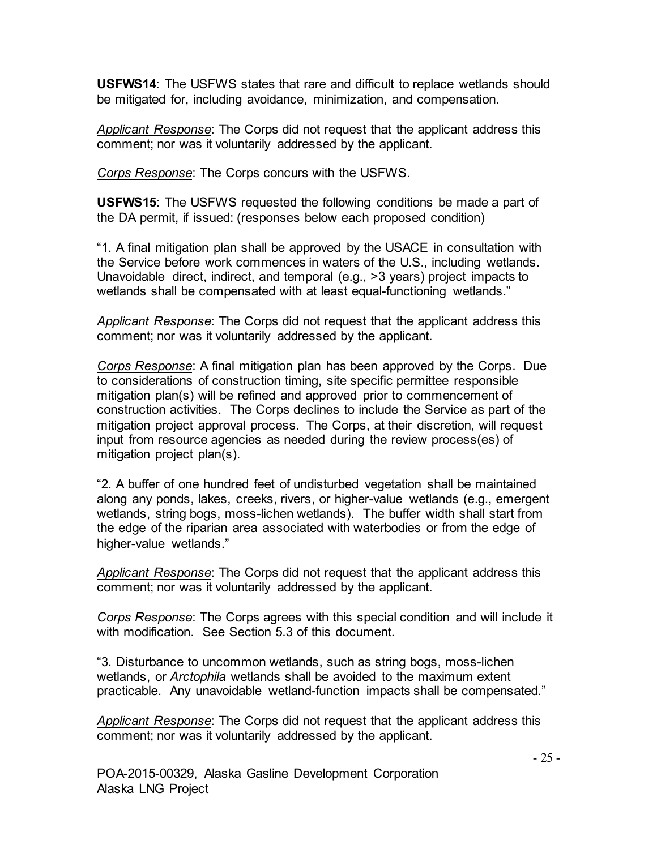**USFWS14**: The USFWS states that rare and difficult to replace wetlands should be mitigated for, including avoidance, minimization, and compensation.

*Applicant Response*: The Corps did not request that the applicant address this comment; nor was it voluntarily addressed by the applicant.

*Corps Response*: The Corps concurs with the USFWS.

**USFWS15**: The USFWS requested the following conditions be made a part of the DA permit, if issued: (responses below each proposed condition)

"1. A final mitigation plan shall be approved by the USACE in consultation with the Service before work commences in waters of the U.S., including wetlands. Unavoidable direct, indirect, and temporal (e.g., >3 years) project impacts to wetlands shall be compensated with at least equal-functioning wetlands."

*Applicant Response*: The Corps did not request that the applicant address this comment; nor was it voluntarily addressed by the applicant.

*Corps Response*: A final mitigation plan has been approved by the Corps. Due to considerations of construction timing, site specific permittee responsible mitigation plan(s) will be refined and approved prior to commencement of construction activities. The Corps declines to include the Service as part of the mitigation project approval process. The Corps, at their discretion, will request input from resource agencies as needed during the review process(es) of mitigation project plan(s).

"2. A buffer of one hundred feet of undisturbed vegetation shall be maintained along any ponds, lakes, creeks, rivers, or higher-value wetlands (e.g., emergent wetlands, string bogs, moss-lichen wetlands). The buffer width shall start from the edge of the riparian area associated with waterbodies or from the edge of higher-value wetlands."

*Applicant Response*: The Corps did not request that the applicant address this comment; nor was it voluntarily addressed by the applicant.

*Corps Response*: The Corps agrees with this special condition and will include it with modification. See Section 5.3 of this document.

"3. Disturbance to uncommon wetlands, such as string bogs, moss-lichen wetlands, or *Arctophila* wetlands shall be avoided to the maximum extent practicable. Any unavoidable wetland-function impacts shall be compensated."

*Applicant Response*: The Corps did not request that the applicant address this comment; nor was it voluntarily addressed by the applicant.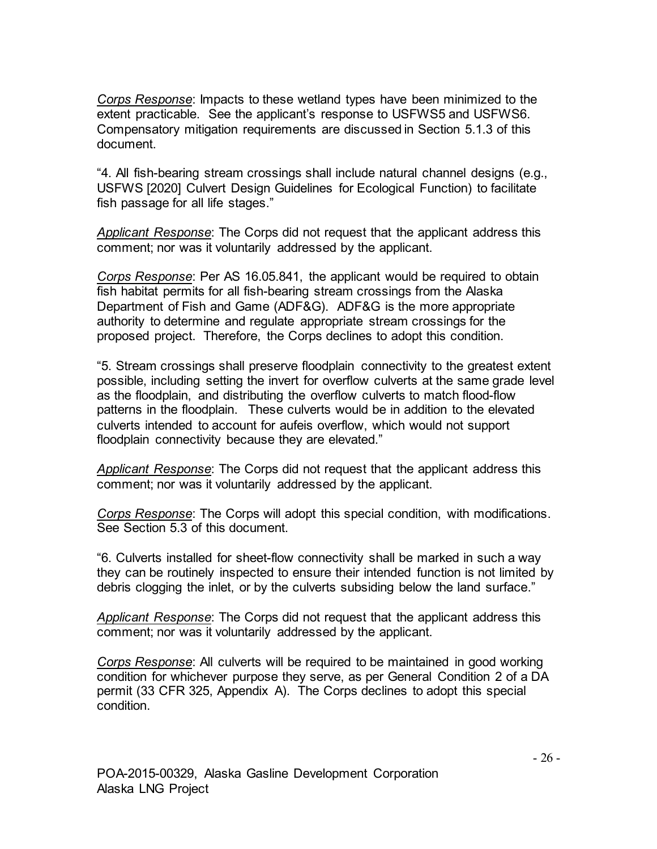*Corps Response*: Impacts to these wetland types have been minimized to the extent practicable. See the applicant's response to USFWS5 and USFWS6. Compensatory mitigation requirements are discussed in Section 5.1.3 of this document.

"4. All fish-bearing stream crossings shall include natural channel designs (e.g., USFWS [2020] Culvert Design Guidelines for Ecological Function) to facilitate fish passage for all life stages."

*Applicant Response*: The Corps did not request that the applicant address this comment; nor was it voluntarily addressed by the applicant.

*Corps Response*: Per AS 16.05.841, the applicant would be required to obtain fish habitat permits for all fish-bearing stream crossings from the Alaska Department of Fish and Game (ADF&G). ADF&G is the more appropriate authority to determine and regulate appropriate stream crossings for the proposed project. Therefore, the Corps declines to adopt this condition.

"5. Stream crossings shall preserve floodplain connectivity to the greatest extent possible, including setting the invert for overflow culverts at the same grade level as the floodplain, and distributing the overflow culverts to match flood-flow patterns in the floodplain. These culverts would be in addition to the elevated culverts intended to account for aufeis overflow, which would not support floodplain connectivity because they are elevated."

*Applicant Response*: The Corps did not request that the applicant address this comment; nor was it voluntarily addressed by the applicant.

*Corps Response*: The Corps will adopt this special condition, with modifications. See Section 5.3 of this document.

"6. Culverts installed for sheet-flow connectivity shall be marked in such a way they can be routinely inspected to ensure their intended function is not limited by debris clogging the inlet, or by the culverts subsiding below the land surface."

*Applicant Response*: The Corps did not request that the applicant address this comment; nor was it voluntarily addressed by the applicant.

*Corps Response*: All culverts will be required to be maintained in good working condition for whichever purpose they serve, as per General Condition 2 of a DA permit (33 CFR 325, Appendix A). The Corps declines to adopt this special condition.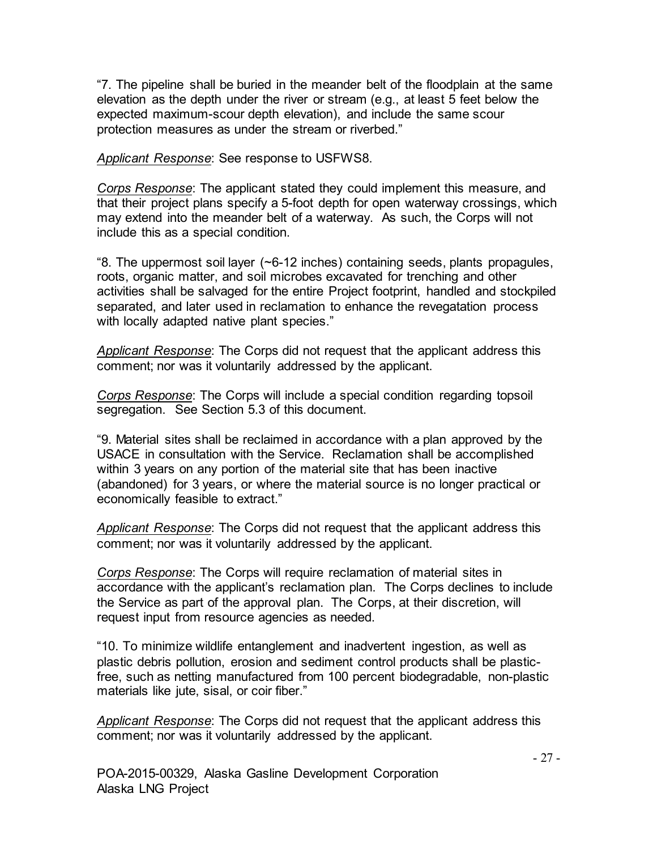"7. The pipeline shall be buried in the meander belt of the floodplain at the same elevation as the depth under the river or stream (e.g., at least 5 feet below the expected maximum-scour depth elevation), and include the same scour protection measures as under the stream or riverbed."

*Applicant Response*: See response to USFWS8.

*Corps Response*: The applicant stated they could implement this measure, and that their project plans specify a 5-foot depth for open waterway crossings, which may extend into the meander belt of a waterway. As such, the Corps will not include this as a special condition.

"8. The uppermost soil layer (~6-12 inches) containing seeds, plants propagules, roots, organic matter, and soil microbes excavated for trenching and other activities shall be salvaged for the entire Project footprint, handled and stockpiled separated, and later used in reclamation to enhance the revegatation process with locally adapted native plant species."

*Applicant Response*: The Corps did not request that the applicant address this comment; nor was it voluntarily addressed by the applicant.

*Corps Response*: The Corps will include a special condition regarding topsoil segregation. See Section 5.3 of this document.

"9. Material sites shall be reclaimed in accordance with a plan approved by the USACE in consultation with the Service. Reclamation shall be accomplished within 3 years on any portion of the material site that has been inactive (abandoned) for 3 years, or where the material source is no longer practical or economically feasible to extract."

*Applicant Response*: The Corps did not request that the applicant address this comment; nor was it voluntarily addressed by the applicant.

*Corps Response*: The Corps will require reclamation of material sites in accordance with the applicant's reclamation plan. The Corps declines to include the Service as part of the approval plan. The Corps, at their discretion, will request input from resource agencies as needed.

"10. To minimize wildlife entanglement and inadvertent ingestion, as well as plastic debris pollution, erosion and sediment control products shall be plasticfree, such as netting manufactured from 100 percent biodegradable, non-plastic materials like jute, sisal, or coir fiber."

*Applicant Response*: The Corps did not request that the applicant address this comment; nor was it voluntarily addressed by the applicant.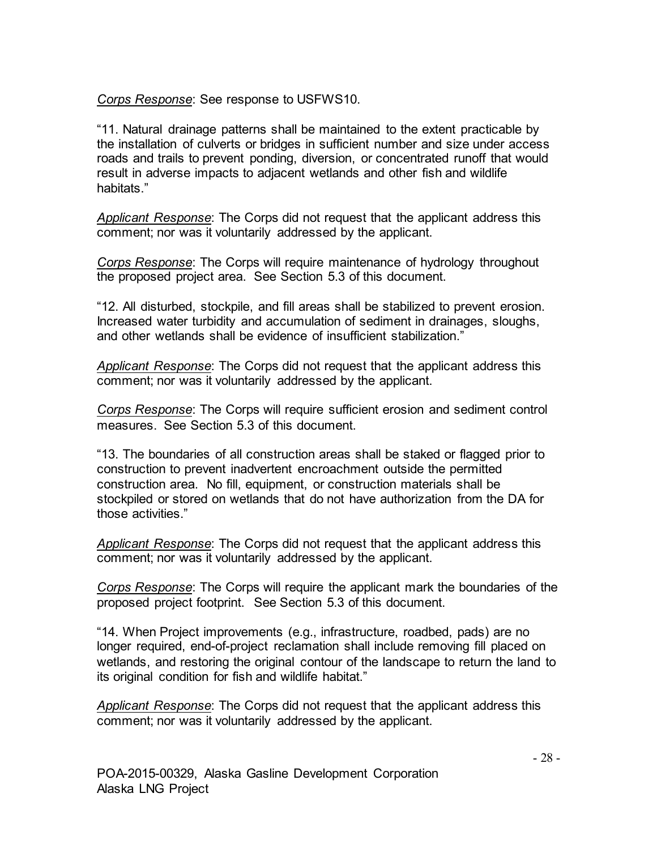*Corps Response*: See response to USFWS10.

"11. Natural drainage patterns shall be maintained to the extent practicable by the installation of culverts or bridges in sufficient number and size under access roads and trails to prevent ponding, diversion, or concentrated runoff that would result in adverse impacts to adjacent wetlands and other fish and wildlife habitats."

*Applicant Response*: The Corps did not request that the applicant address this comment; nor was it voluntarily addressed by the applicant.

*Corps Response*: The Corps will require maintenance of hydrology throughout the proposed project area. See Section 5.3 of this document.

"12. All disturbed, stockpile, and fill areas shall be stabilized to prevent erosion. Increased water turbidity and accumulation of sediment in drainages, sloughs, and other wetlands shall be evidence of insufficient stabilization."

*Applicant Response*: The Corps did not request that the applicant address this comment; nor was it voluntarily addressed by the applicant.

*Corps Response*: The Corps will require sufficient erosion and sediment control measures. See Section 5.3 of this document.

"13. The boundaries of all construction areas shall be staked or flagged prior to construction to prevent inadvertent encroachment outside the permitted construction area. No fill, equipment, or construction materials shall be stockpiled or stored on wetlands that do not have authorization from the DA for those activities."

*Applicant Response*: The Corps did not request that the applicant address this comment; nor was it voluntarily addressed by the applicant.

*Corps Response*: The Corps will require the applicant mark the boundaries of the proposed project footprint. See Section 5.3 of this document.

"14. When Project improvements (e.g., infrastructure, roadbed, pads) are no longer required, end-of-project reclamation shall include removing fill placed on wetlands, and restoring the original contour of the landscape to return the land to its original condition for fish and wildlife habitat."

*Applicant Response*: The Corps did not request that the applicant address this comment; nor was it voluntarily addressed by the applicant.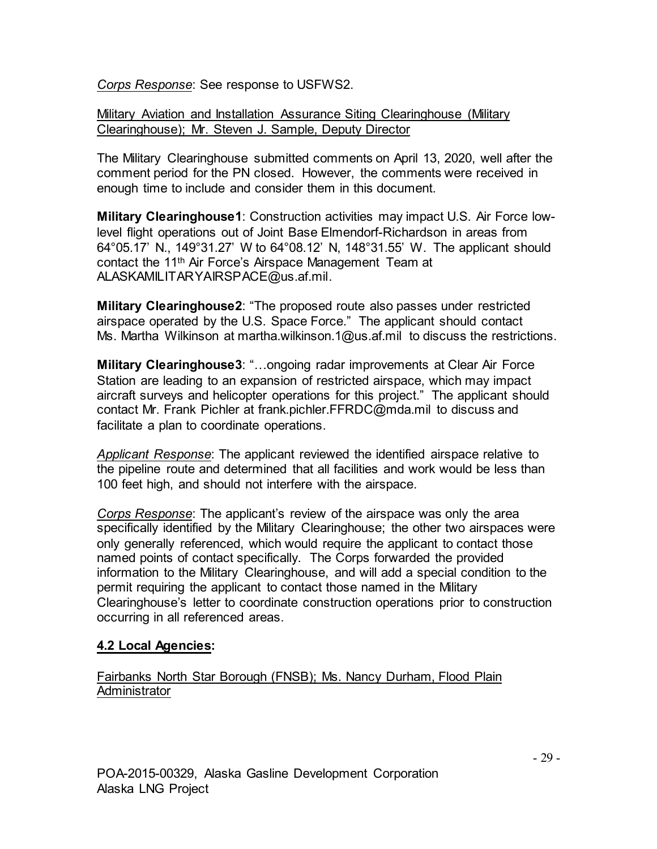*Corps Response*: See response to USFWS2.

Military Aviation and Installation Assurance Siting Clearinghouse (Military Clearinghouse); Mr. Steven J. Sample, Deputy Director

The Military Clearinghouse submitted comments on April 13, 2020, well after the comment period for the PN closed. However, the comments were received in enough time to include and consider them in this document.

**Military Clearinghouse1**: Construction activities may impact U.S. Air Force lowlevel flight operations out of Joint Base Elmendorf-Richardson in areas from 64°05.17' N., 149°31.27' W to 64°08.12' N, 148°31.55' W. The applicant should contact the 11th Air Force's Airspace Management Team at ALASKAMILITARYAIRSPACE@us.af.mil.

**Military Clearinghouse2**: "The proposed route also passes under restricted airspace operated by the U.S. Space Force." The applicant should contact Ms. Martha Wilkinson at martha.wilkinson.1@us.af.mil to discuss the restrictions.

**Military Clearinghouse3**: "…ongoing radar improvements at Clear Air Force Station are leading to an expansion of restricted airspace, which may impact aircraft surveys and helicopter operations for this project." The applicant should contact Mr. Frank Pichler at frank.pichler.FFRDC@mda.mil to discuss and facilitate a plan to coordinate operations.

*Applicant Response*: The applicant reviewed the identified airspace relative to the pipeline route and determined that all facilities and work would be less than 100 feet high, and should not interfere with the airspace.

*Corps Response*: The applicant's review of the airspace was only the area specifically identified by the Military Clearinghouse; the other two airspaces were only generally referenced, which would require the applicant to contact those named points of contact specifically. The Corps forwarded the provided information to the Military Clearinghouse, and will add a special condition to the permit requiring the applicant to contact those named in the Military Clearinghouse's letter to coordinate construction operations prior to construction occurring in all referenced areas.

## **4.2 Local Agencies:**

Fairbanks North Star Borough (FNSB); Ms. Nancy Durham, Flood Plain **Administrator**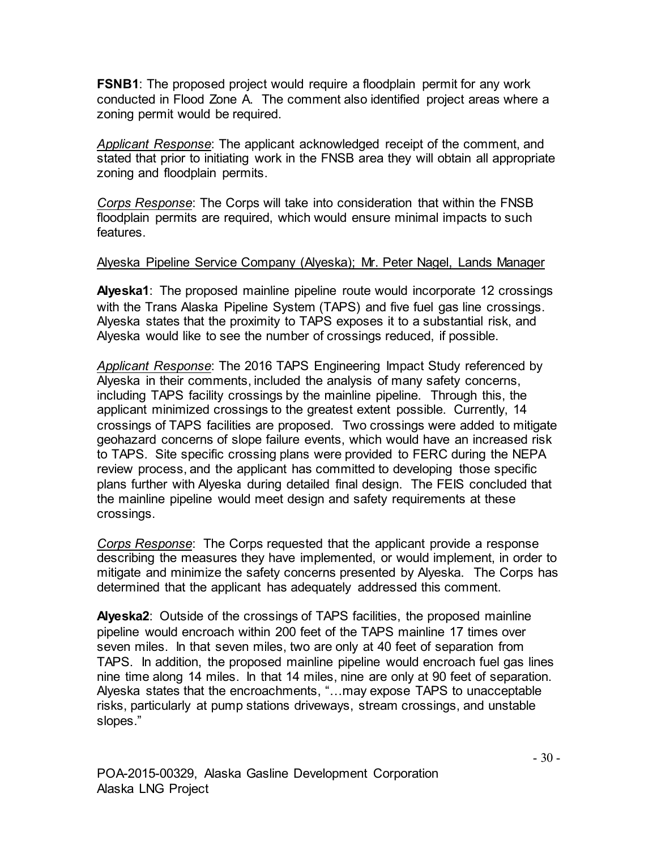**FSNB1**: The proposed project would require a floodplain permit for any work conducted in Flood Zone A. The comment also identified project areas where a zoning permit would be required.

*Applicant Response*: The applicant acknowledged receipt of the comment, and stated that prior to initiating work in the FNSB area they will obtain all appropriate zoning and floodplain permits.

*Corps Response*: The Corps will take into consideration that within the FNSB floodplain permits are required, which would ensure minimal impacts to such features.

#### Alyeska Pipeline Service Company (Alyeska); Mr. Peter Nagel, Lands Manager

**Alyeska1**: The proposed mainline pipeline route would incorporate 12 crossings with the Trans Alaska Pipeline System (TAPS) and five fuel gas line crossings. Alyeska states that the proximity to TAPS exposes it to a substantial risk, and Alyeska would like to see the number of crossings reduced, if possible.

*Applicant Response*: The 2016 TAPS Engineering Impact Study referenced by Alyeska in their comments, included the analysis of many safety concerns, including TAPS facility crossings by the mainline pipeline. Through this, the applicant minimized crossings to the greatest extent possible. Currently, 14 crossings of TAPS facilities are proposed. Two crossings were added to mitigate geohazard concerns of slope failure events, which would have an increased risk to TAPS. Site specific crossing plans were provided to FERC during the NEPA review process, and the applicant has committed to developing those specific plans further with Alyeska during detailed final design. The FEIS concluded that the mainline pipeline would meet design and safety requirements at these crossings.

*Corps Response*: The Corps requested that the applicant provide a response describing the measures they have implemented, or would implement, in order to mitigate and minimize the safety concerns presented by Alyeska. The Corps has determined that the applicant has adequately addressed this comment.

**Alyeska2**: Outside of the crossings of TAPS facilities, the proposed mainline pipeline would encroach within 200 feet of the TAPS mainline 17 times over seven miles. In that seven miles, two are only at 40 feet of separation from TAPS. In addition, the proposed mainline pipeline would encroach fuel gas lines nine time along 14 miles. In that 14 miles, nine are only at 90 feet of separation. Alyeska states that the encroachments, "…may expose TAPS to unacceptable risks, particularly at pump stations driveways, stream crossings, and unstable slopes."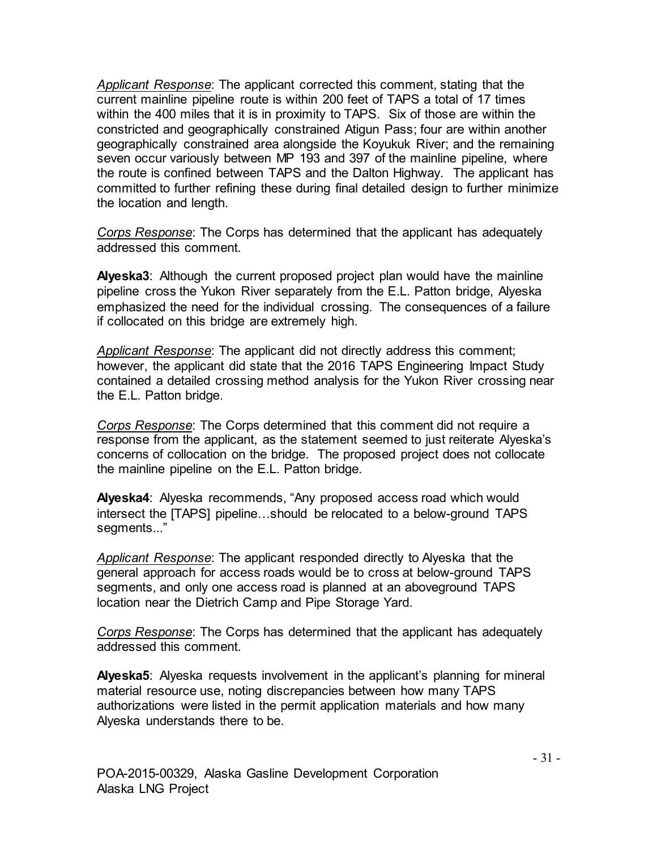*Applicant Response*: The applicant corrected this comment, stating that the current mainline pipeline route is within 200 feet of TAPS a total of 17 times within the 400 miles that it is in proximity to TAPS. Six of those are within the constricted and geographically constrained Atigun Pass; four are within another geographically constrained area alongside the Koyukuk River; and the remaining seven occur variously between MP 193 and 397 of the mainline pipeline, where the route is confined between TAPS and the Dalton Highway. The applicant has committed to further refining these during final detailed design to further minimize the location and length.

*Corps Response*: The Corps has determined that the applicant has adequately addressed this comment.

**Alyeska3**: Although the current proposed project plan would have the mainline pipeline cross the Yukon River separately from the E.L. Patton bridge, Alyeska emphasized the need for the individual crossing. The consequences of a failure if collocated on this bridge are extremely high.

*Applicant Response*: The applicant did not directly address this comment; however, the applicant did state that the 2016 TAPS Engineering Impact Study contained a detailed crossing method analysis for the Yukon River crossing near the E.L. Patton bridge.

*Corps Response*: The Corps determined that this comment did not require a response from the applicant, as the statement seemed to just reiterate Alyeska's concerns of collocation on the bridge. The proposed project does not collocate the mainline pipeline on the E.L. Patton bridge.

**Alyeska4**: Alyeska recommends, "Any proposed access road which would intersect the [TAPS] pipeline…should be relocated to a below-ground TAPS segments..."

*Applicant Response*: The applicant responded directly to Alyeska that the general approach for access roads would be to cross at below-ground TAPS segments, and only one access road is planned at an aboveground TAPS location near the Dietrich Camp and Pipe Storage Yard.

*Corps Response*: The Corps has determined that the applicant has adequately addressed this comment.

**Alyeska5**: Alyeska requests involvement in the applicant's planning for mineral material resource use, noting discrepancies between how many TAPS authorizations were listed in the permit application materials and how many Alyeska understands there to be.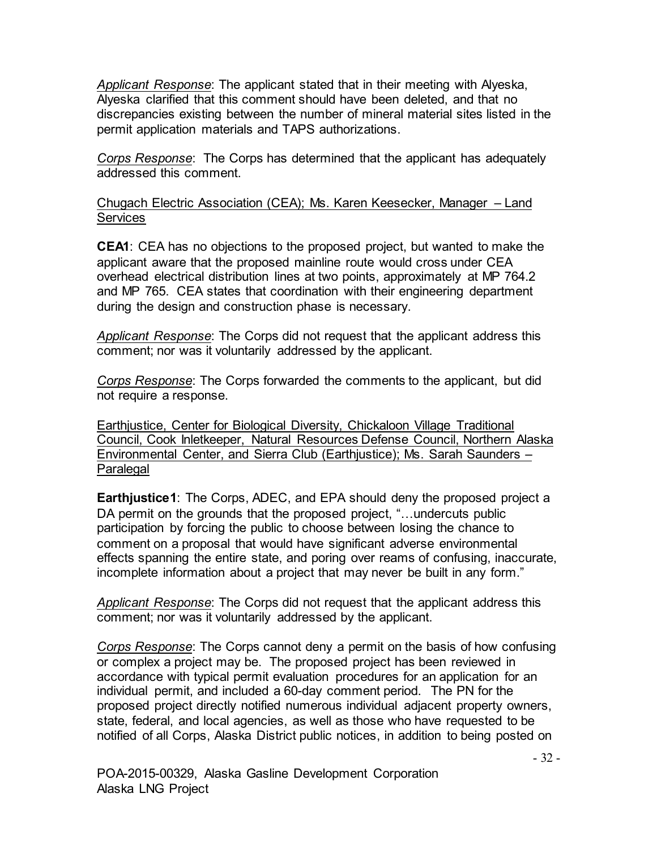*Applicant Response*: The applicant stated that in their meeting with Alyeska, Alyeska clarified that this comment should have been deleted, and that no discrepancies existing between the number of mineral material sites listed in the permit application materials and TAPS authorizations.

*Corps Response*: The Corps has determined that the applicant has adequately addressed this comment.

#### Chugach Electric Association (CEA); Ms. Karen Keesecker, Manager – Land Services

**CEA1**: CEA has no objections to the proposed project, but wanted to make the applicant aware that the proposed mainline route would cross under CEA overhead electrical distribution lines at two points, approximately at MP 764.2 and MP 765. CEA states that coordination with their engineering department during the design and construction phase is necessary.

*Applicant Response*: The Corps did not request that the applicant address this comment; nor was it voluntarily addressed by the applicant.

*Corps Response*: The Corps forwarded the comments to the applicant, but did not require a response.

Earthjustice, Center for Biological Diversity, Chickaloon Village Traditional Council, Cook Inletkeeper, Natural Resources Defense Council, Northern Alaska Environmental Center, and Sierra Club (Earthjustice); Ms. Sarah Saunders – Paralegal

**Earthjustice1**: The Corps, ADEC, and EPA should deny the proposed project a DA permit on the grounds that the proposed project, "...undercuts public participation by forcing the public to choose between losing the chance to comment on a proposal that would have significant adverse environmental effects spanning the entire state, and poring over reams of confusing, inaccurate, incomplete information about a project that may never be built in any form."

*Applicant Response*: The Corps did not request that the applicant address this comment; nor was it voluntarily addressed by the applicant.

*Corps Response*: The Corps cannot deny a permit on the basis of how confusing or complex a project may be. The proposed project has been reviewed in accordance with typical permit evaluation procedures for an application for an individual permit, and included a 60-day comment period. The PN for the proposed project directly notified numerous individual adjacent property owners, state, federal, and local agencies, as well as those who have requested to be notified of all Corps, Alaska District public notices, in addition to being posted on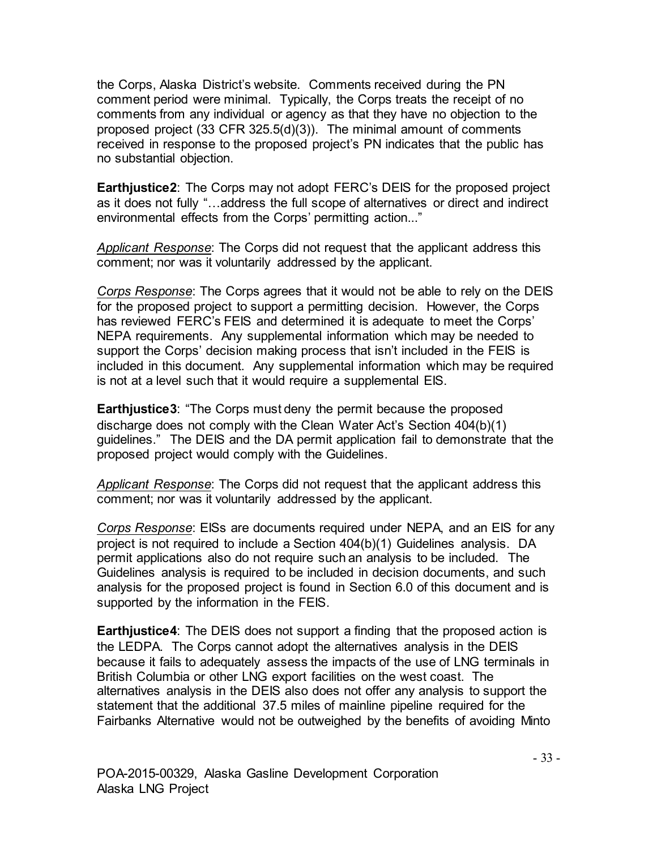the Corps, Alaska District's website. Comments received during the PN comment period were minimal. Typically, the Corps treats the receipt of no comments from any individual or agency as that they have no objection to the proposed project (33 CFR 325.5(d)(3)). The minimal amount of comments received in response to the proposed project's PN indicates that the public has no substantial objection.

**Earthjustice2**: The Corps may not adopt FERC's DEIS for the proposed project as it does not fully "…address the full scope of alternatives or direct and indirect environmental effects from the Corps' permitting action..."

*Applicant Response*: The Corps did not request that the applicant address this comment; nor was it voluntarily addressed by the applicant.

*Corps Response*: The Corps agrees that it would not be able to rely on the DEIS for the proposed project to support a permitting decision. However, the Corps has reviewed FERC's FEIS and determined it is adequate to meet the Corps' NEPA requirements. Any supplemental information which may be needed to support the Corps' decision making process that isn't included in the FEIS is included in this document. Any supplemental information which may be required is not at a level such that it would require a supplemental EIS.

**Earthjustice3**: "The Corps must deny the permit because the proposed discharge does not comply with the Clean Water Act's Section 404(b)(1) guidelines." The DEIS and the DA permit application fail to demonstrate that the proposed project would comply with the Guidelines.

*Applicant Response*: The Corps did not request that the applicant address this comment; nor was it voluntarily addressed by the applicant.

*Corps Response*: EISs are documents required under NEPA, and an EIS for any project is not required to include a Section 404(b)(1) Guidelines analysis. DA permit applications also do not require such an analysis to be included. The Guidelines analysis is required to be included in decision documents, and such analysis for the proposed project is found in Section 6.0 of this document and is supported by the information in the FEIS.

**Earthjustice4**: The DEIS does not support a finding that the proposed action is the LEDPA. The Corps cannot adopt the alternatives analysis in the DEIS because it fails to adequately assess the impacts of the use of LNG terminals in British Columbia or other LNG export facilities on the west coast. The alternatives analysis in the DEIS also does not offer any analysis to support the statement that the additional 37.5 miles of mainline pipeline required for the Fairbanks Alternative would not be outweighed by the benefits of avoiding Minto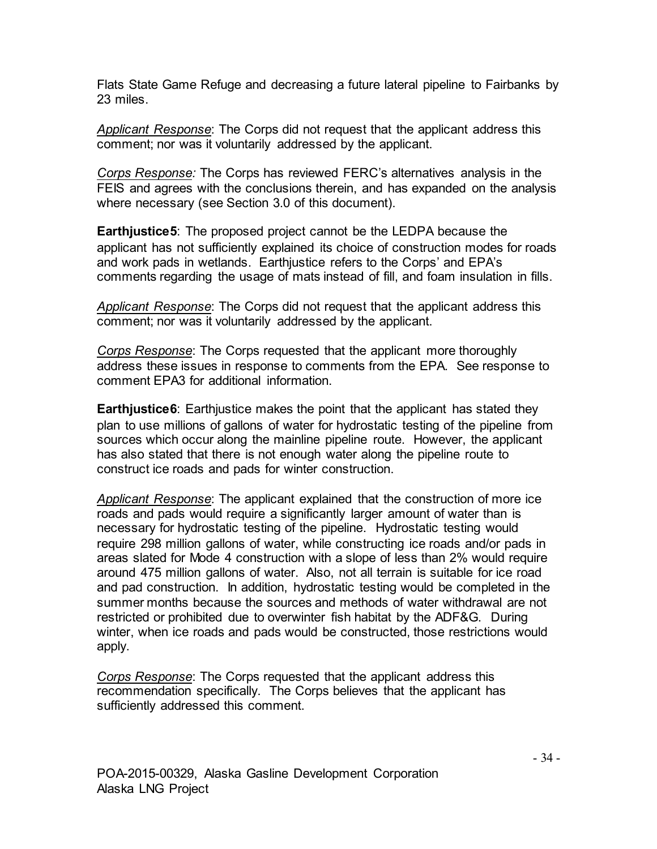Flats State Game Refuge and decreasing a future lateral pipeline to Fairbanks by 23 miles.

*Applicant Response*: The Corps did not request that the applicant address this comment; nor was it voluntarily addressed by the applicant.

*Corps Response:* The Corps has reviewed FERC's alternatives analysis in the FEIS and agrees with the conclusions therein, and has expanded on the analysis where necessary (see Section 3.0 of this document).

**Earthjustice5**: The proposed project cannot be the LEDPA because the applicant has not sufficiently explained its choice of construction modes for roads and work pads in wetlands. Earthjustice refers to the Corps' and EPA's comments regarding the usage of mats instead of fill, and foam insulation in fills.

*Applicant Response*: The Corps did not request that the applicant address this comment; nor was it voluntarily addressed by the applicant.

*Corps Response*: The Corps requested that the applicant more thoroughly address these issues in response to comments from the EPA. See response to comment EPA3 for additional information.

**Earthjustice6**: Earthjustice makes the point that the applicant has stated they plan to use millions of gallons of water for hydrostatic testing of the pipeline from sources which occur along the mainline pipeline route. However, the applicant has also stated that there is not enough water along the pipeline route to construct ice roads and pads for winter construction.

*Applicant Response*: The applicant explained that the construction of more ice roads and pads would require a significantly larger amount of water than is necessary for hydrostatic testing of the pipeline. Hydrostatic testing would require 298 million gallons of water, while constructing ice roads and/or pads in areas slated for Mode 4 construction with a slope of less than 2% would require around 475 million gallons of water. Also, not all terrain is suitable for ice road and pad construction. In addition, hydrostatic testing would be completed in the summer months because the sources and methods of water withdrawal are not restricted or prohibited due to overwinter fish habitat by the ADF&G. During winter, when ice roads and pads would be constructed, those restrictions would apply.

*Corps Response*: The Corps requested that the applicant address this recommendation specifically. The Corps believes that the applicant has sufficiently addressed this comment.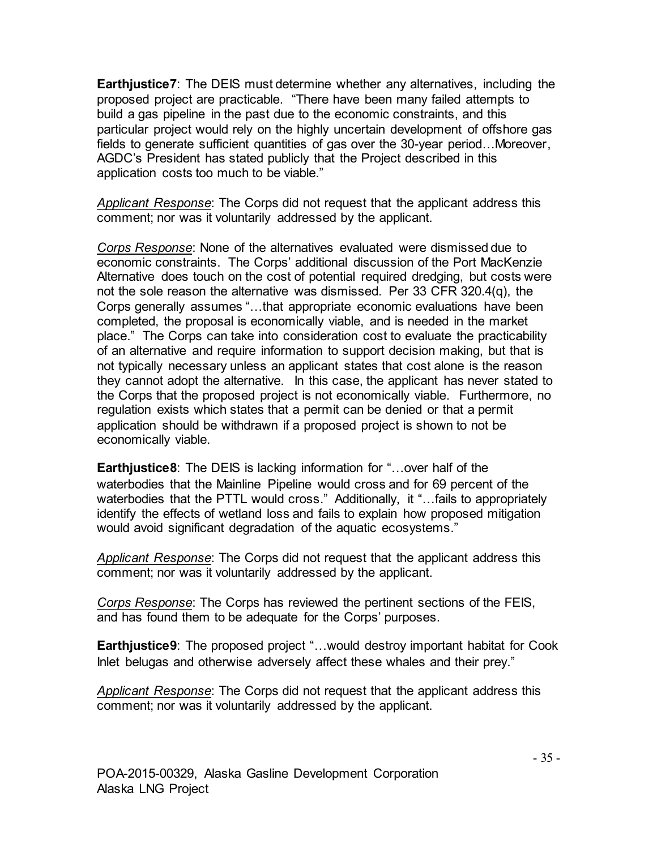**Earthjustice7**: The DEIS must determine whether any alternatives, including the proposed project are practicable. "There have been many failed attempts to build a gas pipeline in the past due to the economic constraints, and this particular project would rely on the highly uncertain development of offshore gas fields to generate sufficient quantities of gas over the 30-year period…Moreover, AGDC's President has stated publicly that the Project described in this application costs too much to be viable."

*Applicant Response*: The Corps did not request that the applicant address this comment; nor was it voluntarily addressed by the applicant.

*Corps Response*: None of the alternatives evaluated were dismissed due to economic constraints. The Corps' additional discussion of the Port MacKenzie Alternative does touch on the cost of potential required dredging, but costs were not the sole reason the alternative was dismissed. Per 33 CFR 320.4(q), the Corps generally assumes "…that appropriate economic evaluations have been completed, the proposal is economically viable, and is needed in the market place." The Corps can take into consideration cost to evaluate the practicability of an alternative and require information to support decision making, but that is not typically necessary unless an applicant states that cost alone is the reason they cannot adopt the alternative. In this case, the applicant has never stated to the Corps that the proposed project is not economically viable. Furthermore, no regulation exists which states that a permit can be denied or that a permit application should be withdrawn if a proposed project is shown to not be economically viable.

**Earthjustice8**: The DEIS is lacking information for "…over half of the waterbodies that the Mainline Pipeline would cross and for 69 percent of the waterbodies that the PTTL would cross." Additionally, it "...fails to appropriately identify the effects of wetland loss and fails to explain how proposed mitigation would avoid significant degradation of the aquatic ecosystems."

*Applicant Response*: The Corps did not request that the applicant address this comment; nor was it voluntarily addressed by the applicant.

*Corps Response*: The Corps has reviewed the pertinent sections of the FEIS, and has found them to be adequate for the Corps' purposes.

**Earthjustice9**: The proposed project "…would destroy important habitat for Cook Inlet belugas and otherwise adversely affect these whales and their prey."

*Applicant Response*: The Corps did not request that the applicant address this comment; nor was it voluntarily addressed by the applicant.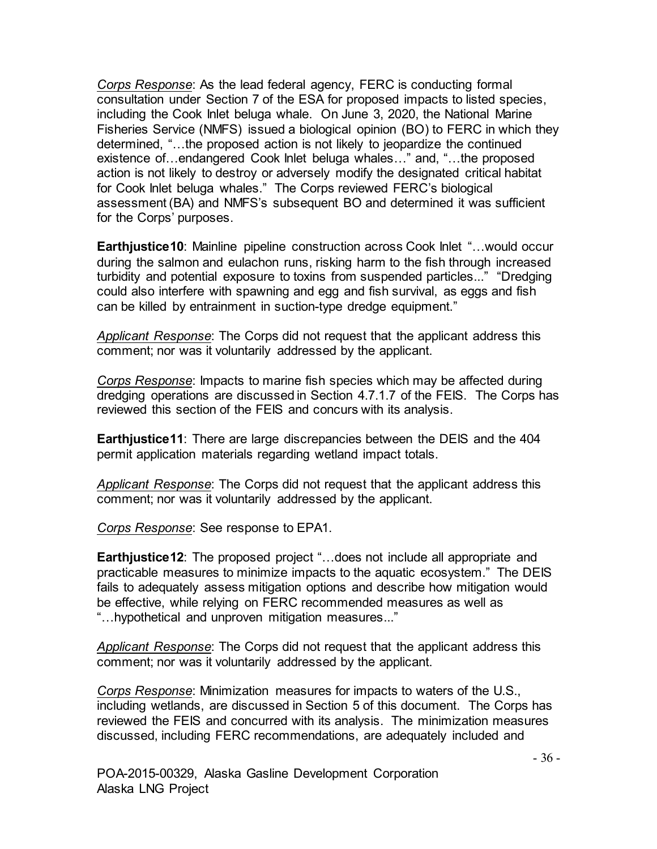*Corps Response*: As the lead federal agency, FERC is conducting formal consultation under Section 7 of the ESA for proposed impacts to listed species, including the Cook Inlet beluga whale. On June 3, 2020, the National Marine Fisheries Service (NMFS) issued a biological opinion (BO) to FERC in which they determined, "…the proposed action is not likely to jeopardize the continued existence of…endangered Cook Inlet beluga whales…" and, "…the proposed action is not likely to destroy or adversely modify the designated critical habitat for Cook Inlet beluga whales." The Corps reviewed FERC's biological assessment (BA) and NMFS's subsequent BO and determined it was sufficient for the Corps' purposes.

**Earthjustice10**: Mainline pipeline construction across Cook Inlet "…would occur during the salmon and eulachon runs, risking harm to the fish through increased turbidity and potential exposure to toxins from suspended particles..." "Dredging could also interfere with spawning and egg and fish survival, as eggs and fish can be killed by entrainment in suction-type dredge equipment."

*Applicant Response*: The Corps did not request that the applicant address this comment; nor was it voluntarily addressed by the applicant.

*Corps Response*: Impacts to marine fish species which may be affected during dredging operations are discussed in Section 4.7.1.7 of the FEIS. The Corps has reviewed this section of the FEIS and concurs with its analysis.

**Earthjustice11**: There are large discrepancies between the DEIS and the 404 permit application materials regarding wetland impact totals.

*Applicant Response*: The Corps did not request that the applicant address this comment; nor was it voluntarily addressed by the applicant.

*Corps Response*: See response to EPA1.

**Earthjustice12**: The proposed project "…does not include all appropriate and practicable measures to minimize impacts to the aquatic ecosystem." The DEIS fails to adequately assess mitigation options and describe how mitigation would be effective, while relying on FERC recommended measures as well as "…hypothetical and unproven mitigation measures..."

*Applicant Response*: The Corps did not request that the applicant address this comment; nor was it voluntarily addressed by the applicant.

*Corps Response*: Minimization measures for impacts to waters of the U.S., including wetlands, are discussed in Section 5 of this document. The Corps has reviewed the FEIS and concurred with its analysis. The minimization measures discussed, including FERC recommendations, are adequately included and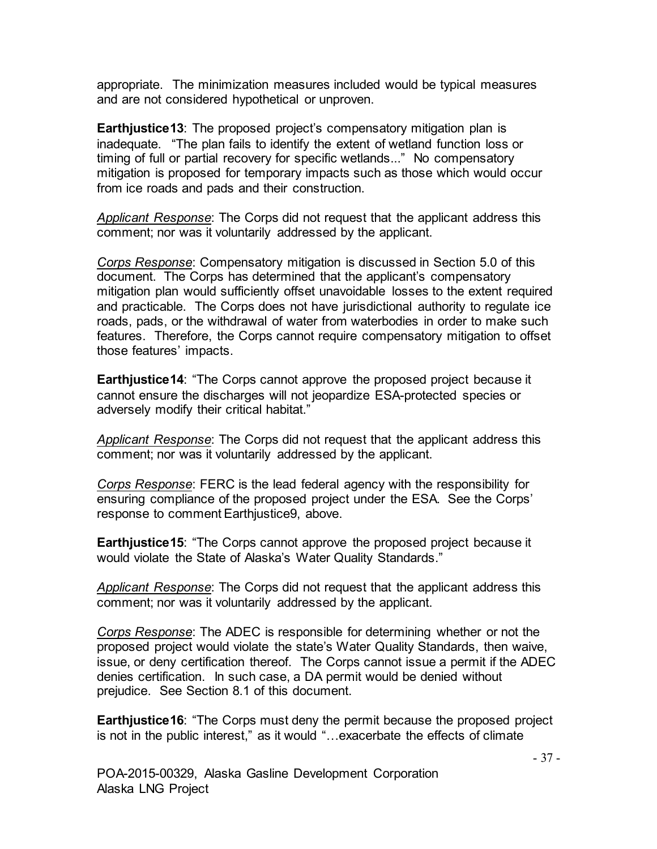appropriate. The minimization measures included would be typical measures and are not considered hypothetical or unproven.

**Earthjustice13**: The proposed project's compensatory mitigation plan is inadequate. "The plan fails to identify the extent of wetland function loss or timing of full or partial recovery for specific wetlands..." No compensatory mitigation is proposed for temporary impacts such as those which would occur from ice roads and pads and their construction.

*Applicant Response*: The Corps did not request that the applicant address this comment; nor was it voluntarily addressed by the applicant.

*Corps Response*: Compensatory mitigation is discussed in Section 5.0 of this document. The Corps has determined that the applicant's compensatory mitigation plan would sufficiently offset unavoidable losses to the extent required and practicable. The Corps does not have jurisdictional authority to regulate ice roads, pads, or the withdrawal of water from waterbodies in order to make such features. Therefore, the Corps cannot require compensatory mitigation to offset those features' impacts.

**Earthjustice14**: "The Corps cannot approve the proposed project because it cannot ensure the discharges will not jeopardize ESA-protected species or adversely modify their critical habitat."

*Applicant Response*: The Corps did not request that the applicant address this comment; nor was it voluntarily addressed by the applicant.

*Corps Response*: FERC is the lead federal agency with the responsibility for ensuring compliance of the proposed project under the ESA. See the Corps' response to comment Earthjustice9, above.

**Earthjustice15**: "The Corps cannot approve the proposed project because it would violate the State of Alaska's Water Quality Standards."

*Applicant Response*: The Corps did not request that the applicant address this comment; nor was it voluntarily addressed by the applicant.

*Corps Response*: The ADEC is responsible for determining whether or not the proposed project would violate the state's Water Quality Standards, then waive, issue, or deny certification thereof. The Corps cannot issue a permit if the ADEC denies certification. In such case, a DA permit would be denied without prejudice. See Section 8.1 of this document.

**Earthjustice16**: "The Corps must deny the permit because the proposed project is not in the public interest," as it would "…exacerbate the effects of climate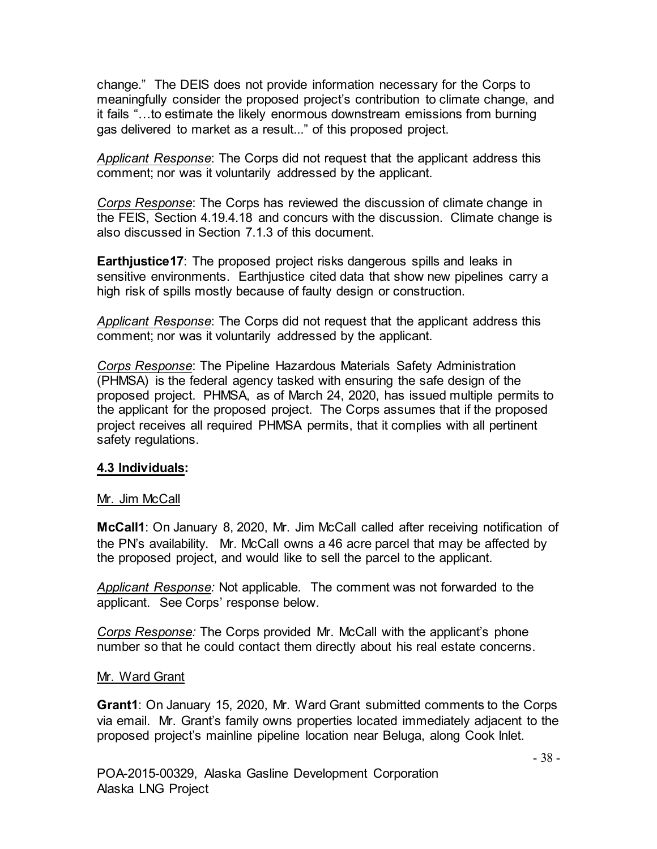change." The DEIS does not provide information necessary for the Corps to meaningfully consider the proposed project's contribution to climate change, and it fails "…to estimate the likely enormous downstream emissions from burning gas delivered to market as a result..." of this proposed project.

*Applicant Response*: The Corps did not request that the applicant address this comment; nor was it voluntarily addressed by the applicant.

*Corps Response*: The Corps has reviewed the discussion of climate change in the FEIS, Section 4.19.4.18 and concurs with the discussion. Climate change is also discussed in Section 7.1.3 of this document.

**Earthjustice17**: The proposed project risks dangerous spills and leaks in sensitive environments. Earthjustice cited data that show new pipelines carry a high risk of spills mostly because of faulty design or construction.

*Applicant Response*: The Corps did not request that the applicant address this comment; nor was it voluntarily addressed by the applicant.

*Corps Response*: The Pipeline Hazardous Materials Safety Administration (PHMSA) is the federal agency tasked with ensuring the safe design of the proposed project. PHMSA, as of March 24, 2020, has issued multiple permits to the applicant for the proposed project. The Corps assumes that if the proposed project receives all required PHMSA permits, that it complies with all pertinent safety regulations.

#### **4.3 Individuals:**

#### Mr. Jim McCall

**McCall1**: On January 8, 2020, Mr. Jim McCall called after receiving notification of the PN's availability. Mr. McCall owns a 46 acre parcel that may be affected by the proposed project, and would like to sell the parcel to the applicant.

*Applicant Response:* Not applicable. The comment was not forwarded to the applicant. See Corps' response below.

*Corps Response:* The Corps provided Mr. McCall with the applicant's phone number so that he could contact them directly about his real estate concerns.

#### Mr. Ward Grant

**Grant1**: On January 15, 2020, Mr. Ward Grant submitted comments to the Corps via email. Mr. Grant's family owns properties located immediately adjacent to the proposed project's mainline pipeline location near Beluga, along Cook Inlet.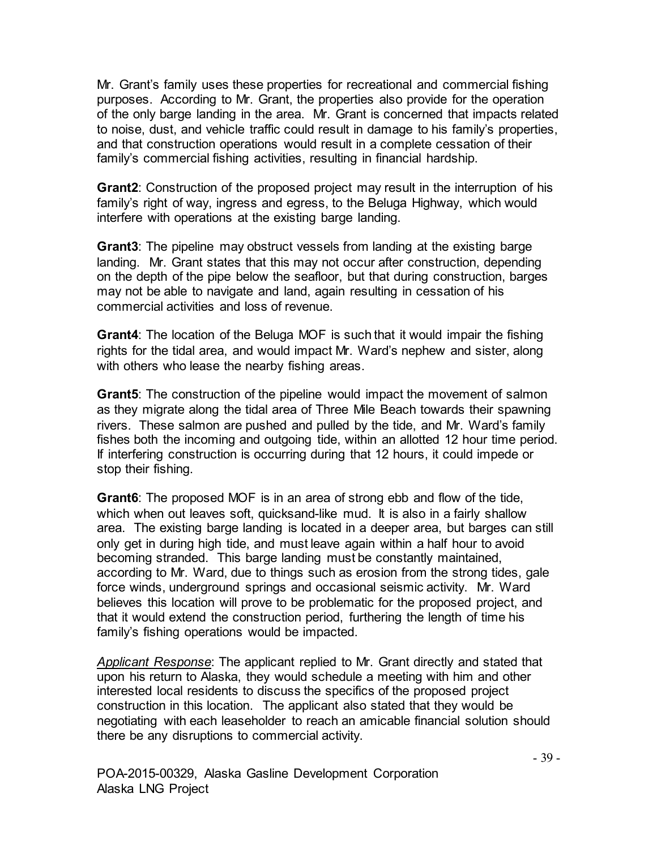Mr. Grant's family uses these properties for recreational and commercial fishing purposes. According to Mr. Grant, the properties also provide for the operation of the only barge landing in the area. Mr. Grant is concerned that impacts related to noise, dust, and vehicle traffic could result in damage to his family's properties, and that construction operations would result in a complete cessation of their family's commercial fishing activities, resulting in financial hardship.

**Grant2**: Construction of the proposed project may result in the interruption of his family's right of way, ingress and egress, to the Beluga Highway, which would interfere with operations at the existing barge landing.

**Grant3**: The pipeline may obstruct vessels from landing at the existing barge landing. Mr. Grant states that this may not occur after construction, depending on the depth of the pipe below the seafloor, but that during construction, barges may not be able to navigate and land, again resulting in cessation of his commercial activities and loss of revenue.

**Grant4**: The location of the Beluga MOF is such that it would impair the fishing rights for the tidal area, and would impact Mr. Ward's nephew and sister, along with others who lease the nearby fishing areas.

**Grant5**: The construction of the pipeline would impact the movement of salmon as they migrate along the tidal area of Three Mile Beach towards their spawning rivers. These salmon are pushed and pulled by the tide, and Mr. Ward's family fishes both the incoming and outgoing tide, within an allotted 12 hour time period. If interfering construction is occurring during that 12 hours, it could impede or stop their fishing.

**Grant6**: The proposed MOF is in an area of strong ebb and flow of the tide, which when out leaves soft, quicksand-like mud. It is also in a fairly shallow area. The existing barge landing is located in a deeper area, but barges can still only get in during high tide, and must leave again within a half hour to avoid becoming stranded. This barge landing must be constantly maintained, according to Mr. Ward, due to things such as erosion from the strong tides, gale force winds, underground springs and occasional seismic activity. Mr. Ward believes this location will prove to be problematic for the proposed project, and that it would extend the construction period, furthering the length of time his family's fishing operations would be impacted.

*Applicant Response*: The applicant replied to Mr. Grant directly and stated that upon his return to Alaska, they would schedule a meeting with him and other interested local residents to discuss the specifics of the proposed project construction in this location. The applicant also stated that they would be negotiating with each leaseholder to reach an amicable financial solution should there be any disruptions to commercial activity.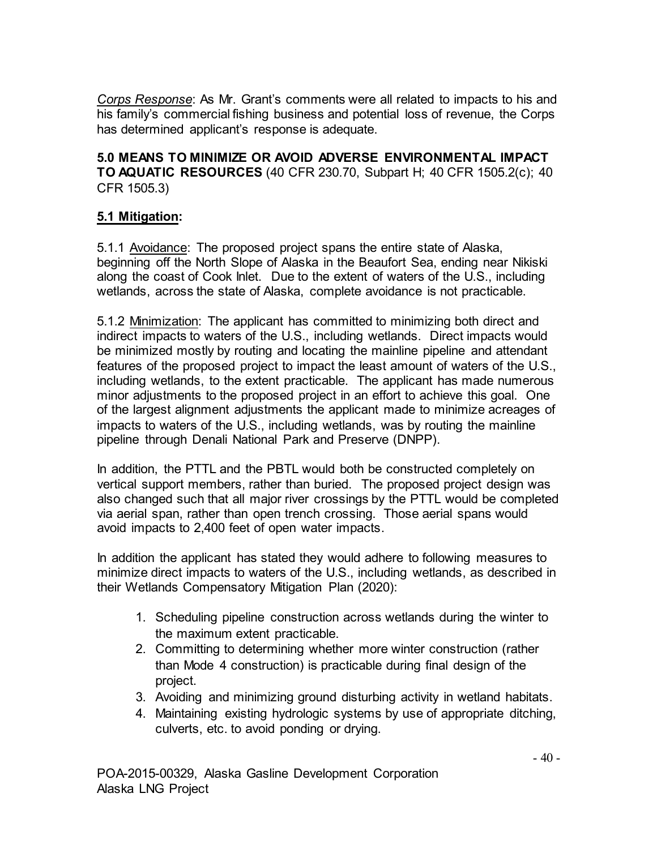*Corps Response*: As Mr. Grant's comments were all related to impacts to his and his family's commercial fishing business and potential loss of revenue, the Corps has determined applicant's response is adequate.

**5.0 MEANS TO MINIMIZE OR AVOID ADVERSE ENVIRONMENTAL IMPACT TO AQUATIC RESOURCES** (40 CFR 230.70, Subpart H; 40 CFR 1505.2(c); 40 CFR 1505.3)

# **5.1 Mitigation:**

5.1.1 Avoidance: The proposed project spans the entire state of Alaska, beginning off the North Slope of Alaska in the Beaufort Sea, ending near Nikiski along the coast of Cook Inlet. Due to the extent of waters of the U.S., including wetlands, across the state of Alaska, complete avoidance is not practicable.

5.1.2 Minimization: The applicant has committed to minimizing both direct and indirect impacts to waters of the U.S., including wetlands. Direct impacts would be minimized mostly by routing and locating the mainline pipeline and attendant features of the proposed project to impact the least amount of waters of the U.S., including wetlands, to the extent practicable. The applicant has made numerous minor adjustments to the proposed project in an effort to achieve this goal. One of the largest alignment adjustments the applicant made to minimize acreages of impacts to waters of the U.S., including wetlands, was by routing the mainline pipeline through Denali National Park and Preserve (DNPP).

In addition, the PTTL and the PBTL would both be constructed completely on vertical support members, rather than buried. The proposed project design was also changed such that all major river crossings by the PTTL would be completed via aerial span, rather than open trench crossing. Those aerial spans would avoid impacts to 2,400 feet of open water impacts.

In addition the applicant has stated they would adhere to following measures to minimize direct impacts to waters of the U.S., including wetlands, as described in their Wetlands Compensatory Mitigation Plan (2020):

- 1. Scheduling pipeline construction across wetlands during the winter to the maximum extent practicable.
- 2. Committing to determining whether more winter construction (rather than Mode 4 construction) is practicable during final design of the project.
- 3. Avoiding and minimizing ground disturbing activity in wetland habitats.
- 4. Maintaining existing hydrologic systems by use of appropriate ditching, culverts, etc. to avoid ponding or drying.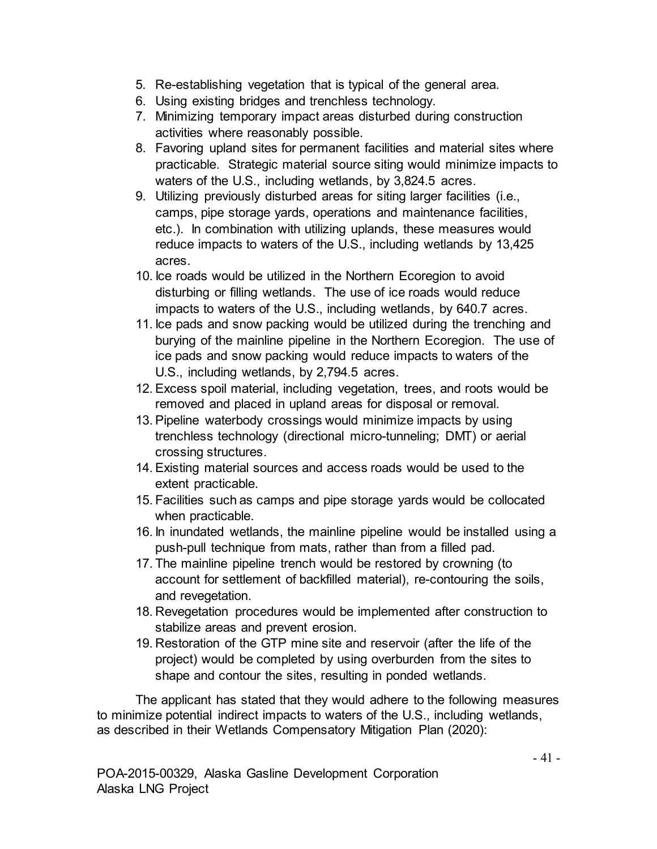- 5. Re-establishing vegetation that is typical of the general area.
- 6. Using existing bridges and trenchless technology.
- 7. Minimizing temporary impact areas disturbed during construction activities where reasonably possible.
- 8. Favoring upland sites for permanent facilities and material sites where practicable. Strategic material source siting would minimize impacts to waters of the U.S., including wetlands, by 3,824.5 acres.
- 9. Utilizing previously disturbed areas for siting larger facilities (i.e., camps, pipe storage yards, operations and maintenance facilities, etc.). In combination with utilizing uplands, these measures would reduce impacts to waters of the U.S., including wetlands by 13,425 acres.
- 10. Ice roads would be utilized in the Northern Ecoregion to avoid disturbing or filling wetlands. The use of ice roads would reduce impacts to waters of the U.S., including wetlands, by 640.7 acres.
- 11. Ice pads and snow packing would be utilized during the trenching and burying of the mainline pipeline in the Northern Ecoregion. The use of ice pads and snow packing would reduce impacts to waters of the U.S., including wetlands, by 2,794.5 acres.
- 12. Excess spoil material, including vegetation, trees, and roots would be removed and placed in upland areas for disposal or removal.
- 13. Pipeline waterbody crossings would minimize impacts by using trenchless technology (directional micro-tunneling; DMT) or aerial crossing structures.
- 14. Existing material sources and access roads would be used to the extent practicable.
- 15. Facilities such as camps and pipe storage yards would be collocated when practicable.
- 16. In inundated wetlands, the mainline pipeline would be installed using a push-pull technique from mats, rather than from a filled pad.
- 17. The mainline pipeline trench would be restored by crowning (to account for settlement of backfilled material), re-contouring the soils, and revegetation.
- 18. Revegetation procedures would be implemented after construction to stabilize areas and prevent erosion.
- 19. Restoration of the GTP mine site and reservoir (after the life of the project) would be completed by using overburden from the sites to shape and contour the sites, resulting in ponded wetlands.

The applicant has stated that they would adhere to the following measures to minimize potential indirect impacts to waters of the U.S., including wetlands, as described in their Wetlands Compensatory Mitigation Plan (2020):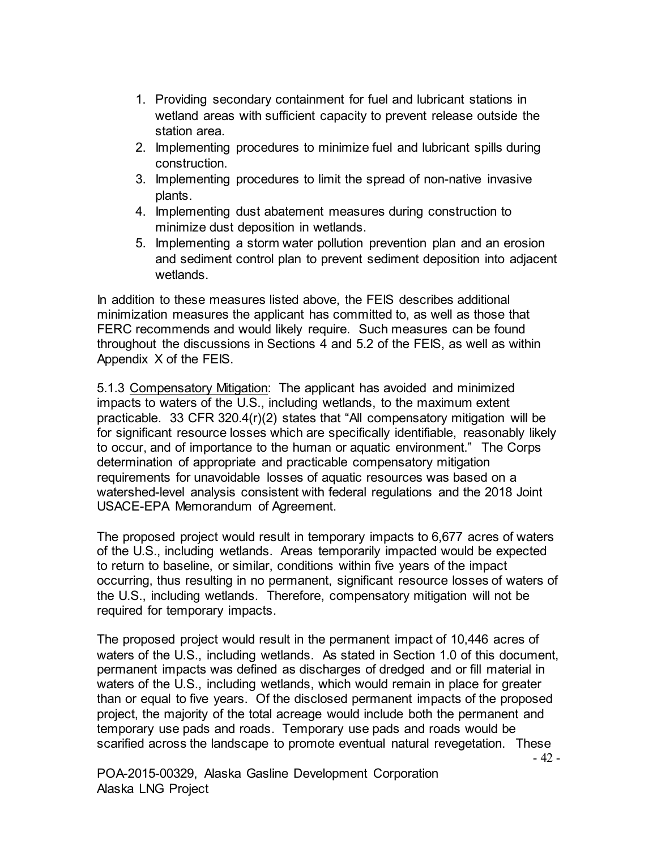- 1. Providing secondary containment for fuel and lubricant stations in wetland areas with sufficient capacity to prevent release outside the station area.
- 2. Implementing procedures to minimize fuel and lubricant spills during construction.
- 3. Implementing procedures to limit the spread of non-native invasive plants.
- 4. Implementing dust abatement measures during construction to minimize dust deposition in wetlands.
- 5. Implementing a storm water pollution prevention plan and an erosion and sediment control plan to prevent sediment deposition into adjacent wetlands.

In addition to these measures listed above, the FEIS describes additional minimization measures the applicant has committed to, as well as those that FERC recommends and would likely require. Such measures can be found throughout the discussions in Sections 4 and 5.2 of the FEIS, as well as within Appendix X of the FEIS.

5.1.3 Compensatory Mitigation: The applicant has avoided and minimized impacts to waters of the U.S., including wetlands, to the maximum extent practicable. 33 CFR 320.4(r)(2) states that "All compensatory mitigation will be for significant resource losses which are specifically identifiable, reasonably likely to occur, and of importance to the human or aquatic environment." The Corps determination of appropriate and practicable compensatory mitigation requirements for unavoidable losses of aquatic resources was based on a watershed-level analysis consistent with federal regulations and the 2018 Joint USACE-EPA Memorandum of Agreement.

The proposed project would result in temporary impacts to 6,677 acres of waters of the U.S., including wetlands. Areas temporarily impacted would be expected to return to baseline, or similar, conditions within five years of the impact occurring, thus resulting in no permanent, significant resource losses of waters of the U.S., including wetlands. Therefore, compensatory mitigation will not be required for temporary impacts.

The proposed project would result in the permanent impact of 10,446 acres of waters of the U.S., including wetlands. As stated in Section 1.0 of this document, permanent impacts was defined as discharges of dredged and or fill material in waters of the U.S., including wetlands, which would remain in place for greater than or equal to five years. Of the disclosed permanent impacts of the proposed project, the majority of the total acreage would include both the permanent and temporary use pads and roads. Temporary use pads and roads would be scarified across the landscape to promote eventual natural revegetation. These

POA-2015-00329, Alaska Gasline Development Corporation Alaska LNG Project

 $-42-$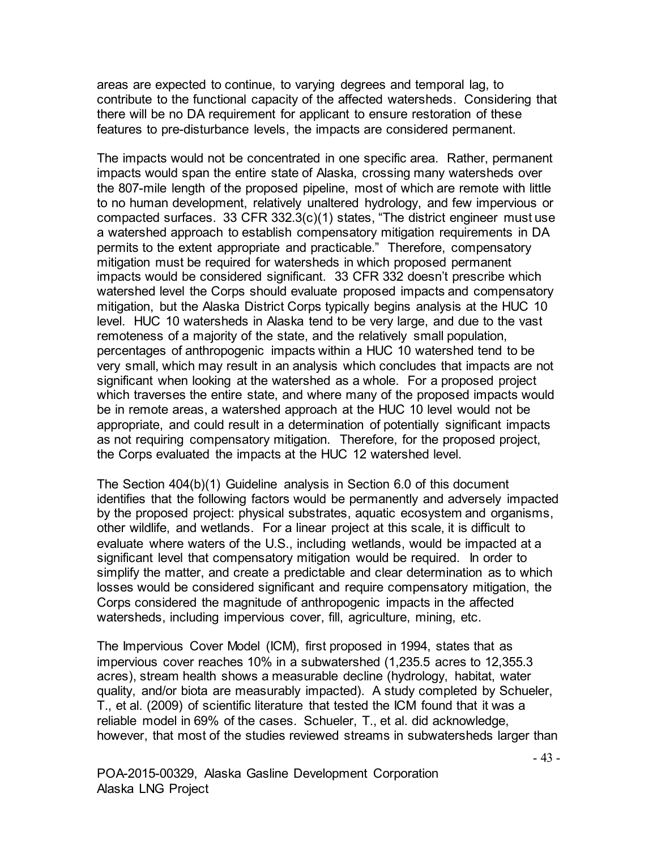areas are expected to continue, to varying degrees and temporal lag, to contribute to the functional capacity of the affected watersheds. Considering that there will be no DA requirement for applicant to ensure restoration of these features to pre-disturbance levels, the impacts are considered permanent.

The impacts would not be concentrated in one specific area. Rather, permanent impacts would span the entire state of Alaska, crossing many watersheds over the 807-mile length of the proposed pipeline, most of which are remote with little to no human development, relatively unaltered hydrology, and few impervious or compacted surfaces. 33 CFR 332.3(c)(1) states, "The district engineer must use a watershed approach to establish compensatory mitigation requirements in DA permits to the extent appropriate and practicable." Therefore, compensatory mitigation must be required for watersheds in which proposed permanent impacts would be considered significant. 33 CFR 332 doesn't prescribe which watershed level the Corps should evaluate proposed impacts and compensatory mitigation, but the Alaska District Corps typically begins analysis at the HUC 10 level. HUC 10 watersheds in Alaska tend to be very large, and due to the vast remoteness of a majority of the state, and the relatively small population, percentages of anthropogenic impacts within a HUC 10 watershed tend to be very small, which may result in an analysis which concludes that impacts are not significant when looking at the watershed as a whole. For a proposed project which traverses the entire state, and where many of the proposed impacts would be in remote areas, a watershed approach at the HUC 10 level would not be appropriate, and could result in a determination of potentially significant impacts as not requiring compensatory mitigation. Therefore, for the proposed project, the Corps evaluated the impacts at the HUC 12 watershed level.

The Section 404(b)(1) Guideline analysis in Section 6.0 of this document identifies that the following factors would be permanently and adversely impacted by the proposed project: physical substrates, aquatic ecosystem and organisms, other wildlife, and wetlands. For a linear project at this scale, it is difficult to evaluate where waters of the U.S., including wetlands, would be impacted at a significant level that compensatory mitigation would be required. In order to simplify the matter, and create a predictable and clear determination as to which losses would be considered significant and require compensatory mitigation, the Corps considered the magnitude of anthropogenic impacts in the affected watersheds, including impervious cover, fill, agriculture, mining, etc.

The Impervious Cover Model (ICM), first proposed in 1994, states that as impervious cover reaches 10% in a subwatershed (1,235.5 acres to 12,355.3 acres), stream health shows a measurable decline (hydrology, habitat, water quality, and/or biota are measurably impacted). A study completed by Schueler, T., et al. (2009) of scientific literature that tested the ICM found that it was a reliable model in 69% of the cases. Schueler, T., et al. did acknowledge, however, that most of the studies reviewed streams in subwatersheds larger than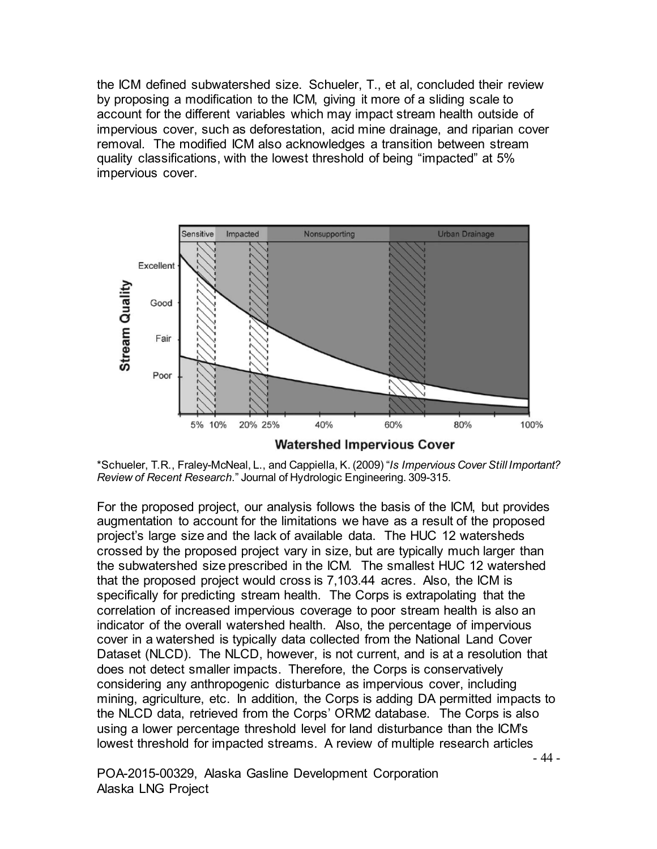the ICM defined subwatershed size. Schueler, T., et al, concluded their review by proposing a modification to the ICM, giving it more of a sliding scale to account for the different variables which may impact stream health outside of impervious cover, such as deforestation, acid mine drainage, and riparian cover removal. The modified ICM also acknowledges a transition between stream quality classifications, with the lowest threshold of being "impacted" at 5% impervious cover.



\*Schueler, T.R., Fraley-McNeal, L., and Cappiella, K. (2009) "*Is Impervious Cover Still Important? Review of Recent Research*." Journal of Hydrologic Engineering. 309-315.

For the proposed project, our analysis follows the basis of the ICM, but provides augmentation to account for the limitations we have as a result of the proposed project's large size and the lack of available data. The HUC 12 watersheds crossed by the proposed project vary in size, but are typically much larger than the subwatershed size prescribed in the ICM. The smallest HUC 12 watershed that the proposed project would cross is 7,103.44 acres. Also, the ICM is specifically for predicting stream health. The Corps is extrapolating that the correlation of increased impervious coverage to poor stream health is also an indicator of the overall watershed health. Also, the percentage of impervious cover in a watershed is typically data collected from the National Land Cover Dataset (NLCD). The NLCD, however, is not current, and is at a resolution that does not detect smaller impacts. Therefore, the Corps is conservatively considering any anthropogenic disturbance as impervious cover, including mining, agriculture, etc. In addition, the Corps is adding DA permitted impacts to the NLCD data, retrieved from the Corps' ORM2 database. The Corps is also using a lower percentage threshold level for land disturbance than the ICM's lowest threshold for impacted streams. A review of multiple research articles

POA-2015-00329, Alaska Gasline Development Corporation Alaska LNG Project

- 44 -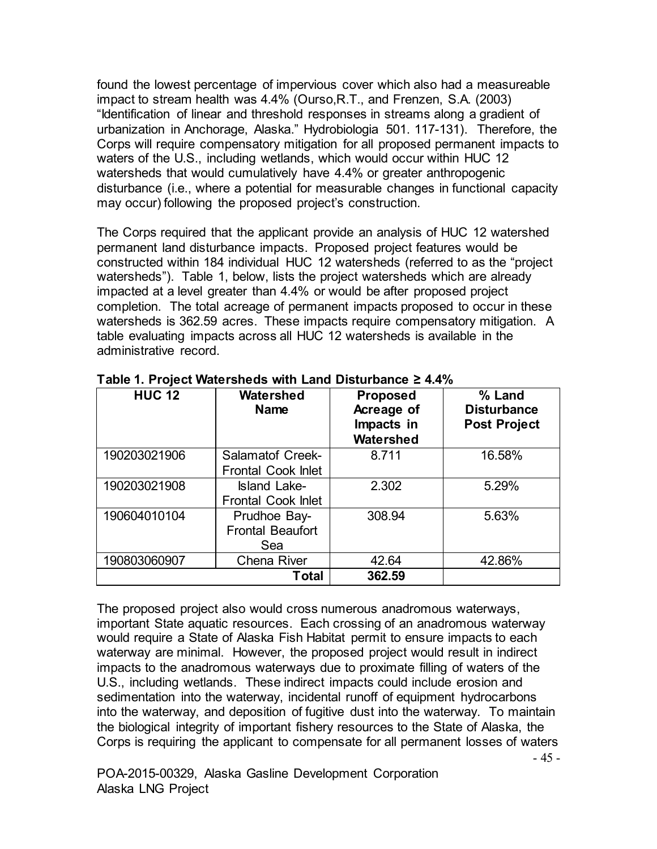found the lowest percentage of impervious cover which also had a measureable impact to stream health was 4.4% (Ourso,R.T., and Frenzen, S.A. (2003) "Identification of linear and threshold responses in streams along a gradient of urbanization in Anchorage, Alaska." Hydrobiologia 501. 117-131). Therefore, the Corps will require compensatory mitigation for all proposed permanent impacts to waters of the U.S., including wetlands, which would occur within HUC 12 watersheds that would cumulatively have 4.4% or greater anthropogenic disturbance (i.e., where a potential for measurable changes in functional capacity may occur) following the proposed project's construction.

The Corps required that the applicant provide an analysis of HUC 12 watershed permanent land disturbance impacts. Proposed project features would be constructed within 184 individual HUC 12 watersheds (referred to as the "project watersheds"). Table 1, below, lists the project watersheds which are already impacted at a level greater than 4.4% or would be after proposed project completion. The total acreage of permanent impacts proposed to occur in these watersheds is 362.59 acres. These impacts require compensatory mitigation. A table evaluating impacts across all HUC 12 watersheds is available in the administrative record.

| <b>HUC 12</b> | Watershed<br><b>Name</b>                             | <b>Proposed</b><br>Acreage of<br>Impacts in<br>Watershed | % Land<br><b>Disturbance</b><br><b>Post Project</b> |
|---------------|------------------------------------------------------|----------------------------------------------------------|-----------------------------------------------------|
| 190203021906  | <b>Salamatof Creek-</b><br><b>Frontal Cook Inlet</b> | 8.711                                                    | 16.58%                                              |
| 190203021908  | <b>Island Lake-</b><br>Frontal Cook Inlet            | 2.302                                                    | 5.29%                                               |
| 190604010104  | Prudhoe Bay-<br><b>Frontal Beaufort</b><br>Sea       | 308.94                                                   | 5.63%                                               |
| 190803060907  | <b>Chena River</b>                                   | 42.64                                                    | 42.86%                                              |
|               | Total                                                | 362.59                                                   |                                                     |

**Table 1. Project Watersheds with Land Disturbance ≥ 4.4%**

The proposed project also would cross numerous anadromous waterways, important State aquatic resources. Each crossing of an anadromous waterway would require a State of Alaska Fish Habitat permit to ensure impacts to each waterway are minimal. However, the proposed project would result in indirect impacts to the anadromous waterways due to proximate filling of waters of the U.S., including wetlands. These indirect impacts could include erosion and sedimentation into the waterway, incidental runoff of equipment hydrocarbons into the waterway, and deposition of fugitive dust into the waterway. To maintain the biological integrity of important fishery resources to the State of Alaska, the Corps is requiring the applicant to compensate for all permanent losses of waters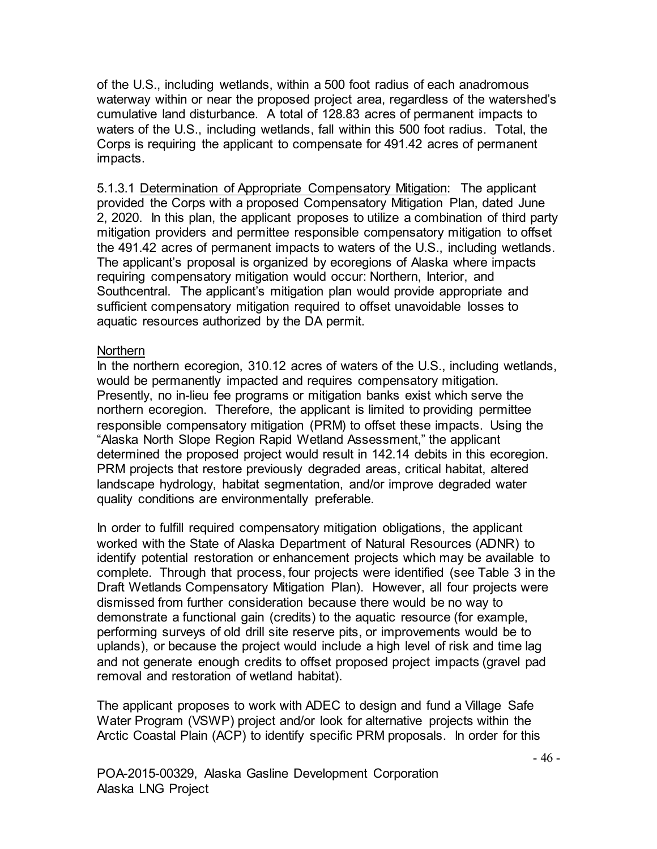of the U.S., including wetlands, within a 500 foot radius of each anadromous waterway within or near the proposed project area, regardless of the watershed's cumulative land disturbance. A total of 128.83 acres of permanent impacts to waters of the U.S., including wetlands, fall within this 500 foot radius. Total, the Corps is requiring the applicant to compensate for 491.42 acres of permanent impacts.

5.1.3.1 Determination of Appropriate Compensatory Mitigation: The applicant provided the Corps with a proposed Compensatory Mitigation Plan, dated June 2, 2020. In this plan, the applicant proposes to utilize a combination of third party mitigation providers and permittee responsible compensatory mitigation to offset the 491.42 acres of permanent impacts to waters of the U.S., including wetlands. The applicant's proposal is organized by ecoregions of Alaska where impacts requiring compensatory mitigation would occur: Northern, Interior, and Southcentral. The applicant's mitigation plan would provide appropriate and sufficient compensatory mitigation required to offset unavoidable losses to aquatic resources authorized by the DA permit.

#### **Northern**

In the northern ecoregion, 310.12 acres of waters of the U.S., including wetlands, would be permanently impacted and requires compensatory mitigation. Presently, no in-lieu fee programs or mitigation banks exist which serve the northern ecoregion. Therefore, the applicant is limited to providing permittee responsible compensatory mitigation (PRM) to offset these impacts. Using the "Alaska North Slope Region Rapid Wetland Assessment," the applicant determined the proposed project would result in 142.14 debits in this ecoregion. PRM projects that restore previously degraded areas, critical habitat, altered landscape hydrology, habitat segmentation, and/or improve degraded water quality conditions are environmentally preferable.

In order to fulfill required compensatory mitigation obligations, the applicant worked with the State of Alaska Department of Natural Resources (ADNR) to identify potential restoration or enhancement projects which may be available to complete. Through that process, four projects were identified (see Table 3 in the Draft Wetlands Compensatory Mitigation Plan). However, all four projects were dismissed from further consideration because there would be no way to demonstrate a functional gain (credits) to the aquatic resource (for example, performing surveys of old drill site reserve pits, or improvements would be to uplands), or because the project would include a high level of risk and time lag and not generate enough credits to offset proposed project impacts (gravel pad removal and restoration of wetland habitat).

The applicant proposes to work with ADEC to design and fund a Village Safe Water Program (VSWP) project and/or look for alternative projects within the Arctic Coastal Plain (ACP) to identify specific PRM proposals. In order for this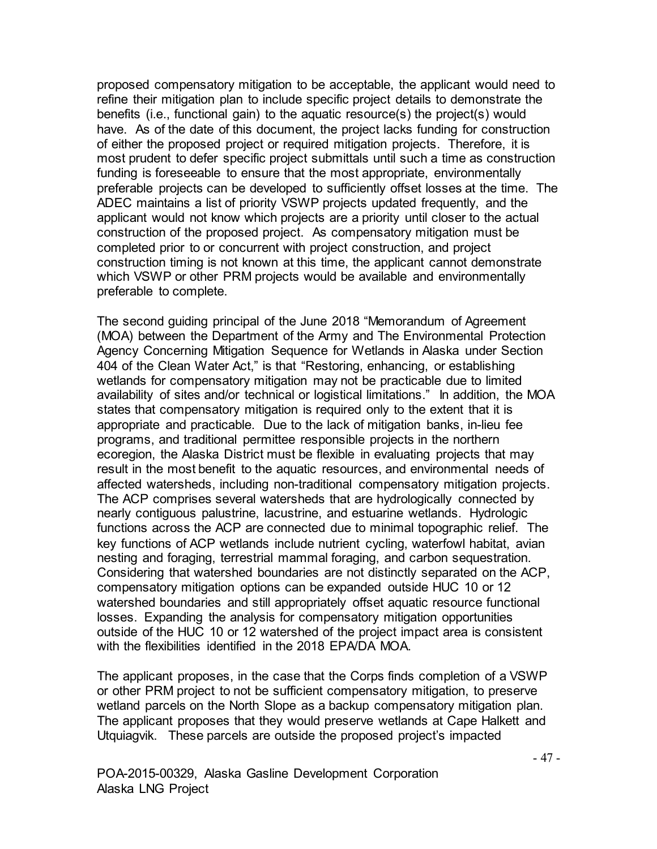proposed compensatory mitigation to be acceptable, the applicant would need to refine their mitigation plan to include specific project details to demonstrate the benefits (i.e., functional gain) to the aquatic resource(s) the project(s) would have. As of the date of this document, the project lacks funding for construction of either the proposed project or required mitigation projects. Therefore, it is most prudent to defer specific project submittals until such a time as construction funding is foreseeable to ensure that the most appropriate, environmentally preferable projects can be developed to sufficiently offset losses at the time. The ADEC maintains a list of priority VSWP projects updated frequently, and the applicant would not know which projects are a priority until closer to the actual construction of the proposed project. As compensatory mitigation must be completed prior to or concurrent with project construction, and project construction timing is not known at this time, the applicant cannot demonstrate which VSWP or other PRM projects would be available and environmentally preferable to complete.

The second guiding principal of the June 2018 "Memorandum of Agreement (MOA) between the Department of the Army and The Environmental Protection Agency Concerning Mitigation Sequence for Wetlands in Alaska under Section 404 of the Clean Water Act," is that "Restoring, enhancing, or establishing wetlands for compensatory mitigation may not be practicable due to limited availability of sites and/or technical or logistical limitations." In addition, the MOA states that compensatory mitigation is required only to the extent that it is appropriate and practicable. Due to the lack of mitigation banks, in-lieu fee programs, and traditional permittee responsible projects in the northern ecoregion, the Alaska District must be flexible in evaluating projects that may result in the most benefit to the aquatic resources, and environmental needs of affected watersheds, including non-traditional compensatory mitigation projects. The ACP comprises several watersheds that are hydrologically connected by nearly contiguous palustrine, lacustrine, and estuarine wetlands. Hydrologic functions across the ACP are connected due to minimal topographic relief. The key functions of ACP wetlands include nutrient cycling, waterfowl habitat, avian nesting and foraging, terrestrial mammal foraging, and carbon sequestration. Considering that watershed boundaries are not distinctly separated on the ACP, compensatory mitigation options can be expanded outside HUC 10 or 12 watershed boundaries and still appropriately offset aquatic resource functional losses. Expanding the analysis for compensatory mitigation opportunities outside of the HUC 10 or 12 watershed of the project impact area is consistent with the flexibilities identified in the 2018 EPA/DA MOA.

The applicant proposes, in the case that the Corps finds completion of a VSWP or other PRM project to not be sufficient compensatory mitigation, to preserve wetland parcels on the North Slope as a backup compensatory mitigation plan. The applicant proposes that they would preserve wetlands at Cape Halkett and Utquiagvik. These parcels are outside the proposed project's impacted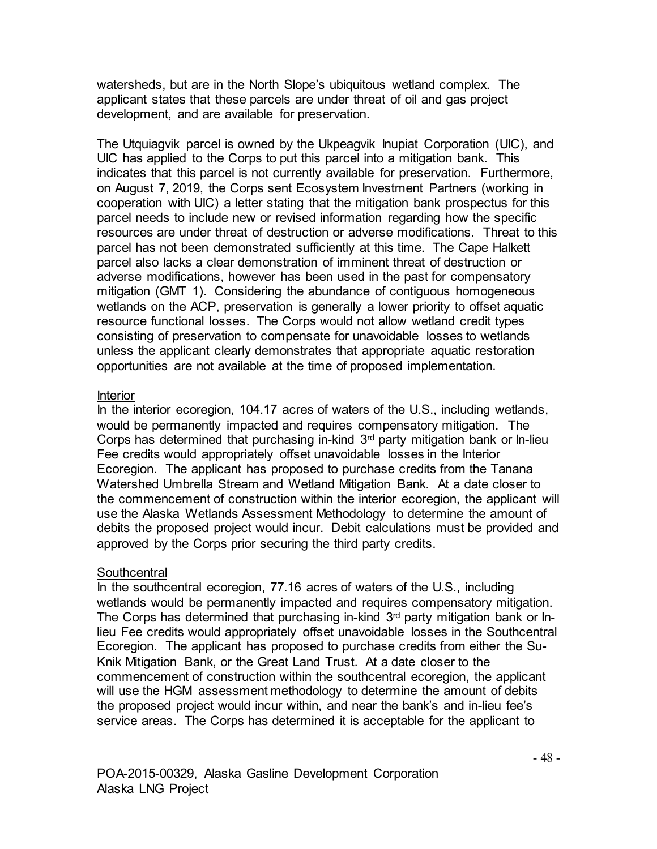watersheds, but are in the North Slope's ubiquitous wetland complex. The applicant states that these parcels are under threat of oil and gas project development, and are available for preservation.

The Utquiagvik parcel is owned by the Ukpeagvik Inupiat Corporation (UIC), and UIC has applied to the Corps to put this parcel into a mitigation bank. This indicates that this parcel is not currently available for preservation. Furthermore, on August 7, 2019, the Corps sent Ecosystem Investment Partners (working in cooperation with UIC) a letter stating that the mitigation bank prospectus for this parcel needs to include new or revised information regarding how the specific resources are under threat of destruction or adverse modifications. Threat to this parcel has not been demonstrated sufficiently at this time. The Cape Halkett parcel also lacks a clear demonstration of imminent threat of destruction or adverse modifications, however has been used in the past for compensatory mitigation (GMT 1). Considering the abundance of contiguous homogeneous wetlands on the ACP, preservation is generally a lower priority to offset aquatic resource functional losses. The Corps would not allow wetland credit types consisting of preservation to compensate for unavoidable losses to wetlands unless the applicant clearly demonstrates that appropriate aquatic restoration opportunities are not available at the time of proposed implementation.

#### Interior

In the interior ecoregion, 104.17 acres of waters of the U.S., including wetlands, would be permanently impacted and requires compensatory mitigation. The Corps has determined that purchasing in-kind  $3<sup>rd</sup>$  party mitigation bank or In-lieu Fee credits would appropriately offset unavoidable losses in the Interior Ecoregion. The applicant has proposed to purchase credits from the Tanana Watershed Umbrella Stream and Wetland Mitigation Bank. At a date closer to the commencement of construction within the interior ecoregion, the applicant will use the Alaska Wetlands Assessment Methodology to determine the amount of debits the proposed project would incur. Debit calculations must be provided and approved by the Corps prior securing the third party credits.

#### **Southcentral**

In the southcentral ecoregion, 77.16 acres of waters of the U.S., including wetlands would be permanently impacted and requires compensatory mitigation. The Corps has determined that purchasing in-kind 3<sup>rd</sup> party mitigation bank or Inlieu Fee credits would appropriately offset unavoidable losses in the Southcentral Ecoregion. The applicant has proposed to purchase credits from either the Su-Knik Mitigation Bank, or the Great Land Trust. At a date closer to the commencement of construction within the southcentral ecoregion, the applicant will use the HGM assessment methodology to determine the amount of debits the proposed project would incur within, and near the bank's and in-lieu fee's service areas. The Corps has determined it is acceptable for the applicant to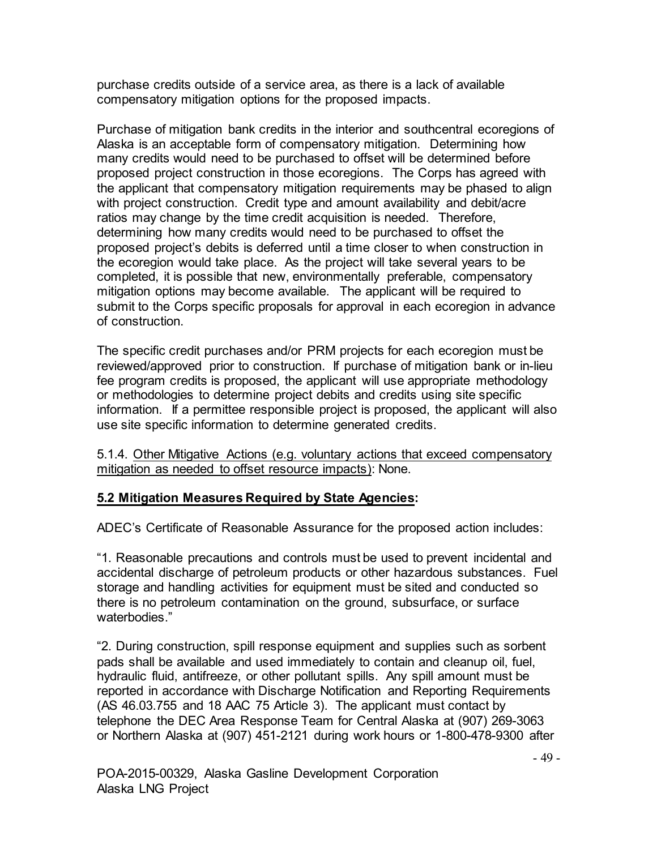purchase credits outside of a service area, as there is a lack of available compensatory mitigation options for the proposed impacts.

Purchase of mitigation bank credits in the interior and southcentral ecoregions of Alaska is an acceptable form of compensatory mitigation. Determining how many credits would need to be purchased to offset will be determined before proposed project construction in those ecoregions. The Corps has agreed with the applicant that compensatory mitigation requirements may be phased to align with project construction. Credit type and amount availability and debit/acre ratios may change by the time credit acquisition is needed. Therefore, determining how many credits would need to be purchased to offset the proposed project's debits is deferred until a time closer to when construction in the ecoregion would take place. As the project will take several years to be completed, it is possible that new, environmentally preferable, compensatory mitigation options may become available. The applicant will be required to submit to the Corps specific proposals for approval in each ecoregion in advance of construction.

The specific credit purchases and/or PRM projects for each ecoregion must be reviewed/approved prior to construction. If purchase of mitigation bank or in-lieu fee program credits is proposed, the applicant will use appropriate methodology or methodologies to determine project debits and credits using site specific information. If a permittee responsible project is proposed, the applicant will also use site specific information to determine generated credits.

5.1.4. Other Mitigative Actions (e.g. voluntary actions that exceed compensatory mitigation as needed to offset resource impacts): None.

#### **5.2 Mitigation Measures Required by State Agencies:**

ADEC's Certificate of Reasonable Assurance for the proposed action includes:

"1. Reasonable precautions and controls must be used to prevent incidental and accidental discharge of petroleum products or other hazardous substances. Fuel storage and handling activities for equipment must be sited and conducted so there is no petroleum contamination on the ground, subsurface, or surface waterbodies."

"2. During construction, spill response equipment and supplies such as sorbent pads shall be available and used immediately to contain and cleanup oil, fuel, hydraulic fluid, antifreeze, or other pollutant spills. Any spill amount must be reported in accordance with Discharge Notification and Reporting Requirements (AS 46.03.755 and 18 AAC 75 Article 3). The applicant must contact by telephone the DEC Area Response Team for Central Alaska at (907) 269-3063 or Northern Alaska at (907) 451-2121 during work hours or 1-800-478-9300 after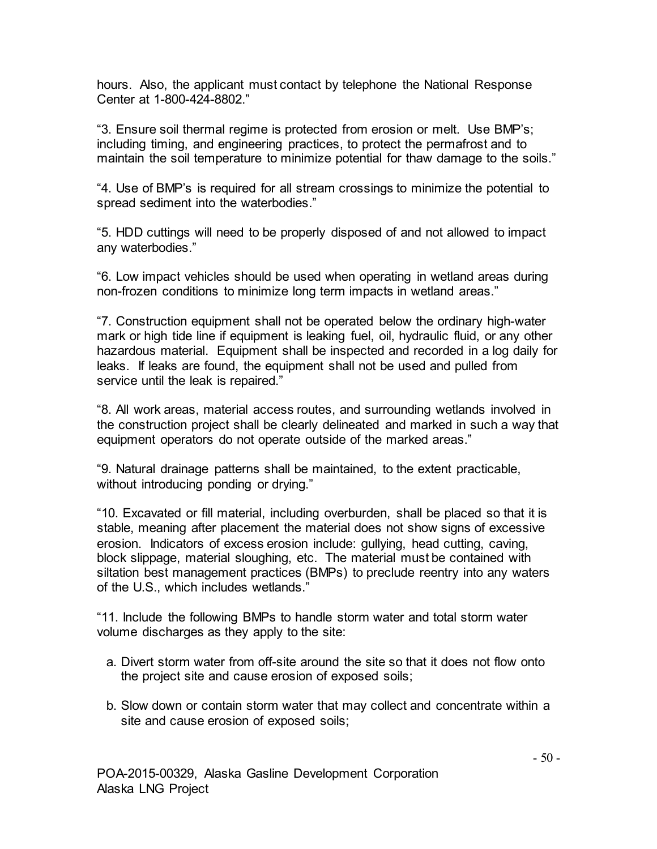hours. Also, the applicant must contact by telephone the National Response Center at 1-800-424-8802."

"3. Ensure soil thermal regime is protected from erosion or melt. Use BMP's; including timing, and engineering practices, to protect the permafrost and to maintain the soil temperature to minimize potential for thaw damage to the soils."

"4. Use of BMP's is required for all stream crossings to minimize the potential to spread sediment into the waterbodies."

"5. HDD cuttings will need to be properly disposed of and not allowed to impact any waterbodies."

"6. Low impact vehicles should be used when operating in wetland areas during non-frozen conditions to minimize long term impacts in wetland areas."

"7. Construction equipment shall not be operated below the ordinary high-water mark or high tide line if equipment is leaking fuel, oil, hydraulic fluid, or any other hazardous material. Equipment shall be inspected and recorded in a log daily for leaks. If leaks are found, the equipment shall not be used and pulled from service until the leak is repaired."

"8. All work areas, material access routes, and surrounding wetlands involved in the construction project shall be clearly delineated and marked in such a way that equipment operators do not operate outside of the marked areas."

"9. Natural drainage patterns shall be maintained, to the extent practicable, without introducing ponding or drying."

"10. Excavated or fill material, including overburden, shall be placed so that it is stable, meaning after placement the material does not show signs of excessive erosion. Indicators of excess erosion include: gullying, head cutting, caving, block slippage, material sloughing, etc. The material must be contained with siltation best management practices (BMPs) to preclude reentry into any waters of the U.S., which includes wetlands."

"11. Include the following BMPs to handle storm water and total storm water volume discharges as they apply to the site:

- a. Divert storm water from off-site around the site so that it does not flow onto the project site and cause erosion of exposed soils;
- b. Slow down or contain storm water that may collect and concentrate within a site and cause erosion of exposed soils;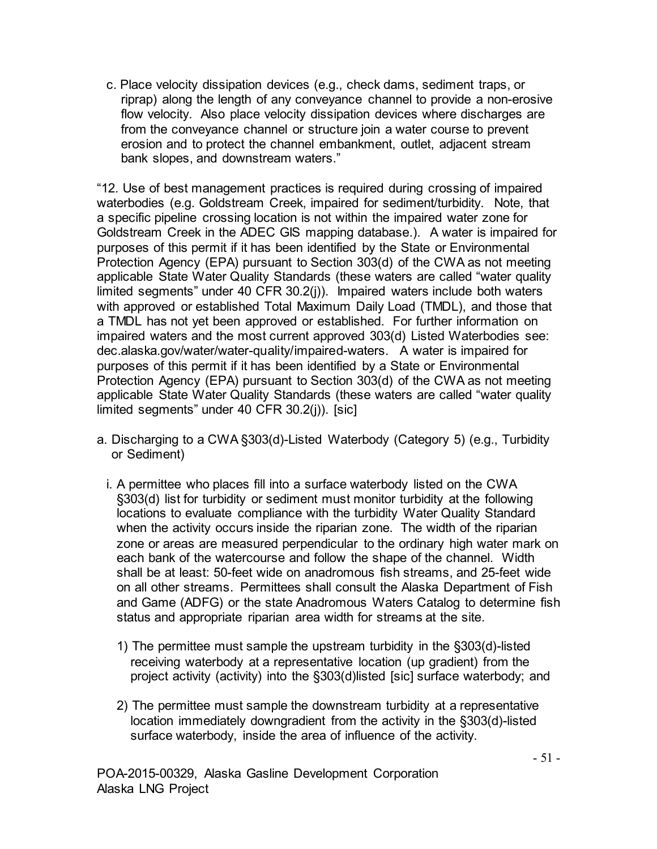c. Place velocity dissipation devices (e.g., check dams, sediment traps, or riprap) along the length of any conveyance channel to provide a non-erosive flow velocity. Also place velocity dissipation devices where discharges are from the conveyance channel or structure join a water course to prevent erosion and to protect the channel embankment, outlet, adjacent stream bank slopes, and downstream waters."

"12. Use of best management practices is required during crossing of impaired waterbodies (e.g. Goldstream Creek, impaired for sediment/turbidity. Note, that a specific pipeline crossing location is not within the impaired water zone for Goldstream Creek in the ADEC GIS mapping database.). A water is impaired for purposes of this permit if it has been identified by the State or Environmental Protection Agency (EPA) pursuant to Section 303(d) of the CWA as not meeting applicable State Water Quality Standards (these waters are called "water quality limited segments" under 40 CFR 30.2(j)). Impaired waters include both waters with approved or established Total Maximum Daily Load (TMDL), and those that a TMDL has not yet been approved or established. For further information on impaired waters and the most current approved 303(d) Listed Waterbodies see: dec.alaska.gov/water/water-quality/impaired-waters. A water is impaired for purposes of this permit if it has been identified by a State or Environmental Protection Agency (EPA) pursuant to Section 303(d) of the CWA as not meeting applicable State Water Quality Standards (these waters are called "water quality limited segments" under 40 CFR 30.2(j)). [sic]

- a. Discharging to a CWA §303(d)-Listed Waterbody (Category 5) (e.g., Turbidity or Sediment)
	- i. A permittee who places fill into a surface waterbody listed on the CWA §303(d) list for turbidity or sediment must monitor turbidity at the following locations to evaluate compliance with the turbidity Water Quality Standard when the activity occurs inside the riparian zone. The width of the riparian zone or areas are measured perpendicular to the ordinary high water mark on each bank of the watercourse and follow the shape of the channel. Width shall be at least: 50-feet wide on anadromous fish streams, and 25-feet wide on all other streams. Permittees shall consult the Alaska Department of Fish and Game (ADFG) or the state Anadromous Waters Catalog to determine fish status and appropriate riparian area width for streams at the site.
		- 1) The permittee must sample the upstream turbidity in the §303(d)-listed receiving waterbody at a representative location (up gradient) from the project activity (activity) into the §303(d)listed [sic] surface waterbody; and
		- 2) The permittee must sample the downstream turbidity at a representative location immediately downgradient from the activity in the §303(d)-listed surface waterbody, inside the area of influence of the activity.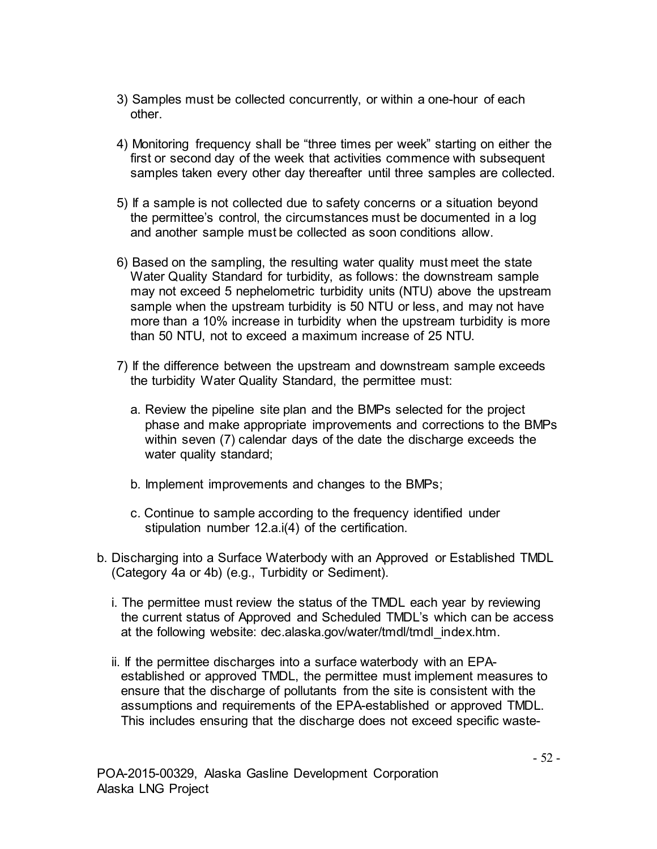- 3) Samples must be collected concurrently, or within a one-hour of each other.
- 4) Monitoring frequency shall be "three times per week" starting on either the first or second day of the week that activities commence with subsequent samples taken every other day thereafter until three samples are collected.
- 5) If a sample is not collected due to safety concerns or a situation beyond the permittee's control, the circumstances must be documented in a log and another sample must be collected as soon conditions allow.
- 6) Based on the sampling, the resulting water quality must meet the state Water Quality Standard for turbidity, as follows: the downstream sample may not exceed 5 nephelometric turbidity units (NTU) above the upstream sample when the upstream turbidity is 50 NTU or less, and may not have more than a 10% increase in turbidity when the upstream turbidity is more than 50 NTU, not to exceed a maximum increase of 25 NTU.
- 7) If the difference between the upstream and downstream sample exceeds the turbidity Water Quality Standard, the permittee must:
	- a. Review the pipeline site plan and the BMPs selected for the project phase and make appropriate improvements and corrections to the BMPs within seven (7) calendar days of the date the discharge exceeds the water quality standard;
	- b. Implement improvements and changes to the BMPs;
	- c. Continue to sample according to the frequency identified under stipulation number 12.a.i(4) of the certification.
- b. Discharging into a Surface Waterbody with an Approved or Established TMDL (Category 4a or 4b) (e.g., Turbidity or Sediment).
	- i. The permittee must review the status of the TMDL each year by reviewing the current status of Approved and Scheduled TMDL's which can be access at the following website: dec.alaska.gov/water/tmdl/tmdl\_index.htm.
	- ii. If the permittee discharges into a surface waterbody with an EPAestablished or approved TMDL, the permittee must implement measures to ensure that the discharge of pollutants from the site is consistent with the assumptions and requirements of the EPA-established or approved TMDL. This includes ensuring that the discharge does not exceed specific waste-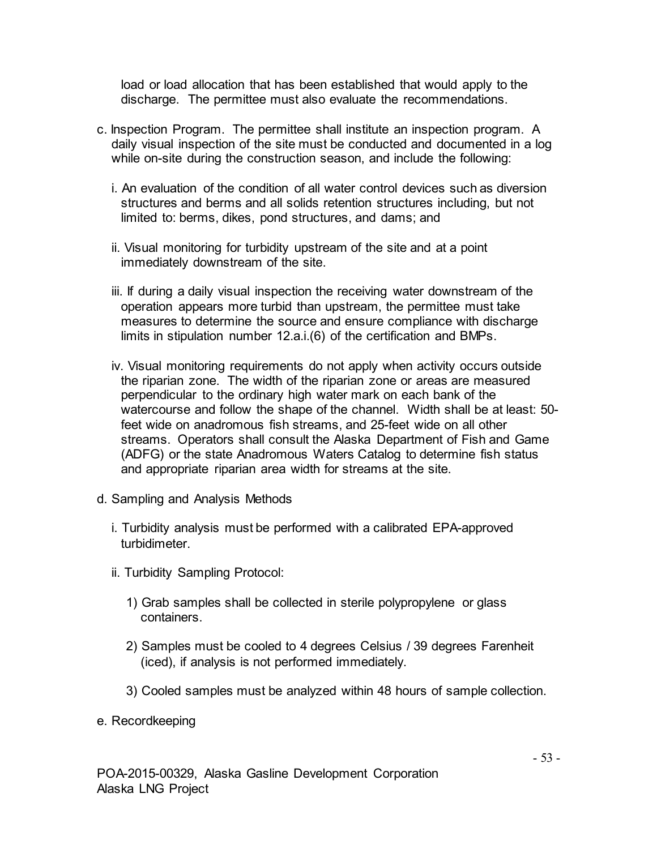load or load allocation that has been established that would apply to the discharge. The permittee must also evaluate the recommendations.

- c. Inspection Program. The permittee shall institute an inspection program. A daily visual inspection of the site must be conducted and documented in a log while on-site during the construction season, and include the following:
	- i. An evaluation of the condition of all water control devices such as diversion structures and berms and all solids retention structures including, but not limited to: berms, dikes, pond structures, and dams; and
	- ii. Visual monitoring for turbidity upstream of the site and at a point immediately downstream of the site.
	- iii. If during a daily visual inspection the receiving water downstream of the operation appears more turbid than upstream, the permittee must take measures to determine the source and ensure compliance with discharge limits in stipulation number 12.a.i.(6) of the certification and BMPs.
	- iv. Visual monitoring requirements do not apply when activity occurs outside the riparian zone. The width of the riparian zone or areas are measured perpendicular to the ordinary high water mark on each bank of the watercourse and follow the shape of the channel. Width shall be at least: 50 feet wide on anadromous fish streams, and 25-feet wide on all other streams. Operators shall consult the Alaska Department of Fish and Game (ADFG) or the state Anadromous Waters Catalog to determine fish status and appropriate riparian area width for streams at the site.
- d. Sampling and Analysis Methods
	- i. Turbidity analysis must be performed with a calibrated EPA-approved turbidimeter.
	- ii. Turbidity Sampling Protocol:
		- 1) Grab samples shall be collected in sterile polypropylene or glass containers.
		- 2) Samples must be cooled to 4 degrees Celsius / 39 degrees Farenheit (iced), if analysis is not performed immediately.
		- 3) Cooled samples must be analyzed within 48 hours of sample collection.
- e. Recordkeeping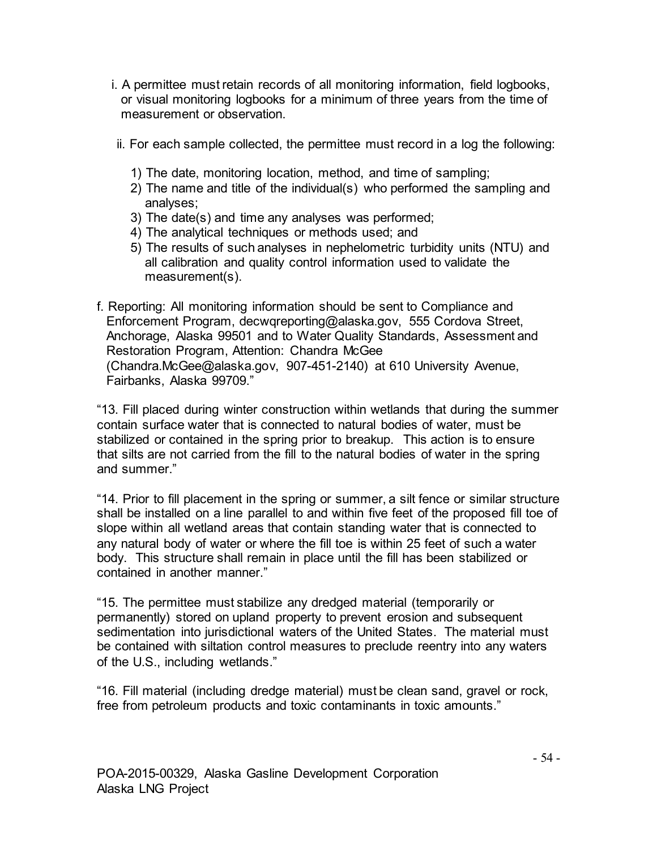- i. A permittee must retain records of all monitoring information, field logbooks, or visual monitoring logbooks for a minimum of three years from the time of measurement or observation.
- ii. For each sample collected, the permittee must record in a log the following:
	- 1) The date, monitoring location, method, and time of sampling;
	- 2) The name and title of the individual(s) who performed the sampling and analyses;
	- 3) The date(s) and time any analyses was performed;
	- 4) The analytical techniques or methods used; and
	- 5) The results of such analyses in nephelometric turbidity units (NTU) and all calibration and quality control information used to validate the measurement(s).
- f. Reporting: All monitoring information should be sent to Compliance and Enforcement Program, decwqreporting@alaska.gov, 555 Cordova Street, Anchorage, Alaska 99501 and to Water Quality Standards, Assessment and Restoration Program, Attention: Chandra McGee (Chandra.McGee@alaska.gov, 907-451-2140) at 610 University Avenue, Fairbanks, Alaska 99709."

"13. Fill placed during winter construction within wetlands that during the summer contain surface water that is connected to natural bodies of water, must be stabilized or contained in the spring prior to breakup. This action is to ensure that silts are not carried from the fill to the natural bodies of water in the spring and summer."

"14. Prior to fill placement in the spring or summer, a silt fence or similar structure shall be installed on a line parallel to and within five feet of the proposed fill toe of slope within all wetland areas that contain standing water that is connected to any natural body of water or where the fill toe is within 25 feet of such a water body. This structure shall remain in place until the fill has been stabilized or contained in another manner."

"15. The permittee must stabilize any dredged material (temporarily or permanently) stored on upland property to prevent erosion and subsequent sedimentation into jurisdictional waters of the United States. The material must be contained with siltation control measures to preclude reentry into any waters of the U.S., including wetlands."

"16. Fill material (including dredge material) must be clean sand, gravel or rock, free from petroleum products and toxic contaminants in toxic amounts."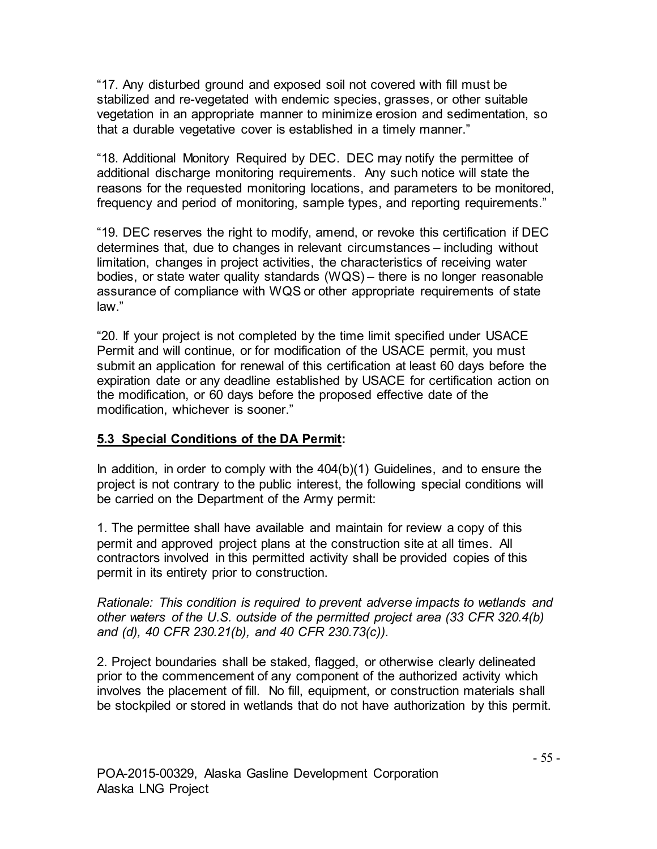"17. Any disturbed ground and exposed soil not covered with fill must be stabilized and re-vegetated with endemic species, grasses, or other suitable vegetation in an appropriate manner to minimize erosion and sedimentation, so that a durable vegetative cover is established in a timely manner."

"18. Additional Monitory Required by DEC. DEC may notify the permittee of additional discharge monitoring requirements. Any such notice will state the reasons for the requested monitoring locations, and parameters to be monitored, frequency and period of monitoring, sample types, and reporting requirements."

"19. DEC reserves the right to modify, amend, or revoke this certification if DEC determines that, due to changes in relevant circumstances – including without limitation, changes in project activities, the characteristics of receiving water bodies, or state water quality standards (WQS) – there is no longer reasonable assurance of compliance with WQS or other appropriate requirements of state law."

"20. If your project is not completed by the time limit specified under USACE Permit and will continue, or for modification of the USACE permit, you must submit an application for renewal of this certification at least 60 days before the expiration date or any deadline established by USACE for certification action on the modification, or 60 days before the proposed effective date of the modification, whichever is sooner."

# **5.3 Special Conditions of the DA Permit:**

In addition, in order to comply with the 404(b)(1) Guidelines, and to ensure the project is not contrary to the public interest, the following special conditions will be carried on the Department of the Army permit:

1. The permittee shall have available and maintain for review a copy of this permit and approved project plans at the construction site at all times. All contractors involved in this permitted activity shall be provided copies of this permit in its entirety prior to construction.

*Rationale: This condition is required to prevent adverse impacts to wetlands and other waters of the U.S. outside of the permitted project area (33 CFR 320.4(b) and (d), 40 CFR 230.21(b), and 40 CFR 230.73(c)).*

2. Project boundaries shall be staked, flagged, or otherwise clearly delineated prior to the commencement of any component of the authorized activity which involves the placement of fill. No fill, equipment, or construction materials shall be stockpiled or stored in wetlands that do not have authorization by this permit.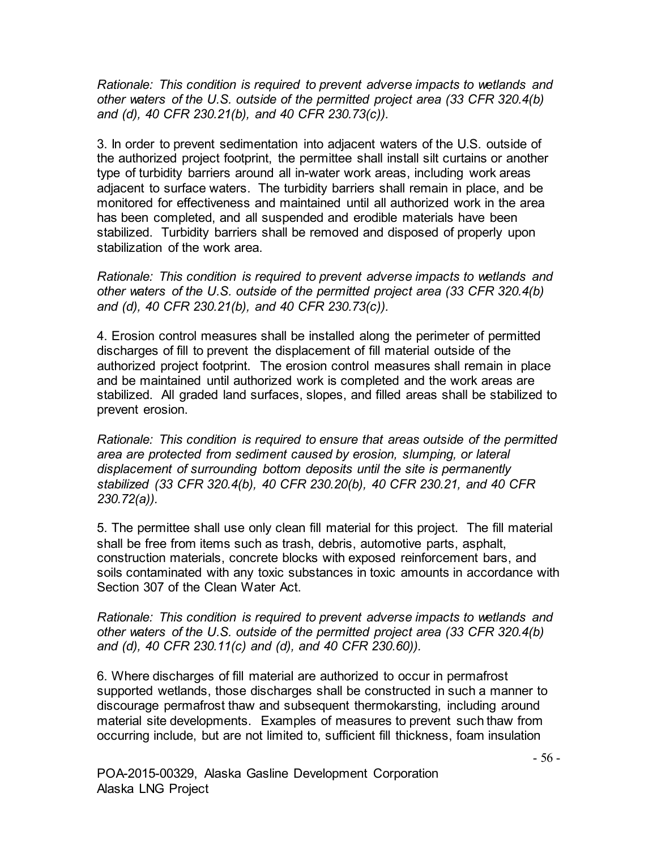*Rationale: This condition is required to prevent adverse impacts to wetlands and other waters of the U.S. outside of the permitted project area (33 CFR 320.4(b) and (d), 40 CFR 230.21(b), and 40 CFR 230.73(c)).*

3. In order to prevent sedimentation into adjacent waters of the U.S. outside of the authorized project footprint, the permittee shall install silt curtains or another type of turbidity barriers around all in-water work areas, including work areas adjacent to surface waters. The turbidity barriers shall remain in place, and be monitored for effectiveness and maintained until all authorized work in the area has been completed, and all suspended and erodible materials have been stabilized. Turbidity barriers shall be removed and disposed of properly upon stabilization of the work area.

*Rationale: This condition is required to prevent adverse impacts to wetlands and other waters of the U.S. outside of the permitted project area (33 CFR 320.4(b) and (d), 40 CFR 230.21(b), and 40 CFR 230.73(c)).*

4. Erosion control measures shall be installed along the perimeter of permitted discharges of fill to prevent the displacement of fill material outside of the authorized project footprint. The erosion control measures shall remain in place and be maintained until authorized work is completed and the work areas are stabilized. All graded land surfaces, slopes, and filled areas shall be stabilized to prevent erosion.

*Rationale: This condition is required to ensure that areas outside of the permitted area are protected from sediment caused by erosion, slumping, or lateral displacement of surrounding bottom deposits until the site is permanently stabilized (33 CFR 320.4(b), 40 CFR 230.20(b), 40 CFR 230.21, and 40 CFR 230.72(a)).*

5. The permittee shall use only clean fill material for this project. The fill material shall be free from items such as trash, debris, automotive parts, asphalt, construction materials, concrete blocks with exposed reinforcement bars, and soils contaminated with any toxic substances in toxic amounts in accordance with Section 307 of the Clean Water Act.

*Rationale: This condition is required to prevent adverse impacts to wetlands and other waters of the U.S. outside of the permitted project area (33 CFR 320.4(b) and (d), 40 CFR 230.11(c) and (d), and 40 CFR 230.60)).*

6. Where discharges of fill material are authorized to occur in permafrost supported wetlands, those discharges shall be constructed in such a manner to discourage permafrost thaw and subsequent thermokarsting, including around material site developments. Examples of measures to prevent such thaw from occurring include, but are not limited to, sufficient fill thickness, foam insulation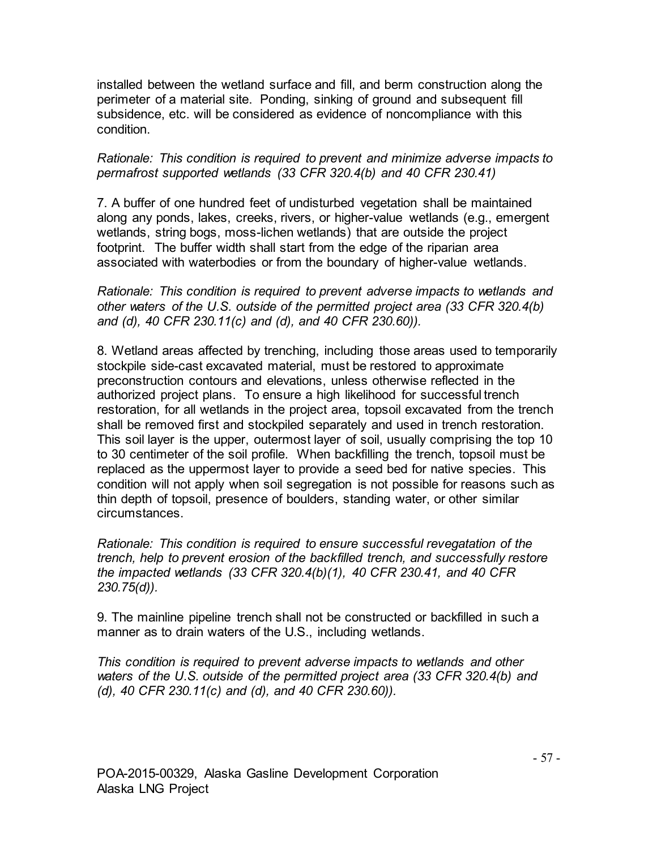installed between the wetland surface and fill, and berm construction along the perimeter of a material site. Ponding, sinking of ground and subsequent fill subsidence, etc. will be considered as evidence of noncompliance with this condition.

#### *Rationale: This condition is required to prevent and minimize adverse impacts to permafrost supported wetlands (33 CFR 320.4(b) and 40 CFR 230.41)*

7. A buffer of one hundred feet of undisturbed vegetation shall be maintained along any ponds, lakes, creeks, rivers, or higher-value wetlands (e.g., emergent wetlands, string bogs, moss-lichen wetlands) that are outside the project footprint. The buffer width shall start from the edge of the riparian area associated with waterbodies or from the boundary of higher-value wetlands.

*Rationale: This condition is required to prevent adverse impacts to wetlands and other waters of the U.S. outside of the permitted project area (33 CFR 320.4(b) and (d), 40 CFR 230.11(c) and (d), and 40 CFR 230.60)).*

8. Wetland areas affected by trenching, including those areas used to temporarily stockpile side-cast excavated material, must be restored to approximate preconstruction contours and elevations, unless otherwise reflected in the authorized project plans. To ensure a high likelihood for successful trench restoration, for all wetlands in the project area, topsoil excavated from the trench shall be removed first and stockpiled separately and used in trench restoration. This soil layer is the upper, outermost layer of soil, usually comprising the top 10 to 30 centimeter of the soil profile. When backfilling the trench, topsoil must be replaced as the uppermost layer to provide a seed bed for native species. This condition will not apply when soil segregation is not possible for reasons such as thin depth of topsoil, presence of boulders, standing water, or other similar circumstances.

*Rationale: This condition is required to ensure successful revegatation of the trench, help to prevent erosion of the backfilled trench, and successfully restore the impacted wetlands (33 CFR 320.4(b)(1), 40 CFR 230.41, and 40 CFR 230.75(d)).* 

9. The mainline pipeline trench shall not be constructed or backfilled in such a manner as to drain waters of the U.S., including wetlands.

*This condition is required to prevent adverse impacts to wetlands and other waters of the U.S. outside of the permitted project area (33 CFR 320.4(b) and (d), 40 CFR 230.11(c) and (d), and 40 CFR 230.60)).*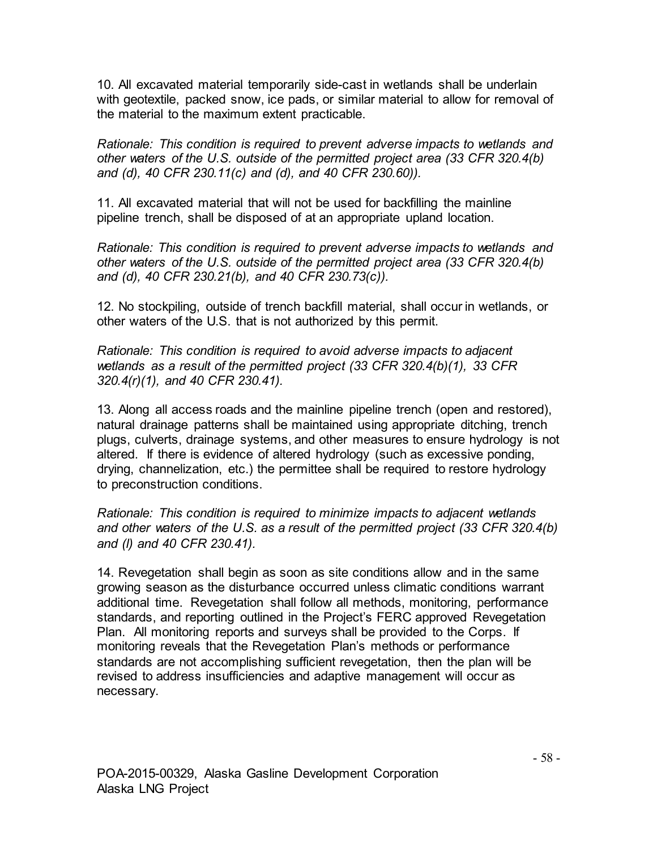10. All excavated material temporarily side-cast in wetlands shall be underlain with geotextile, packed snow, ice pads, or similar material to allow for removal of the material to the maximum extent practicable.

*Rationale: This condition is required to prevent adverse impacts to wetlands and other waters of the U.S. outside of the permitted project area (33 CFR 320.4(b) and (d), 40 CFR 230.11(c) and (d), and 40 CFR 230.60)).*

11. All excavated material that will not be used for backfilling the mainline pipeline trench, shall be disposed of at an appropriate upland location.

*Rationale: This condition is required to prevent adverse impacts to wetlands and other waters of the U.S. outside of the permitted project area (33 CFR 320.4(b) and (d), 40 CFR 230.21(b), and 40 CFR 230.73(c)).*

12. No stockpiling, outside of trench backfill material, shall occur in wetlands, or other waters of the U.S. that is not authorized by this permit.

*Rationale: This condition is required to avoid adverse impacts to adjacent wetlands as a result of the permitted project (33 CFR 320.4(b)(1), 33 CFR 320.4(r)(1), and 40 CFR 230.41).*

13. Along all access roads and the mainline pipeline trench (open and restored), natural drainage patterns shall be maintained using appropriate ditching, trench plugs, culverts, drainage systems, and other measures to ensure hydrology is not altered. If there is evidence of altered hydrology (such as excessive ponding, drying, channelization, etc.) the permittee shall be required to restore hydrology to preconstruction conditions.

*Rationale: This condition is required to minimize impacts to adjacent wetlands and other waters of the U.S. as a result of the permitted project (33 CFR 320.4(b) and (l) and 40 CFR 230.41).*

14. Revegetation shall begin as soon as site conditions allow and in the same growing season as the disturbance occurred unless climatic conditions warrant additional time. Revegetation shall follow all methods, monitoring, performance standards, and reporting outlined in the Project's FERC approved Revegetation Plan. All monitoring reports and surveys shall be provided to the Corps. If monitoring reveals that the Revegetation Plan's methods or performance standards are not accomplishing sufficient revegetation, then the plan will be revised to address insufficiencies and adaptive management will occur as necessary.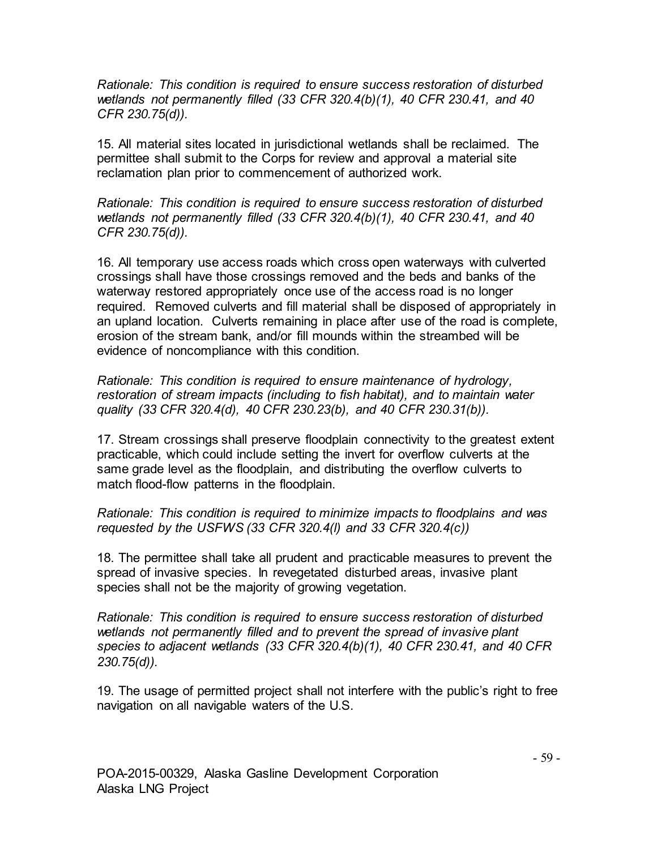*Rationale: This condition is required to ensure success restoration of disturbed wetlands not permanently filled (33 CFR 320.4(b)(1), 40 CFR 230.41, and 40 CFR 230.75(d)).* 

15. All material sites located in jurisdictional wetlands shall be reclaimed. The permittee shall submit to the Corps for review and approval a material site reclamation plan prior to commencement of authorized work.

*Rationale: This condition is required to ensure success restoration of disturbed wetlands not permanently filled (33 CFR 320.4(b)(1), 40 CFR 230.41, and 40 CFR 230.75(d)).* 

16. All temporary use access roads which cross open waterways with culverted crossings shall have those crossings removed and the beds and banks of the waterway restored appropriately once use of the access road is no longer required. Removed culverts and fill material shall be disposed of appropriately in an upland location. Culverts remaining in place after use of the road is complete, erosion of the stream bank, and/or fill mounds within the streambed will be evidence of noncompliance with this condition.

*Rationale: This condition is required to ensure maintenance of hydrology, restoration of stream impacts (including to fish habitat), and to maintain water quality (33 CFR 320.4(d), 40 CFR 230.23(b), and 40 CFR 230.31(b)).*

17. Stream crossings shall preserve floodplain connectivity to the greatest extent practicable, which could include setting the invert for overflow culverts at the same grade level as the floodplain, and distributing the overflow culverts to match flood-flow patterns in the floodplain.

*Rationale: This condition is required to minimize impacts to floodplains and was requested by the USFWS (33 CFR 320.4(l) and 33 CFR 320.4(c))*

18. The permittee shall take all prudent and practicable measures to prevent the spread of invasive species. In revegetated disturbed areas, invasive plant species shall not be the majority of growing vegetation.

*Rationale: This condition is required to ensure success restoration of disturbed wetlands not permanently filled and to prevent the spread of invasive plant species to adjacent wetlands (33 CFR 320.4(b)(1), 40 CFR 230.41, and 40 CFR 230.75(d)).* 

19. The usage of permitted project shall not interfere with the public's right to free navigation on all navigable waters of the U.S.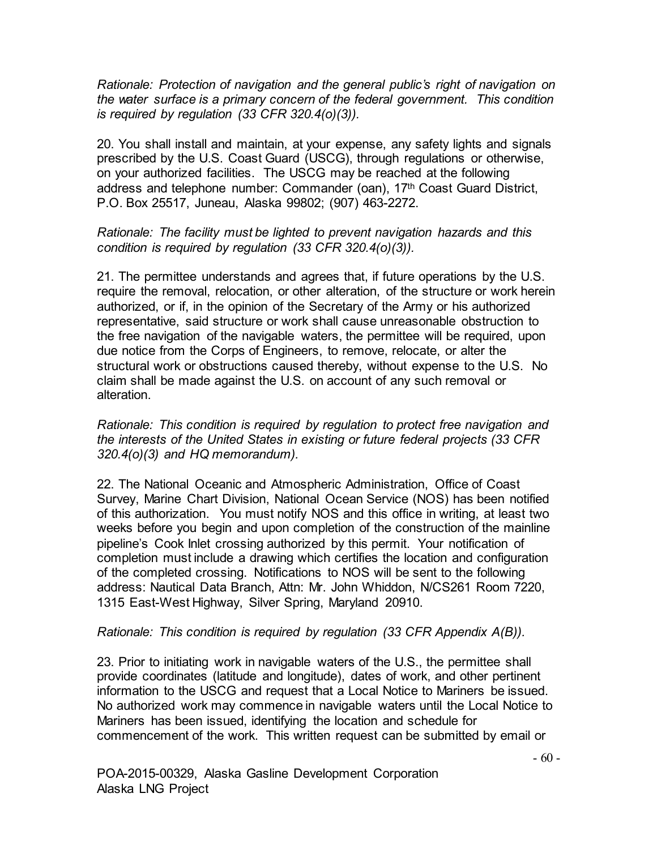*Rationale: Protection of navigation and the general public's right of navigation on the water surface is a primary concern of the federal government. This condition is required by regulation (33 CFR 320.4(o)(3)).*

20. You shall install and maintain, at your expense, any safety lights and signals prescribed by the U.S. Coast Guard (USCG), through regulations or otherwise, on your authorized facilities. The USCG may be reached at the following address and telephone number: Commander (oan), 17<sup>th</sup> Coast Guard District, P.O. Box 25517, Juneau, Alaska 99802; (907) 463-2272.

## *Rationale: The facility must be lighted to prevent navigation hazards and this condition is required by regulation (33 CFR 320.4(o)(3)).*

21. The permittee understands and agrees that, if future operations by the U.S. require the removal, relocation, or other alteration, of the structure or work herein authorized, or if, in the opinion of the Secretary of the Army or his authorized representative, said structure or work shall cause unreasonable obstruction to the free navigation of the navigable waters, the permittee will be required, upon due notice from the Corps of Engineers, to remove, relocate, or alter the structural work or obstructions caused thereby, without expense to the U.S. No claim shall be made against the U.S. on account of any such removal or alteration.

*Rationale: This condition is required by regulation to protect free navigation and the interests of the United States in existing or future federal projects (33 CFR 320.4(o)(3) and HQ memorandum).*

22. The National Oceanic and Atmospheric Administration, Office of Coast Survey, Marine Chart Division, National Ocean Service (NOS) has been notified of this authorization. You must notify NOS and this office in writing, at least two weeks before you begin and upon completion of the construction of the mainline pipeline's Cook Inlet crossing authorized by this permit. Your notification of completion must include a drawing which certifies the location and configuration of the completed crossing. Notifications to NOS will be sent to the following address: Nautical Data Branch, Attn: Mr. John Whiddon, N/CS261 Room 7220, 1315 East-West Highway, Silver Spring, Maryland 20910.

#### *Rationale: This condition is required by regulation (33 CFR Appendix A(B)).*

23. Prior to initiating work in navigable waters of the U.S., the permittee shall provide coordinates (latitude and longitude), dates of work, and other pertinent information to the USCG and request that a Local Notice to Mariners be issued. No authorized work may commence in navigable waters until the Local Notice to Mariners has been issued, identifying the location and schedule for commencement of the work. This written request can be submitted by email or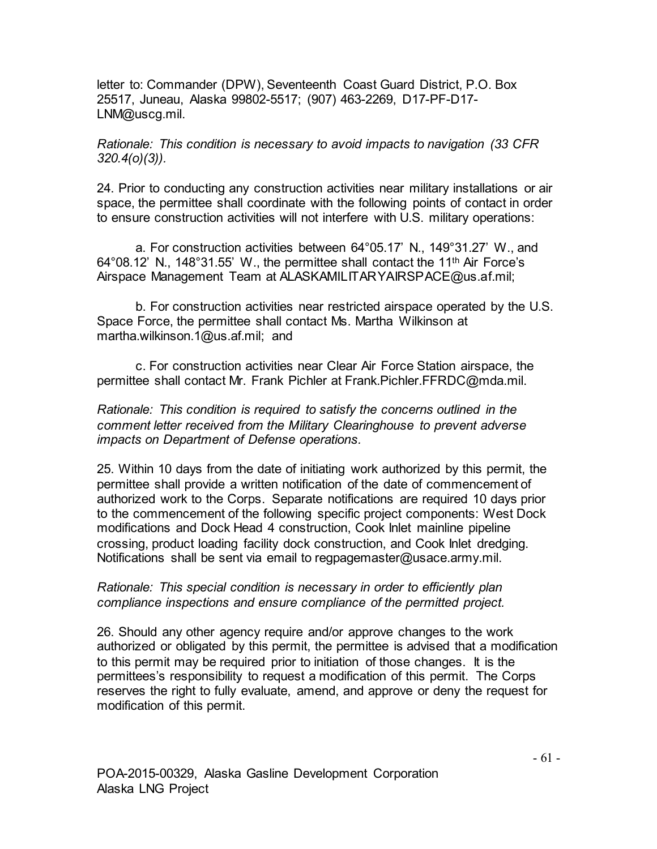letter to: Commander (DPW), Seventeenth Coast Guard District, P.O. Box 25517, Juneau, Alaska 99802-5517; (907) 463-2269, D17-PF-D17- LNM@uscg.mil.

*Rationale: This condition is necessary to avoid impacts to navigation (33 CFR 320.4(o)(3)).*

24. Prior to conducting any construction activities near military installations or air space, the permittee shall coordinate with the following points of contact in order to ensure construction activities will not interfere with U.S. military operations:

a. For construction activities between 64°05.17' N., 149°31.27' W., and 64°08.12' N., 148°31.55' W., the permittee shall contact the 11th Air Force's Airspace Management Team at ALASKAMILITARYAIRSPACE@us.af.mil;

b. For construction activities near restricted airspace operated by the U.S. Space Force, the permittee shall contact Ms. Martha Wilkinson at martha.wilkinson.1@us.af.mil; and

c. For construction activities near Clear Air Force Station airspace, the permittee shall contact Mr. Frank Pichler at Frank.Pichler.FFRDC@mda.mil.

*Rationale: This condition is required to satisfy the concerns outlined in the comment letter received from the Military Clearinghouse to prevent adverse impacts on Department of Defense operations.*

25. Within 10 days from the date of initiating work authorized by this permit, the permittee shall provide a written notification of the date of commencement of authorized work to the Corps. Separate notifications are required 10 days prior to the commencement of the following specific project components: West Dock modifications and Dock Head 4 construction, Cook Inlet mainline pipeline crossing, product loading facility dock construction, and Cook Inlet dredging. Notifications shall be sent via email to regpagemaster@usace.army.mil.

#### *Rationale: This special condition is necessary in order to efficiently plan compliance inspections and ensure compliance of the permitted project.*

26. Should any other agency require and/or approve changes to the work authorized or obligated by this permit, the permittee is advised that a modification to this permit may be required prior to initiation of those changes. It is the permittees's responsibility to request a modification of this permit. The Corps reserves the right to fully evaluate, amend, and approve or deny the request for modification of this permit.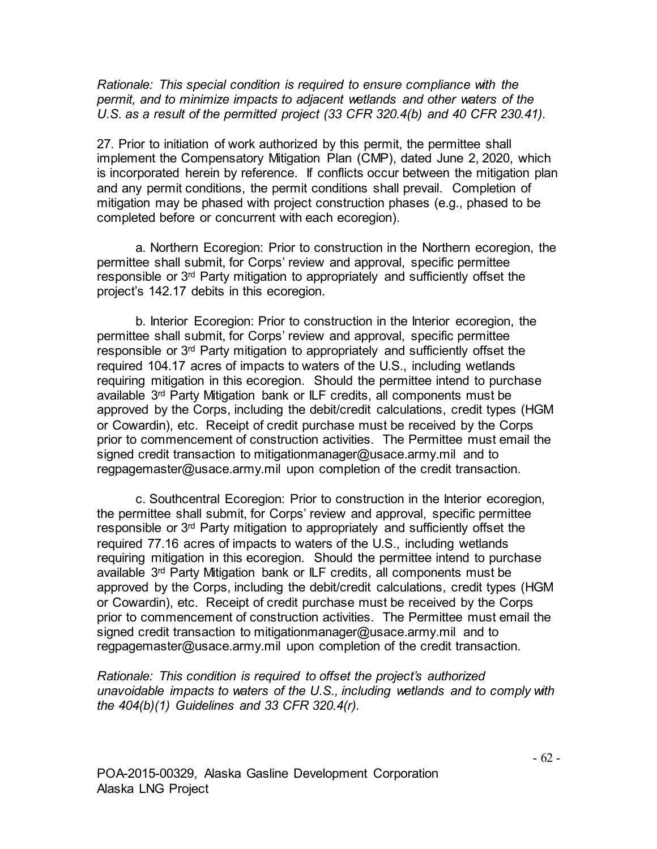*Rationale: This special condition is required to ensure compliance with the permit, and to minimize impacts to adjacent wetlands and other waters of the U.S. as a result of the permitted project (33 CFR 320.4(b) and 40 CFR 230.41).*

27. Prior to initiation of work authorized by this permit, the permittee shall implement the Compensatory Mitigation Plan (CMP), dated June 2, 2020, which is incorporated herein by reference. If conflicts occur between the mitigation plan and any permit conditions, the permit conditions shall prevail. Completion of mitigation may be phased with project construction phases (e.g., phased to be completed before or concurrent with each ecoregion).

a. Northern Ecoregion: Prior to construction in the Northern ecoregion, the permittee shall submit, for Corps' review and approval, specific permittee responsible or 3rd Party mitigation to appropriately and sufficiently offset the project's 142.17 debits in this ecoregion.

b. Interior Ecoregion: Prior to construction in the Interior ecoregion, the permittee shall submit, for Corps' review and approval, specific permittee responsible or 3rd Party mitigation to appropriately and sufficiently offset the required 104.17 acres of impacts to waters of the U.S., including wetlands requiring mitigation in this ecoregion. Should the permittee intend to purchase available 3rd Party Mitigation bank or ILF credits, all components must be approved by the Corps, including the debit/credit calculations, credit types (HGM or Cowardin), etc. Receipt of credit purchase must be received by the Corps prior to commencement of construction activities. The Permittee must email the signed credit transaction to mitigationmanager@usace.army.mil and to regpagemaster@usace.army.mil upon completion of the credit transaction.

c. Southcentral Ecoregion: Prior to construction in the Interior ecoregion, the permittee shall submit, for Corps' review and approval, specific permittee responsible or 3rd Party mitigation to appropriately and sufficiently offset the required 77.16 acres of impacts to waters of the U.S., including wetlands requiring mitigation in this ecoregion. Should the permittee intend to purchase available 3rd Party Mitigation bank or ILF credits, all components must be approved by the Corps, including the debit/credit calculations, credit types (HGM or Cowardin), etc. Receipt of credit purchase must be received by the Corps prior to commencement of construction activities. The Permittee must email the signed credit transaction to mitigationmanager@usace.army.mil and to regpagemaster@usace.army.mil upon completion of the credit transaction.

*Rationale: This condition is required to offset the project's authorized unavoidable impacts to waters of the U.S., including wetlands and to comply with the 404(b)(1) Guidelines and 33 CFR 320.4(r).*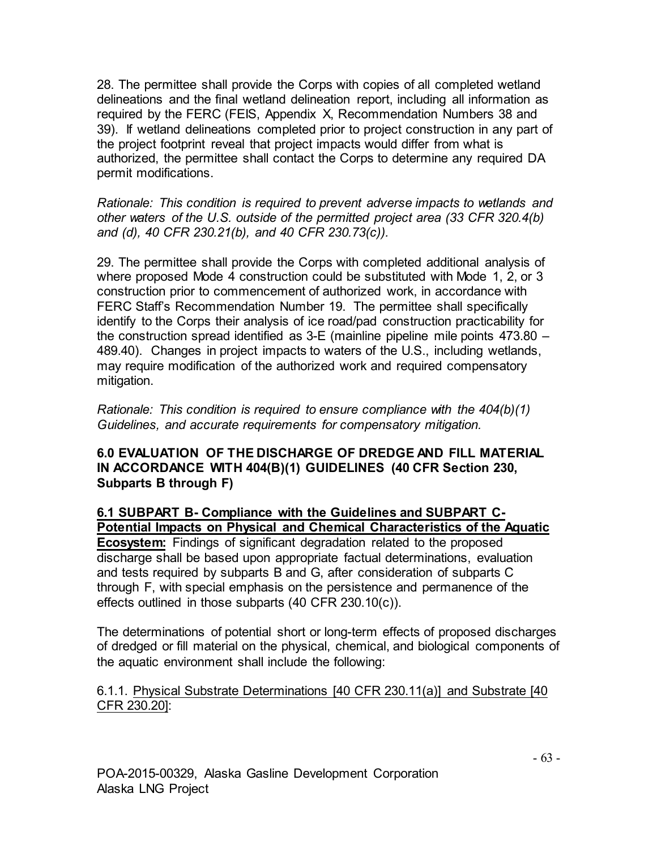28. The permittee shall provide the Corps with copies of all completed wetland delineations and the final wetland delineation report, including all information as required by the FERC (FEIS, Appendix X, Recommendation Numbers 38 and 39). If wetland delineations completed prior to project construction in any part of the project footprint reveal that project impacts would differ from what is authorized, the permittee shall contact the Corps to determine any required DA permit modifications.

*Rationale: This condition is required to prevent adverse impacts to wetlands and other waters of the U.S. outside of the permitted project area (33 CFR 320.4(b) and (d), 40 CFR 230.21(b), and 40 CFR 230.73(c)).*

29. The permittee shall provide the Corps with completed additional analysis of where proposed Mode 4 construction could be substituted with Mode 1, 2, or 3 construction prior to commencement of authorized work, in accordance with FERC Staff's Recommendation Number 19. The permittee shall specifically identify to the Corps their analysis of ice road/pad construction practicability for the construction spread identified as 3-E (mainline pipeline mile points 473.80 – 489.40). Changes in project impacts to waters of the U.S., including wetlands, may require modification of the authorized work and required compensatory mitigation.

*Rationale: This condition is required to ensure compliance with the 404(b)(1) Guidelines, and accurate requirements for compensatory mitigation.* 

## **6.0 EVALUATION OF THE DISCHARGE OF DREDGE AND FILL MATERIAL IN ACCORDANCE WITH 404(B)(1) GUIDELINES (40 CFR Section 230, Subparts B through F)**

# **6.1 SUBPART B- Compliance with the Guidelines and SUBPART C-Potential Impacts on Physical and Chemical Characteristics of the Aquatic**

**Ecosystem:** Findings of significant degradation related to the proposed discharge shall be based upon appropriate factual determinations, evaluation and tests required by subparts B and G, after consideration of subparts C through F, with special emphasis on the persistence and permanence of the effects outlined in those subparts (40 CFR 230.10(c)).

The determinations of potential short or long-term effects of proposed discharges of dredged or fill material on the physical, chemical, and biological components of the aquatic environment shall include the following:

## 6.1.1. Physical Substrate Determinations [40 CFR 230.11(a)] and Substrate [40 CFR 230.20]: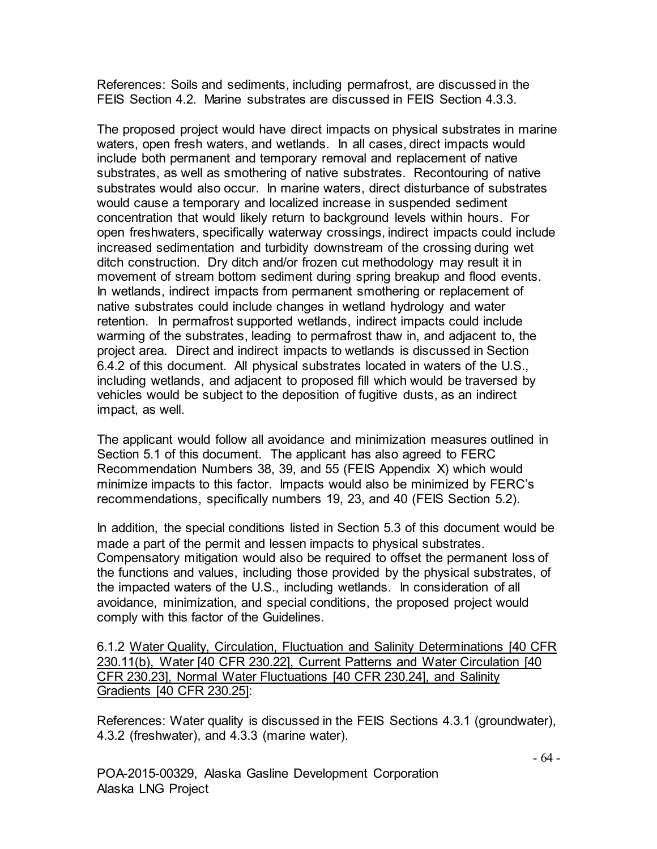References: Soils and sediments, including permafrost, are discussed in the FEIS Section 4.2. Marine substrates are discussed in FEIS Section 4.3.3.

The proposed project would have direct impacts on physical substrates in marine waters, open fresh waters, and wetlands. In all cases, direct impacts would include both permanent and temporary removal and replacement of native substrates, as well as smothering of native substrates. Recontouring of native substrates would also occur. In marine waters, direct disturbance of substrates would cause a temporary and localized increase in suspended sediment concentration that would likely return to background levels within hours. For open freshwaters, specifically waterway crossings, indirect impacts could include increased sedimentation and turbidity downstream of the crossing during wet ditch construction. Dry ditch and/or frozen cut methodology may result it in movement of stream bottom sediment during spring breakup and flood events. In wetlands, indirect impacts from permanent smothering or replacement of native substrates could include changes in wetland hydrology and water retention. In permafrost supported wetlands, indirect impacts could include warming of the substrates, leading to permafrost thaw in, and adjacent to, the project area. Direct and indirect impacts to wetlands is discussed in Section 6.4.2 of this document. All physical substrates located in waters of the U.S., including wetlands, and adjacent to proposed fill which would be traversed by vehicles would be subject to the deposition of fugitive dusts, as an indirect impact, as well.

The applicant would follow all avoidance and minimization measures outlined in Section 5.1 of this document. The applicant has also agreed to FERC Recommendation Numbers 38, 39, and 55 (FEIS Appendix X) which would minimize impacts to this factor. Impacts would also be minimized by FERC's recommendations, specifically numbers 19, 23, and 40 (FEIS Section 5.2).

In addition, the special conditions listed in Section 5.3 of this document would be made a part of the permit and lessen impacts to physical substrates. Compensatory mitigation would also be required to offset the permanent loss of the functions and values, including those provided by the physical substrates, of the impacted waters of the U.S., including wetlands. In consideration of all avoidance, minimization, and special conditions, the proposed project would comply with this factor of the Guidelines.

6.1.2 Water Quality, Circulation, Fluctuation and Salinity Determinations [40 CFR 230.11(b), Water [40 CFR 230.22], Current Patterns and Water Circulation [40 CFR 230.23], Normal Water Fluctuations [40 CFR 230.24], and Salinity Gradients [40 CFR 230.25]:

References: Water quality is discussed in the FEIS Sections 4.3.1 (groundwater), 4.3.2 (freshwater), and 4.3.3 (marine water).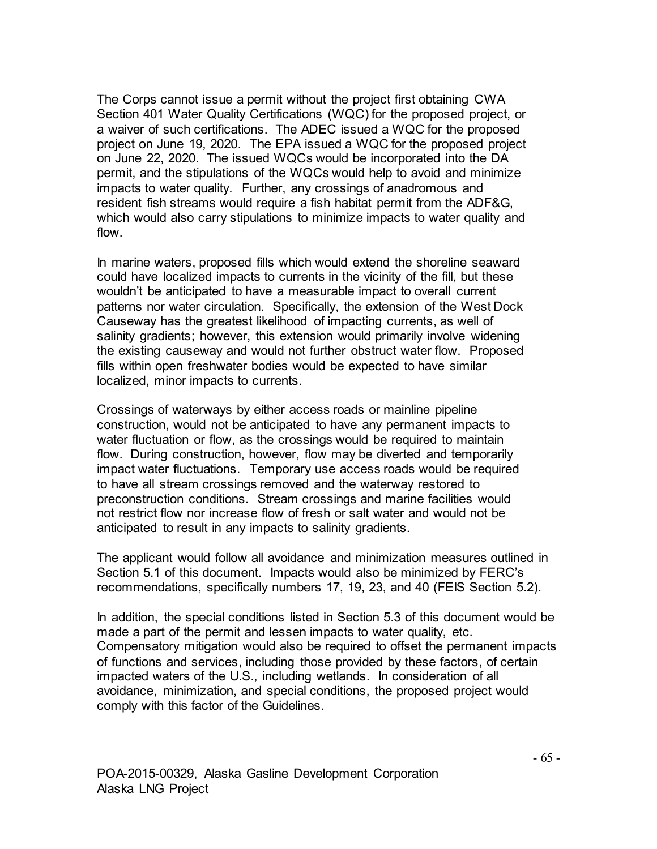The Corps cannot issue a permit without the project first obtaining CWA Section 401 Water Quality Certifications (WQC) for the proposed project, or a waiver of such certifications. The ADEC issued a WQC for the proposed project on June 19, 2020. The EPA issued a WQC for the proposed project on June 22, 2020. The issued WQCs would be incorporated into the DA permit, and the stipulations of the WQCs would help to avoid and minimize impacts to water quality. Further, any crossings of anadromous and resident fish streams would require a fish habitat permit from the ADF&G, which would also carry stipulations to minimize impacts to water quality and flow.

In marine waters, proposed fills which would extend the shoreline seaward could have localized impacts to currents in the vicinity of the fill, but these wouldn't be anticipated to have a measurable impact to overall current patterns nor water circulation. Specifically, the extension of the West Dock Causeway has the greatest likelihood of impacting currents, as well of salinity gradients; however, this extension would primarily involve widening the existing causeway and would not further obstruct water flow. Proposed fills within open freshwater bodies would be expected to have similar localized, minor impacts to currents.

Crossings of waterways by either access roads or mainline pipeline construction, would not be anticipated to have any permanent impacts to water fluctuation or flow, as the crossings would be required to maintain flow. During construction, however, flow may be diverted and temporarily impact water fluctuations. Temporary use access roads would be required to have all stream crossings removed and the waterway restored to preconstruction conditions. Stream crossings and marine facilities would not restrict flow nor increase flow of fresh or salt water and would not be anticipated to result in any impacts to salinity gradients.

The applicant would follow all avoidance and minimization measures outlined in Section 5.1 of this document. Impacts would also be minimized by FERC's recommendations, specifically numbers 17, 19, 23, and 40 (FEIS Section 5.2).

In addition, the special conditions listed in Section 5.3 of this document would be made a part of the permit and lessen impacts to water quality, etc. Compensatory mitigation would also be required to offset the permanent impacts of functions and services, including those provided by these factors, of certain impacted waters of the U.S., including wetlands. In consideration of all avoidance, minimization, and special conditions, the proposed project would comply with this factor of the Guidelines.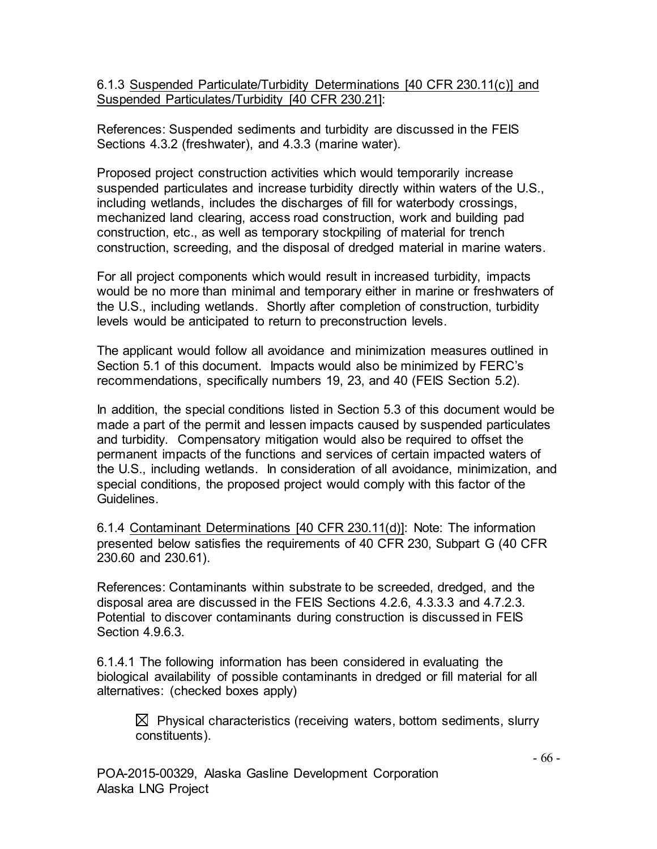#### 6.1.3 Suspended Particulate/Turbidity Determinations [40 CFR 230.11(c)] and Suspended Particulates/Turbidity [40 CFR 230.21]:

References: Suspended sediments and turbidity are discussed in the FEIS Sections 4.3.2 (freshwater), and 4.3.3 (marine water).

Proposed project construction activities which would temporarily increase suspended particulates and increase turbidity directly within waters of the U.S., including wetlands, includes the discharges of fill for waterbody crossings, mechanized land clearing, access road construction, work and building pad construction, etc., as well as temporary stockpiling of material for trench construction, screeding, and the disposal of dredged material in marine waters.

For all project components which would result in increased turbidity, impacts would be no more than minimal and temporary either in marine or freshwaters of the U.S., including wetlands. Shortly after completion of construction, turbidity levels would be anticipated to return to preconstruction levels.

The applicant would follow all avoidance and minimization measures outlined in Section 5.1 of this document. Impacts would also be minimized by FERC's recommendations, specifically numbers 19, 23, and 40 (FEIS Section 5.2).

In addition, the special conditions listed in Section 5.3 of this document would be made a part of the permit and lessen impacts caused by suspended particulates and turbidity. Compensatory mitigation would also be required to offset the permanent impacts of the functions and services of certain impacted waters of the U.S., including wetlands. In consideration of all avoidance, minimization, and special conditions, the proposed project would comply with this factor of the Guidelines.

6.1.4 Contaminant Determinations [40 CFR 230.11(d)]: Note: The information presented below satisfies the requirements of 40 CFR 230, Subpart G (40 CFR 230.60 and 230.61).

References: Contaminants within substrate to be screeded, dredged, and the disposal area are discussed in the FEIS Sections 4.2.6, 4.3.3.3 and 4.7.2.3. Potential to discover contaminants during construction is discussed in FEIS Section 4.9.6.3.

6.1.4.1 The following information has been considered in evaluating the biological availability of possible contaminants in dredged or fill material for all alternatives: (checked boxes apply)

 $\boxtimes$  Physical characteristics (receiving waters, bottom sediments, slurry constituents).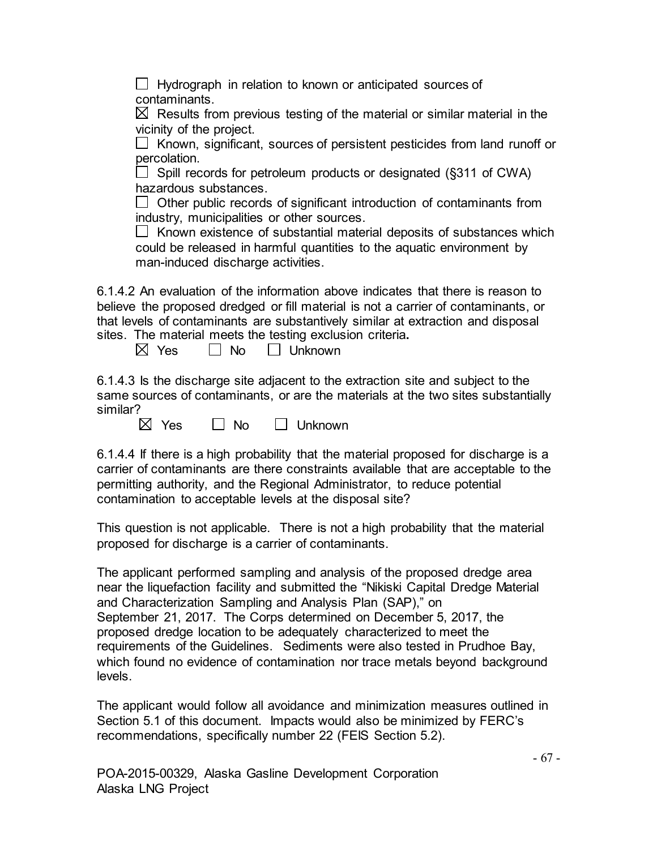$\Box$  Hydrograph in relation to known or anticipated sources of contaminants.

 $\boxtimes$  Results from previous testing of the material or similar material in the vicinity of the project.

 $\Box$  Known, significant, sources of persistent pesticides from land runoff or percolation.

 $\Box$  Spill records for petroleum products or designated (§311 of CWA) hazardous substances.

 $\Box$  Other public records of significant introduction of contaminants from industry, municipalities or other sources.

 $\Box$  Known existence of substantial material deposits of substances which could be released in harmful quantities to the aquatic environment by man-induced discharge activities.

6.1.4.2 An evaluation of the information above indicates that there is reason to believe the proposed dredged or fill material is not a carrier of contaminants, or that levels of contaminants are substantively similar at extraction and disposal sites. The material meets the testing exclusion criteria**.**

 $\boxtimes$  Yes  $\qquad \Box$  No  $\Box$  Unknown

6.1.4.3 Is the discharge site adjacent to the extraction site and subject to the same sources of contaminants, or are the materials at the two sites substantially similar?

 $\boxtimes$  Yes  $\Box$  No  $\Box$  Unknown

6.1.4.4 If there is a high probability that the material proposed for discharge is a carrier of contaminants are there constraints available that are acceptable to the permitting authority, and the Regional Administrator, to reduce potential contamination to acceptable levels at the disposal site?

This question is not applicable. There is not a high probability that the material proposed for discharge is a carrier of contaminants.

The applicant performed sampling and analysis of the proposed dredge area near the liquefaction facility and submitted the "Nikiski Capital Dredge Material and Characterization Sampling and Analysis Plan (SAP)," on September 21, 2017. The Corps determined on December 5, 2017, the proposed dredge location to be adequately characterized to meet the requirements of the Guidelines. Sediments were also tested in Prudhoe Bay, which found no evidence of contamination nor trace metals beyond background levels.

The applicant would follow all avoidance and minimization measures outlined in Section 5.1 of this document. Impacts would also be minimized by FERC's recommendations, specifically number 22 (FEIS Section 5.2).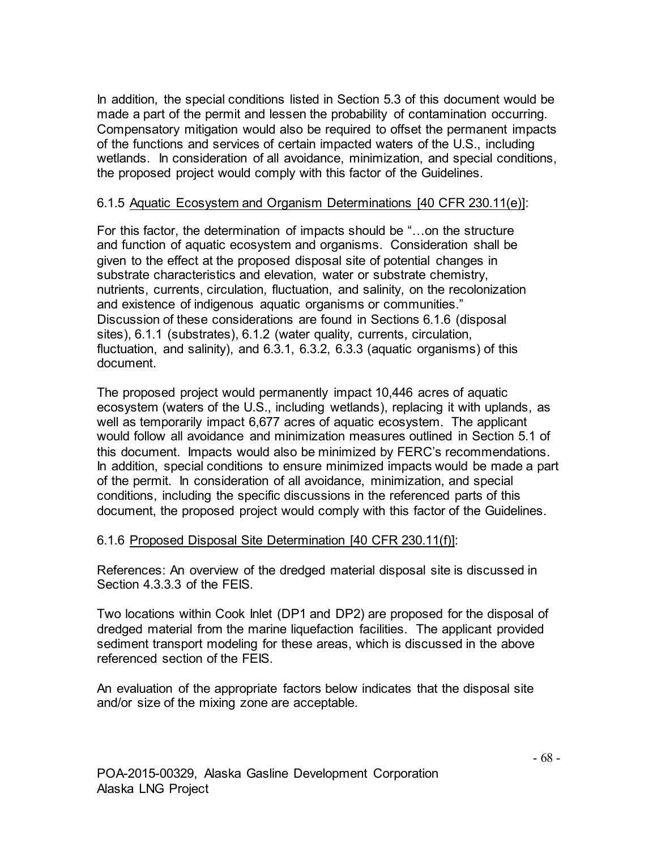In addition, the special conditions listed in Section 5.3 of this document would be made a part of the permit and lessen the probability of contamination occurring. Compensatory mitigation would also be required to offset the permanent impacts of the functions and services of certain impacted waters of the U.S., including wetlands. In consideration of all avoidance, minimization, and special conditions, the proposed project would comply with this factor of the Guidelines.

## 6.1.5 Aquatic Ecosystem and Organism Determinations [40 CFR 230.11(e)]:

For this factor, the determination of impacts should be "…on the structure and function of aquatic ecosystem and organisms. Consideration shall be given to the effect at the proposed disposal site of potential changes in substrate characteristics and elevation, water or substrate chemistry, nutrients, currents, circulation, fluctuation, and salinity, on the recolonization and existence of indigenous aquatic organisms or communities." Discussion of these considerations are found in Sections 6.1.6 (disposal sites), 6.1.1 (substrates), 6.1.2 (water quality, currents, circulation, fluctuation, and salinity), and 6.3.1, 6.3.2, 6.3.3 (aquatic organisms) of this document.

The proposed project would permanently impact 10,446 acres of aquatic ecosystem (waters of the U.S., including wetlands), replacing it with uplands, as well as temporarily impact 6,677 acres of aquatic ecosystem. The applicant would follow all avoidance and minimization measures outlined in Section 5.1 of this document. Impacts would also be minimized by FERC's recommendations. In addition, special conditions to ensure minimized impacts would be made a part of the permit. In consideration of all avoidance, minimization, and special conditions, including the specific discussions in the referenced parts of this document, the proposed project would comply with this factor of the Guidelines.

## 6.1.6 Proposed Disposal Site Determination [40 CFR 230.11(f)]:

References: An overview of the dredged material disposal site is discussed in Section 4.3.3.3 of the FEIS.

Two locations within Cook Inlet (DP1 and DP2) are proposed for the disposal of dredged material from the marine liquefaction facilities. The applicant provided sediment transport modeling for these areas, which is discussed in the above referenced section of the FEIS.

An evaluation of the appropriate factors below indicates that the disposal site and/or size of the mixing zone are acceptable.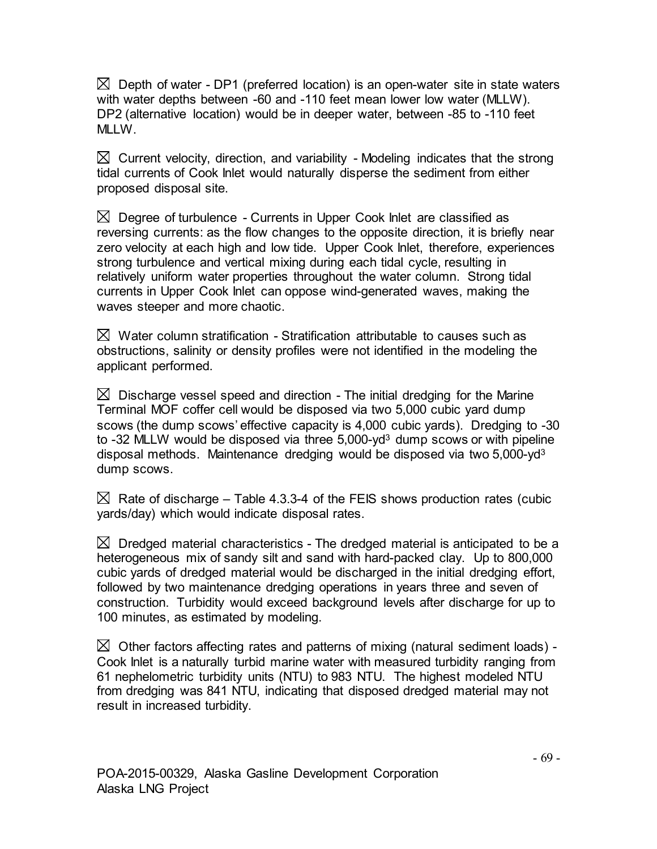$\boxtimes$  Depth of water - DP1 (preferred location) is an open-water site in state waters with water depths between -60 and -110 feet mean lower low water (MLLW). DP2 (alternative location) would be in deeper water, between -85 to -110 feet MLI W

 $\boxtimes$  Current velocity, direction, and variability - Modeling indicates that the strong tidal currents of Cook Inlet would naturally disperse the sediment from either proposed disposal site.

 $\boxtimes$  Degree of turbulence - Currents in Upper Cook Inlet are classified as reversing currents: as the flow changes to the opposite direction, it is briefly near zero velocity at each high and low tide. Upper Cook Inlet, therefore, experiences strong turbulence and vertical mixing during each tidal cycle, resulting in relatively uniform water properties throughout the water column. Strong tidal currents in Upper Cook Inlet can oppose wind-generated waves, making the waves steeper and more chaotic.

 $\boxtimes$  Water column stratification - Stratification attributable to causes such as obstructions, salinity or density profiles were not identified in the modeling the applicant performed.

 $\boxtimes$  Discharge vessel speed and direction - The initial dredging for the Marine Terminal MOF coffer cell would be disposed via two 5,000 cubic yard dump scows (the dump scows' effective capacity is 4,000 cubic yards). Dredging to -30 to -32 MLLW would be disposed via three 5,000-yd<sup>3</sup> dump scows or with pipeline disposal methods. Maintenance dredging would be disposed via two 5,000-yd3 dump scows.

 $\boxtimes$  Rate of discharge – Table 4.3.3-4 of the FEIS shows production rates (cubic yards/day) which would indicate disposal rates.

 $\boxtimes$  Dredged material characteristics - The dredged material is anticipated to be a heterogeneous mix of sandy silt and sand with hard-packed clay. Up to 800,000 cubic yards of dredged material would be discharged in the initial dredging effort, followed by two maintenance dredging operations in years three and seven of construction. Turbidity would exceed background levels after discharge for up to 100 minutes, as estimated by modeling.

 $\boxtimes$  Other factors affecting rates and patterns of mixing (natural sediment loads) -Cook Inlet is a naturally turbid marine water with measured turbidity ranging from 61 nephelometric turbidity units (NTU) to 983 NTU. The highest modeled NTU from dredging was 841 NTU, indicating that disposed dredged material may not result in increased turbidity.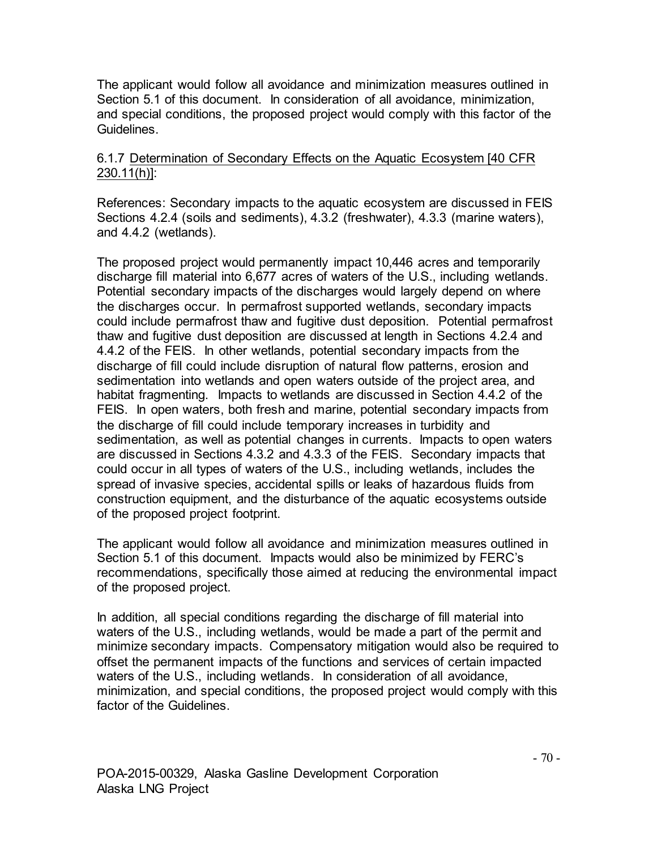The applicant would follow all avoidance and minimization measures outlined in Section 5.1 of this document. In consideration of all avoidance, minimization, and special conditions, the proposed project would comply with this factor of the **Guidelines** 

#### 6.1.7 Determination of Secondary Effects on the Aquatic Ecosystem [40 CFR 230.11(h)]:

References: Secondary impacts to the aquatic ecosystem are discussed in FEIS Sections 4.2.4 (soils and sediments), 4.3.2 (freshwater), 4.3.3 (marine waters), and 4.4.2 (wetlands).

The proposed project would permanently impact 10,446 acres and temporarily discharge fill material into 6,677 acres of waters of the U.S., including wetlands. Potential secondary impacts of the discharges would largely depend on where the discharges occur. In permafrost supported wetlands, secondary impacts could include permafrost thaw and fugitive dust deposition. Potential permafrost thaw and fugitive dust deposition are discussed at length in Sections 4.2.4 and 4.4.2 of the FEIS. In other wetlands, potential secondary impacts from the discharge of fill could include disruption of natural flow patterns, erosion and sedimentation into wetlands and open waters outside of the project area, and habitat fragmenting. Impacts to wetlands are discussed in Section 4.4.2 of the FEIS. In open waters, both fresh and marine, potential secondary impacts from the discharge of fill could include temporary increases in turbidity and sedimentation, as well as potential changes in currents. Impacts to open waters are discussed in Sections 4.3.2 and 4.3.3 of the FEIS. Secondary impacts that could occur in all types of waters of the U.S., including wetlands, includes the spread of invasive species, accidental spills or leaks of hazardous fluids from construction equipment, and the disturbance of the aquatic ecosystems outside of the proposed project footprint.

The applicant would follow all avoidance and minimization measures outlined in Section 5.1 of this document. Impacts would also be minimized by FERC's recommendations, specifically those aimed at reducing the environmental impact of the proposed project.

In addition, all special conditions regarding the discharge of fill material into waters of the U.S., including wetlands, would be made a part of the permit and minimize secondary impacts. Compensatory mitigation would also be required to offset the permanent impacts of the functions and services of certain impacted waters of the U.S., including wetlands. In consideration of all avoidance, minimization, and special conditions, the proposed project would comply with this factor of the Guidelines.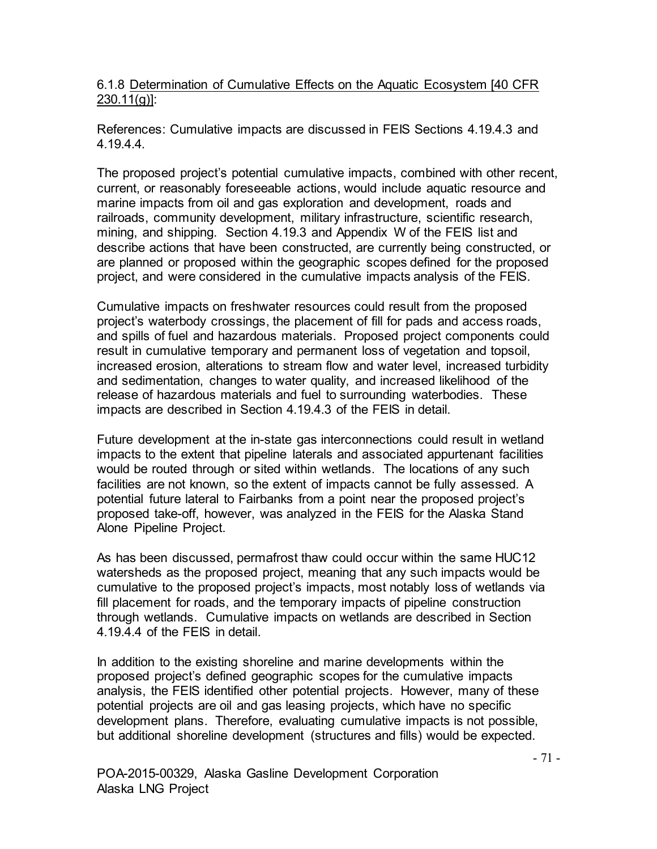6.1.8 Determination of Cumulative Effects on the Aquatic Ecosystem [40 CFR 230.11(g)]:

References: Cumulative impacts are discussed in FEIS Sections 4.19.4.3 and 4.19.4.4.

The proposed project's potential cumulative impacts, combined with other recent, current, or reasonably foreseeable actions, would include aquatic resource and marine impacts from oil and gas exploration and development, roads and railroads, community development, military infrastructure, scientific research, mining, and shipping. Section 4.19.3 and Appendix W of the FEIS list and describe actions that have been constructed, are currently being constructed, or are planned or proposed within the geographic scopes defined for the proposed project, and were considered in the cumulative impacts analysis of the FEIS.

Cumulative impacts on freshwater resources could result from the proposed project's waterbody crossings, the placement of fill for pads and access roads, and spills of fuel and hazardous materials. Proposed project components could result in cumulative temporary and permanent loss of vegetation and topsoil, increased erosion, alterations to stream flow and water level, increased turbidity and sedimentation, changes to water quality, and increased likelihood of the release of hazardous materials and fuel to surrounding waterbodies. These impacts are described in Section 4.19.4.3 of the FEIS in detail.

Future development at the in-state gas interconnections could result in wetland impacts to the extent that pipeline laterals and associated appurtenant facilities would be routed through or sited within wetlands. The locations of any such facilities are not known, so the extent of impacts cannot be fully assessed. A potential future lateral to Fairbanks from a point near the proposed project's proposed take-off, however, was analyzed in the FEIS for the Alaska Stand Alone Pipeline Project.

As has been discussed, permafrost thaw could occur within the same HUC12 watersheds as the proposed project, meaning that any such impacts would be cumulative to the proposed project's impacts, most notably loss of wetlands via fill placement for roads, and the temporary impacts of pipeline construction through wetlands. Cumulative impacts on wetlands are described in Section 4.19.4.4 of the FEIS in detail.

In addition to the existing shoreline and marine developments within the proposed project's defined geographic scopes for the cumulative impacts analysis, the FEIS identified other potential projects. However, many of these potential projects are oil and gas leasing projects, which have no specific development plans. Therefore, evaluating cumulative impacts is not possible, but additional shoreline development (structures and fills) would be expected.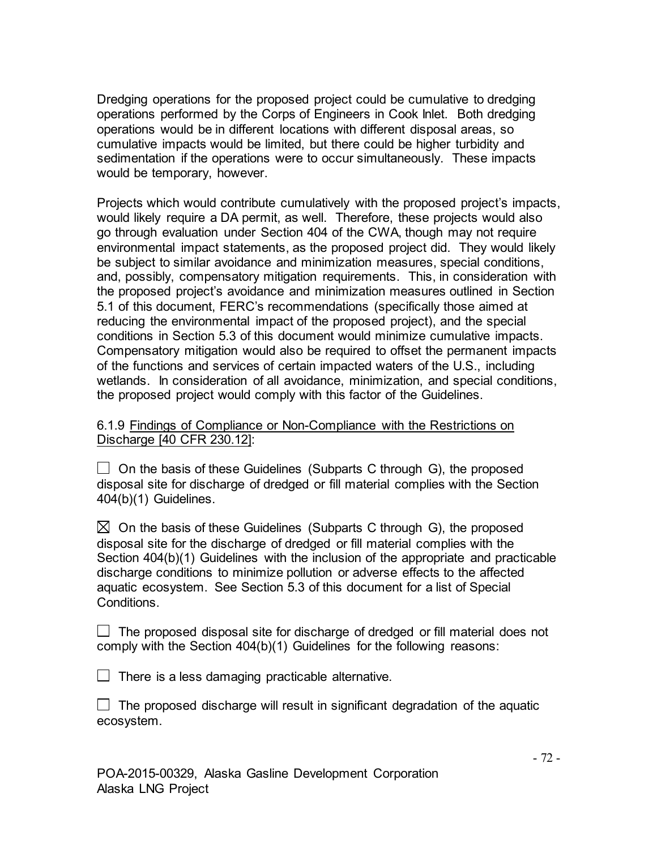Dredging operations for the proposed project could be cumulative to dredging operations performed by the Corps of Engineers in Cook Inlet. Both dredging operations would be in different locations with different disposal areas, so cumulative impacts would be limited, but there could be higher turbidity and sedimentation if the operations were to occur simultaneously. These impacts would be temporary, however.

Projects which would contribute cumulatively with the proposed project's impacts, would likely require a DA permit, as well. Therefore, these projects would also go through evaluation under Section 404 of the CWA, though may not require environmental impact statements, as the proposed project did. They would likely be subject to similar avoidance and minimization measures, special conditions, and, possibly, compensatory mitigation requirements. This, in consideration with the proposed project's avoidance and minimization measures outlined in Section 5.1 of this document, FERC's recommendations (specifically those aimed at reducing the environmental impact of the proposed project), and the special conditions in Section 5.3 of this document would minimize cumulative impacts. Compensatory mitigation would also be required to offset the permanent impacts of the functions and services of certain impacted waters of the U.S., including wetlands. In consideration of all avoidance, minimization, and special conditions, the proposed project would comply with this factor of the Guidelines.

#### 6.1.9 Findings of Compliance or Non-Compliance with the Restrictions on Discharge [40 CFR 230.12]:

| $\Box$ On the basis of these Guidelines (Subparts C through G), the proposed      |
|-----------------------------------------------------------------------------------|
| disposal site for discharge of dredged or fill material complies with the Section |
| $404(b)(1)$ Guidelines.                                                           |

 $\boxtimes$  On the basis of these Guidelines (Subparts C through G), the proposed disposal site for the discharge of dredged or fill material complies with the Section 404(b)(1) Guidelines with the inclusion of the appropriate and practicable discharge conditions to minimize pollution or adverse effects to the affected aquatic ecosystem. See Section 5.3 of this document for a list of Special Conditions.

| $\Box$ The proposed disposal site for discharge of dredged or fill material does not |  |  |  |  |
|--------------------------------------------------------------------------------------|--|--|--|--|
| comply with the Section 404(b)(1) Guidelines for the following reasons:              |  |  |  |  |

 $\Box$  There is a less damaging practicable alternative.

 $\Box$  The proposed discharge will result in significant degradation of the aquatic ecosystem.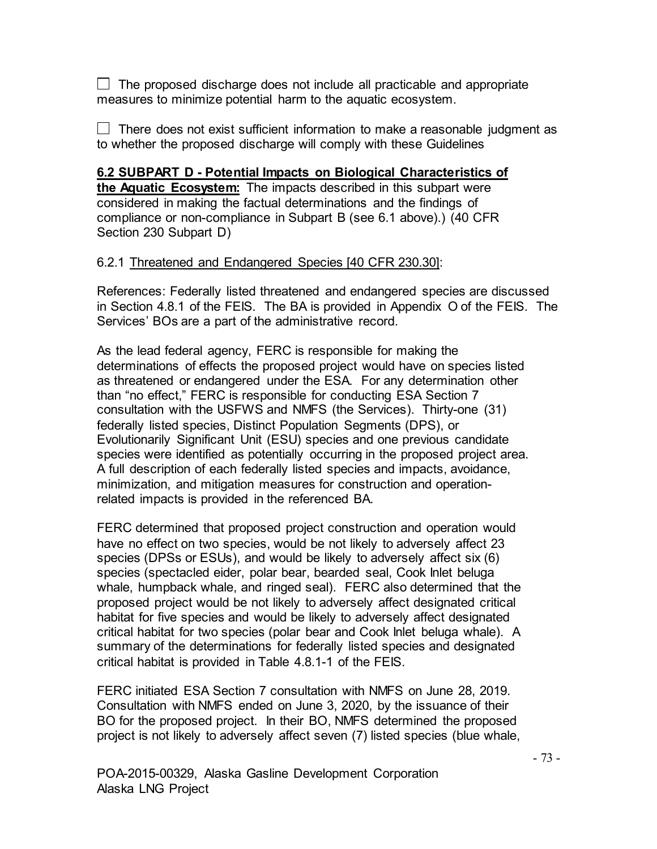$\Box$  The proposed discharge does not include all practicable and appropriate measures to minimize potential harm to the aquatic ecosystem.

 $\Box$  There does not exist sufficient information to make a reasonable judgment as to whether the proposed discharge will comply with these Guidelines

**6.2 SUBPART D - Potential Impacts on Biological Characteristics of the Aquatic Ecosystem:** The impacts described in this subpart were considered in making the factual determinations and the findings of compliance or non-compliance in Subpart B (see 6.1 above).) (40 CFR Section 230 Subpart D)

#### 6.2.1 Threatened and Endangered Species [40 CFR 230.30]:

References: Federally listed threatened and endangered species are discussed in Section 4.8.1 of the FEIS. The BA is provided in Appendix O of the FEIS. The Services' BOs are a part of the administrative record.

As the lead federal agency, FERC is responsible for making the determinations of effects the proposed project would have on species listed as threatened or endangered under the ESA. For any determination other than "no effect," FERC is responsible for conducting ESA Section 7 consultation with the USFWS and NMFS (the Services). Thirty-one (31) federally listed species, Distinct Population Segments (DPS), or Evolutionarily Significant Unit (ESU) species and one previous candidate species were identified as potentially occurring in the proposed project area. A full description of each federally listed species and impacts, avoidance, minimization, and mitigation measures for construction and operationrelated impacts is provided in the referenced BA.

FERC determined that proposed project construction and operation would have no effect on two species, would be not likely to adversely affect 23 species (DPSs or ESUs), and would be likely to adversely affect six (6) species (spectacled eider, polar bear, bearded seal, Cook Inlet beluga whale, humpback whale, and ringed seal). FERC also determined that the proposed project would be not likely to adversely affect designated critical habitat for five species and would be likely to adversely affect designated critical habitat for two species (polar bear and Cook Inlet beluga whale). A summary of the determinations for federally listed species and designated critical habitat is provided in Table 4.8.1-1 of the FEIS.

FERC initiated ESA Section 7 consultation with NMFS on June 28, 2019. Consultation with NMFS ended on June 3, 2020, by the issuance of their BO for the proposed project. In their BO, NMFS determined the proposed project is not likely to adversely affect seven (7) listed species (blue whale,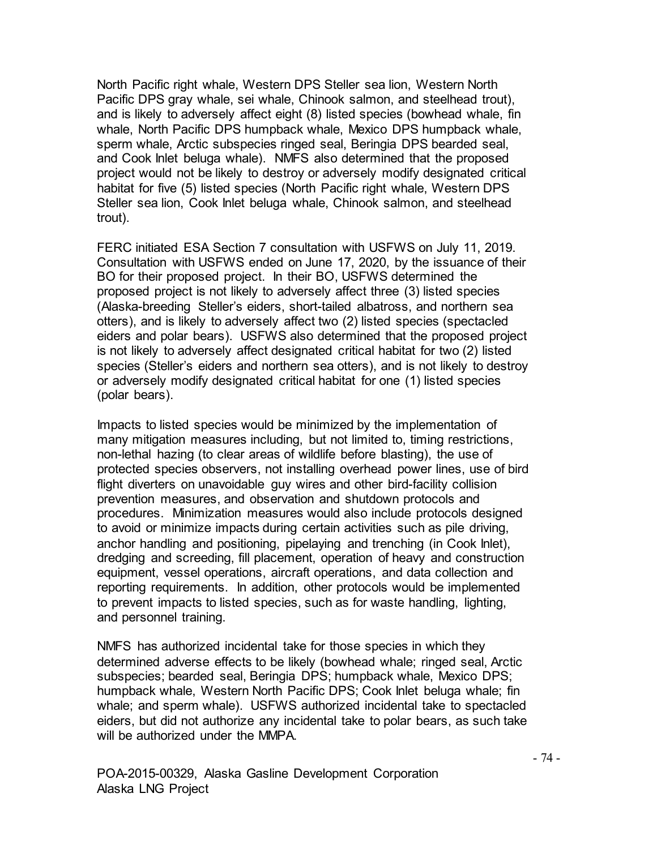North Pacific right whale, Western DPS Steller sea lion, Western North Pacific DPS gray whale, sei whale, Chinook salmon, and steelhead trout), and is likely to adversely affect eight (8) listed species (bowhead whale, fin whale, North Pacific DPS humpback whale, Mexico DPS humpback whale, sperm whale, Arctic subspecies ringed seal, Beringia DPS bearded seal, and Cook Inlet beluga whale). NMFS also determined that the proposed project would not be likely to destroy or adversely modify designated critical habitat for five (5) listed species (North Pacific right whale, Western DPS Steller sea lion, Cook Inlet beluga whale, Chinook salmon, and steelhead trout).

FERC initiated ESA Section 7 consultation with USFWS on July 11, 2019. Consultation with USFWS ended on June 17, 2020, by the issuance of their BO for their proposed project. In their BO, USFWS determined the proposed project is not likely to adversely affect three (3) listed species (Alaska-breeding Steller's eiders, short-tailed albatross, and northern sea otters), and is likely to adversely affect two (2) listed species (spectacled eiders and polar bears). USFWS also determined that the proposed project is not likely to adversely affect designated critical habitat for two (2) listed species (Steller's eiders and northern sea otters), and is not likely to destroy or adversely modify designated critical habitat for one (1) listed species (polar bears).

Impacts to listed species would be minimized by the implementation of many mitigation measures including, but not limited to, timing restrictions, non-lethal hazing (to clear areas of wildlife before blasting), the use of protected species observers, not installing overhead power lines, use of bird flight diverters on unavoidable guy wires and other bird-facility collision prevention measures, and observation and shutdown protocols and procedures. Minimization measures would also include protocols designed to avoid or minimize impacts during certain activities such as pile driving, anchor handling and positioning, pipelaying and trenching (in Cook Inlet), dredging and screeding, fill placement, operation of heavy and construction equipment, vessel operations, aircraft operations, and data collection and reporting requirements. In addition, other protocols would be implemented to prevent impacts to listed species, such as for waste handling, lighting, and personnel training.

NMFS has authorized incidental take for those species in which they determined adverse effects to be likely (bowhead whale; ringed seal, Arctic subspecies; bearded seal, Beringia DPS; humpback whale, Mexico DPS; humpback whale, Western North Pacific DPS; Cook Inlet beluga whale; fin whale; and sperm whale). USFWS authorized incidental take to spectacled eiders, but did not authorize any incidental take to polar bears, as such take will be authorized under the MMPA.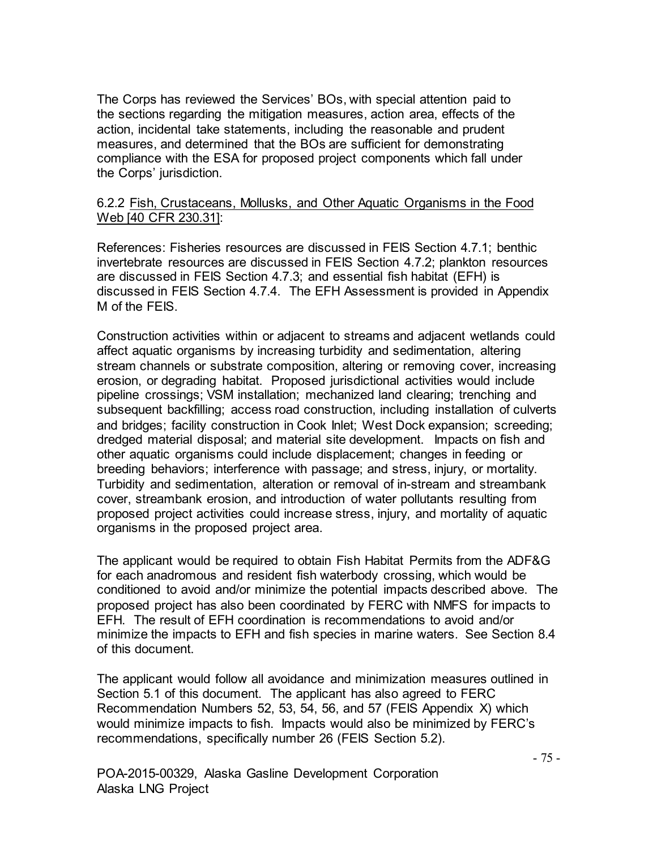The Corps has reviewed the Services' BOs, with special attention paid to the sections regarding the mitigation measures, action area, effects of the action, incidental take statements, including the reasonable and prudent measures, and determined that the BOs are sufficient for demonstrating compliance with the ESA for proposed project components which fall under the Corps' jurisdiction.

#### 6.2.2 Fish, Crustaceans, Mollusks, and Other Aquatic Organisms in the Food Web [40 CFR 230.31]:

References: Fisheries resources are discussed in FEIS Section 4.7.1; benthic invertebrate resources are discussed in FEIS Section 4.7.2; plankton resources are discussed in FEIS Section 4.7.3; and essential fish habitat (EFH) is discussed in FEIS Section 4.7.4. The EFH Assessment is provided in Appendix M of the FEIS.

Construction activities within or adjacent to streams and adjacent wetlands could affect aquatic organisms by increasing turbidity and sedimentation, altering stream channels or substrate composition, altering or removing cover, increasing erosion, or degrading habitat. Proposed jurisdictional activities would include pipeline crossings; VSM installation; mechanized land clearing; trenching and subsequent backfilling; access road construction, including installation of culverts and bridges; facility construction in Cook Inlet; West Dock expansion; screeding; dredged material disposal; and material site development. Impacts on fish and other aquatic organisms could include displacement; changes in feeding or breeding behaviors; interference with passage; and stress, injury, or mortality. Turbidity and sedimentation, alteration or removal of in-stream and streambank cover, streambank erosion, and introduction of water pollutants resulting from proposed project activities could increase stress, injury, and mortality of aquatic organisms in the proposed project area.

The applicant would be required to obtain Fish Habitat Permits from the ADF&G for each anadromous and resident fish waterbody crossing, which would be conditioned to avoid and/or minimize the potential impacts described above. The proposed project has also been coordinated by FERC with NMFS for impacts to EFH. The result of EFH coordination is recommendations to avoid and/or minimize the impacts to EFH and fish species in marine waters. See Section 8.4 of this document.

The applicant would follow all avoidance and minimization measures outlined in Section 5.1 of this document. The applicant has also agreed to FERC Recommendation Numbers 52, 53, 54, 56, and 57 (FEIS Appendix X) which would minimize impacts to fish. Impacts would also be minimized by FERC's recommendations, specifically number 26 (FEIS Section 5.2).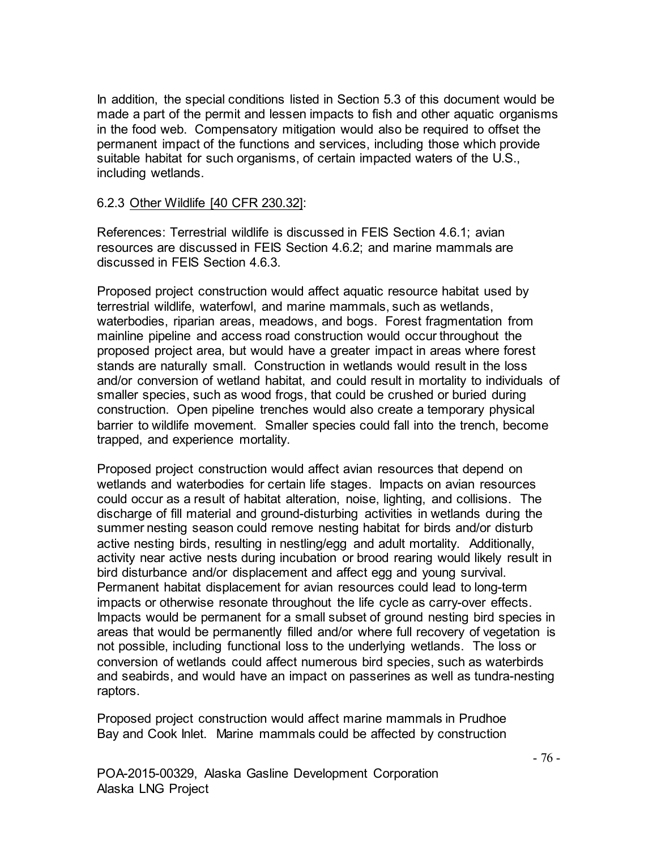In addition, the special conditions listed in Section 5.3 of this document would be made a part of the permit and lessen impacts to fish and other aquatic organisms in the food web. Compensatory mitigation would also be required to offset the permanent impact of the functions and services, including those which provide suitable habitat for such organisms, of certain impacted waters of the U.S., including wetlands.

#### 6.2.3 Other Wildlife [40 CFR 230.32]:

References: Terrestrial wildlife is discussed in FEIS Section 4.6.1; avian resources are discussed in FEIS Section 4.6.2; and marine mammals are discussed in FEIS Section 4.6.3.

Proposed project construction would affect aquatic resource habitat used by terrestrial wildlife, waterfowl, and marine mammals, such as wetlands, waterbodies, riparian areas, meadows, and bogs. Forest fragmentation from mainline pipeline and access road construction would occur throughout the proposed project area, but would have a greater impact in areas where forest stands are naturally small. Construction in wetlands would result in the loss and/or conversion of wetland habitat, and could result in mortality to individuals of smaller species, such as wood frogs, that could be crushed or buried during construction. Open pipeline trenches would also create a temporary physical barrier to wildlife movement. Smaller species could fall into the trench, become trapped, and experience mortality.

Proposed project construction would affect avian resources that depend on wetlands and waterbodies for certain life stages. Impacts on avian resources could occur as a result of habitat alteration, noise, lighting, and collisions. The discharge of fill material and ground-disturbing activities in wetlands during the summer nesting season could remove nesting habitat for birds and/or disturb active nesting birds, resulting in nestling/egg and adult mortality. Additionally, activity near active nests during incubation or brood rearing would likely result in bird disturbance and/or displacement and affect egg and young survival. Permanent habitat displacement for avian resources could lead to long-term impacts or otherwise resonate throughout the life cycle as carry-over effects. Impacts would be permanent for a small subset of ground nesting bird species in areas that would be permanently filled and/or where full recovery of vegetation is not possible, including functional loss to the underlying wetlands. The loss or conversion of wetlands could affect numerous bird species, such as waterbirds and seabirds, and would have an impact on passerines as well as tundra-nesting raptors.

Proposed project construction would affect marine mammals in Prudhoe Bay and Cook Inlet. Marine mammals could be affected by construction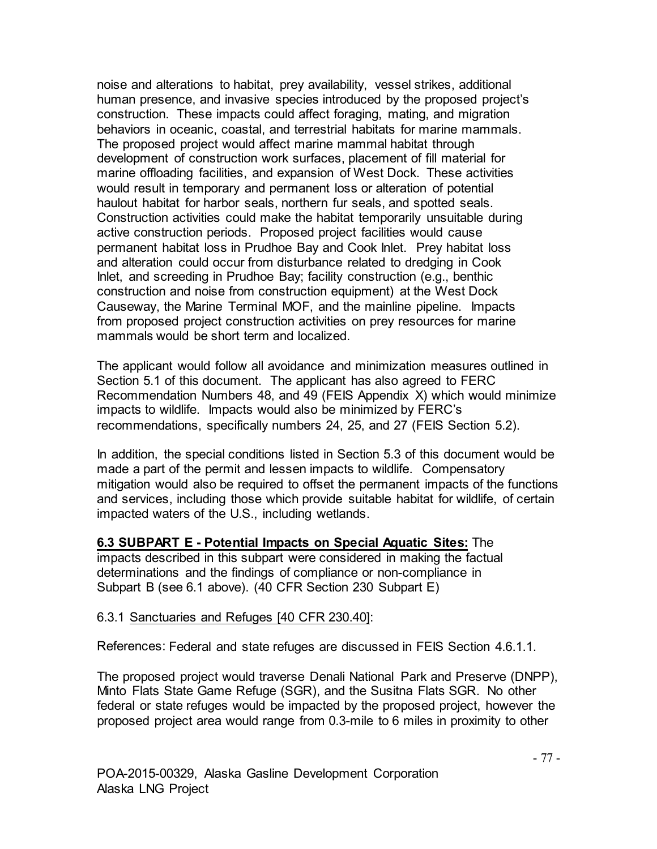noise and alterations to habitat, prey availability, vessel strikes, additional human presence, and invasive species introduced by the proposed project's construction. These impacts could affect foraging, mating, and migration behaviors in oceanic, coastal, and terrestrial habitats for marine mammals. The proposed project would affect marine mammal habitat through development of construction work surfaces, placement of fill material for marine offloading facilities, and expansion of West Dock. These activities would result in temporary and permanent loss or alteration of potential haulout habitat for harbor seals, northern fur seals, and spotted seals. Construction activities could make the habitat temporarily unsuitable during active construction periods. Proposed project facilities would cause permanent habitat loss in Prudhoe Bay and Cook Inlet. Prey habitat loss and alteration could occur from disturbance related to dredging in Cook Inlet, and screeding in Prudhoe Bay; facility construction (e.g., benthic construction and noise from construction equipment) at the West Dock Causeway, the Marine Terminal MOF, and the mainline pipeline. Impacts from proposed project construction activities on prey resources for marine mammals would be short term and localized.

The applicant would follow all avoidance and minimization measures outlined in Section 5.1 of this document. The applicant has also agreed to FERC Recommendation Numbers 48, and 49 (FEIS Appendix X) which would minimize impacts to wildlife. Impacts would also be minimized by FERC's recommendations, specifically numbers 24, 25, and 27 (FEIS Section 5.2).

In addition, the special conditions listed in Section 5.3 of this document would be made a part of the permit and lessen impacts to wildlife. Compensatory mitigation would also be required to offset the permanent impacts of the functions and services, including those which provide suitable habitat for wildlife, of certain impacted waters of the U.S., including wetlands.

#### **6.3 SUBPART E - Potential Impacts on Special Aquatic Sites:** The

impacts described in this subpart were considered in making the factual determinations and the findings of compliance or non-compliance in Subpart B (see 6.1 above). (40 CFR Section 230 Subpart E)

#### 6.3.1 Sanctuaries and Refuges [40 CFR 230.40]:

References: Federal and state refuges are discussed in FEIS Section 4.6.1.1.

The proposed project would traverse Denali National Park and Preserve (DNPP), Minto Flats State Game Refuge (SGR), and the Susitna Flats SGR. No other federal or state refuges would be impacted by the proposed project, however the proposed project area would range from 0.3-mile to 6 miles in proximity to other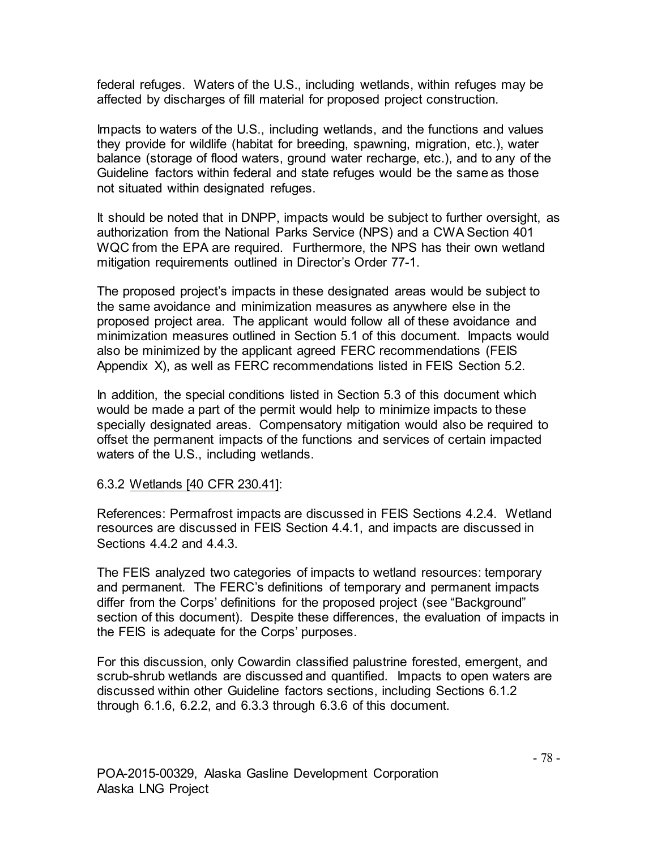federal refuges. Waters of the U.S., including wetlands, within refuges may be affected by discharges of fill material for proposed project construction.

Impacts to waters of the U.S., including wetlands, and the functions and values they provide for wildlife (habitat for breeding, spawning, migration, etc.), water balance (storage of flood waters, ground water recharge, etc.), and to any of the Guideline factors within federal and state refuges would be the same as those not situated within designated refuges.

It should be noted that in DNPP, impacts would be subject to further oversight, as authorization from the National Parks Service (NPS) and a CWA Section 401 WQC from the EPA are required. Furthermore, the NPS has their own wetland mitigation requirements outlined in Director's Order 77-1.

The proposed project's impacts in these designated areas would be subject to the same avoidance and minimization measures as anywhere else in the proposed project area. The applicant would follow all of these avoidance and minimization measures outlined in Section 5.1 of this document. Impacts would also be minimized by the applicant agreed FERC recommendations (FEIS Appendix X), as well as FERC recommendations listed in FEIS Section 5.2.

In addition, the special conditions listed in Section 5.3 of this document which would be made a part of the permit would help to minimize impacts to these specially designated areas. Compensatory mitigation would also be required to offset the permanent impacts of the functions and services of certain impacted waters of the U.S., including wetlands.

#### 6.3.2 Wetlands [40 CFR 230.41]:

References: Permafrost impacts are discussed in FEIS Sections 4.2.4. Wetland resources are discussed in FEIS Section 4.4.1, and impacts are discussed in Sections 4.4.2 and 4.4.3.

The FEIS analyzed two categories of impacts to wetland resources: temporary and permanent. The FERC's definitions of temporary and permanent impacts differ from the Corps' definitions for the proposed project (see "Background" section of this document). Despite these differences, the evaluation of impacts in the FEIS is adequate for the Corps' purposes.

For this discussion, only Cowardin classified palustrine forested, emergent, and scrub-shrub wetlands are discussed and quantified. Impacts to open waters are discussed within other Guideline factors sections, including Sections 6.1.2 through 6.1.6, 6.2.2, and 6.3.3 through 6.3.6 of this document.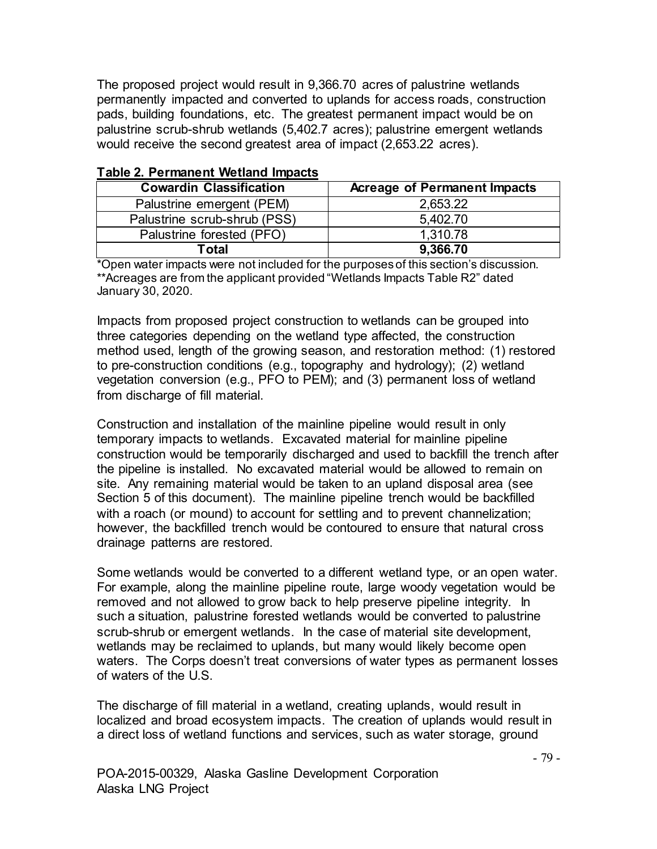The proposed project would result in 9,366.70 acres of palustrine wetlands permanently impacted and converted to uplands for access roads, construction pads, building foundations, etc. The greatest permanent impact would be on palustrine scrub-shrub wetlands (5,402.7 acres); palustrine emergent wetlands would receive the second greatest area of impact (2,653.22 acres).

| <b>Cowardin Classification</b> | <b>Acreage of Permanent Impacts</b> |  |  |
|--------------------------------|-------------------------------------|--|--|
| Palustrine emergent (PEM)      | 2,653.22                            |  |  |
| Palustrine scrub-shrub (PSS)   | 5.402.70                            |  |  |
| Palustrine forested (PFO)      | 1.310.78                            |  |  |
| Total                          | 9,366.70                            |  |  |

#### **Table 2. Permanent Wetland Impacts**

\*Open water impacts were not included for the purposes of this section's discussion. \*\*Acreages are from the applicant provided "Wetlands Impacts Table R2" dated January 30, 2020.

Impacts from proposed project construction to wetlands can be grouped into three categories depending on the wetland type affected, the construction method used, length of the growing season, and restoration method: (1) restored to pre-construction conditions (e.g., topography and hydrology); (2) wetland vegetation conversion (e.g., PFO to PEM); and (3) permanent loss of wetland from discharge of fill material.

Construction and installation of the mainline pipeline would result in only temporary impacts to wetlands. Excavated material for mainline pipeline construction would be temporarily discharged and used to backfill the trench after the pipeline is installed. No excavated material would be allowed to remain on site. Any remaining material would be taken to an upland disposal area (see Section 5 of this document). The mainline pipeline trench would be backfilled with a roach (or mound) to account for settling and to prevent channelization; however, the backfilled trench would be contoured to ensure that natural cross drainage patterns are restored.

Some wetlands would be converted to a different wetland type, or an open water. For example, along the mainline pipeline route, large woody vegetation would be removed and not allowed to grow back to help preserve pipeline integrity. In such a situation, palustrine forested wetlands would be converted to palustrine scrub-shrub or emergent wetlands. In the case of material site development, wetlands may be reclaimed to uplands, but many would likely become open waters. The Corps doesn't treat conversions of water types as permanent losses of waters of the U.S.

The discharge of fill material in a wetland, creating uplands, would result in localized and broad ecosystem impacts. The creation of uplands would result in a direct loss of wetland functions and services, such as water storage, ground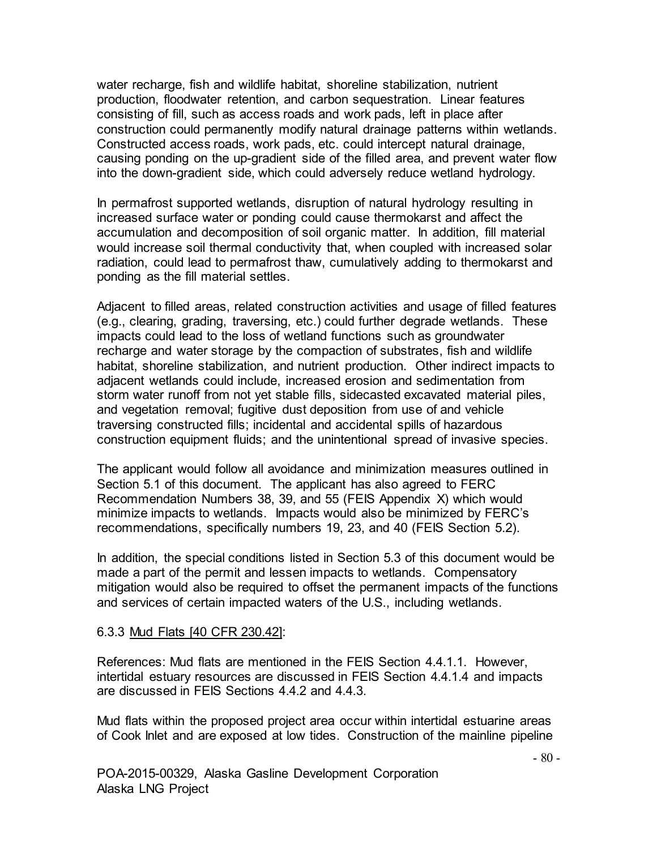water recharge, fish and wildlife habitat, shoreline stabilization, nutrient production, floodwater retention, and carbon sequestration. Linear features consisting of fill, such as access roads and work pads, left in place after construction could permanently modify natural drainage patterns within wetlands. Constructed access roads, work pads, etc. could intercept natural drainage, causing ponding on the up-gradient side of the filled area, and prevent water flow into the down-gradient side, which could adversely reduce wetland hydrology.

In permafrost supported wetlands, disruption of natural hydrology resulting in increased surface water or ponding could cause thermokarst and affect the accumulation and decomposition of soil organic matter. In addition, fill material would increase soil thermal conductivity that, when coupled with increased solar radiation, could lead to permafrost thaw, cumulatively adding to thermokarst and ponding as the fill material settles.

Adjacent to filled areas, related construction activities and usage of filled features (e.g., clearing, grading, traversing, etc.) could further degrade wetlands. These impacts could lead to the loss of wetland functions such as groundwater recharge and water storage by the compaction of substrates, fish and wildlife habitat, shoreline stabilization, and nutrient production. Other indirect impacts to adjacent wetlands could include, increased erosion and sedimentation from storm water runoff from not yet stable fills, sidecasted excavated material piles, and vegetation removal; fugitive dust deposition from use of and vehicle traversing constructed fills; incidental and accidental spills of hazardous construction equipment fluids; and the unintentional spread of invasive species.

The applicant would follow all avoidance and minimization measures outlined in Section 5.1 of this document. The applicant has also agreed to FERC Recommendation Numbers 38, 39, and 55 (FEIS Appendix X) which would minimize impacts to wetlands. Impacts would also be minimized by FERC's recommendations, specifically numbers 19, 23, and 40 (FEIS Section 5.2).

In addition, the special conditions listed in Section 5.3 of this document would be made a part of the permit and lessen impacts to wetlands. Compensatory mitigation would also be required to offset the permanent impacts of the functions and services of certain impacted waters of the U.S., including wetlands.

#### 6.3.3 Mud Flats [40 CFR 230.42]:

References: Mud flats are mentioned in the FEIS Section 4.4.1.1. However, intertidal estuary resources are discussed in FEIS Section 4.4.1.4 and impacts are discussed in FEIS Sections 4.4.2 and 4.4.3.

Mud flats within the proposed project area occur within intertidal estuarine areas of Cook Inlet and are exposed at low tides. Construction of the mainline pipeline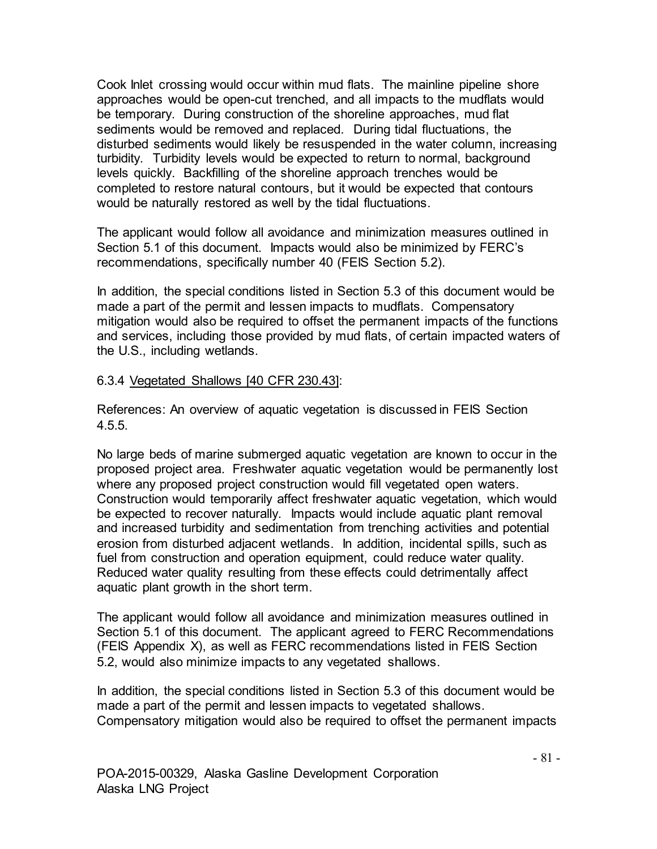Cook Inlet crossing would occur within mud flats. The mainline pipeline shore approaches would be open-cut trenched, and all impacts to the mudflats would be temporary. During construction of the shoreline approaches, mud flat sediments would be removed and replaced. During tidal fluctuations, the disturbed sediments would likely be resuspended in the water column, increasing turbidity. Turbidity levels would be expected to return to normal, background levels quickly. Backfilling of the shoreline approach trenches would be completed to restore natural contours, but it would be expected that contours would be naturally restored as well by the tidal fluctuations.

The applicant would follow all avoidance and minimization measures outlined in Section 5.1 of this document. Impacts would also be minimized by FERC's recommendations, specifically number 40 (FEIS Section 5.2).

In addition, the special conditions listed in Section 5.3 of this document would be made a part of the permit and lessen impacts to mudflats. Compensatory mitigation would also be required to offset the permanent impacts of the functions and services, including those provided by mud flats, of certain impacted waters of the U.S., including wetlands.

### 6.3.4 Vegetated Shallows [40 CFR 230.43]:

References: An overview of aquatic vegetation is discussed in FEIS Section 4.5.5.

No large beds of marine submerged aquatic vegetation are known to occur in the proposed project area. Freshwater aquatic vegetation would be permanently lost where any proposed project construction would fill vegetated open waters. Construction would temporarily affect freshwater aquatic vegetation, which would be expected to recover naturally. Impacts would include aquatic plant removal and increased turbidity and sedimentation from trenching activities and potential erosion from disturbed adjacent wetlands. In addition, incidental spills, such as fuel from construction and operation equipment, could reduce water quality. Reduced water quality resulting from these effects could detrimentally affect aquatic plant growth in the short term.

The applicant would follow all avoidance and minimization measures outlined in Section 5.1 of this document. The applicant agreed to FERC Recommendations (FEIS Appendix X), as well as FERC recommendations listed in FEIS Section 5.2, would also minimize impacts to any vegetated shallows.

In addition, the special conditions listed in Section 5.3 of this document would be made a part of the permit and lessen impacts to vegetated shallows. Compensatory mitigation would also be required to offset the permanent impacts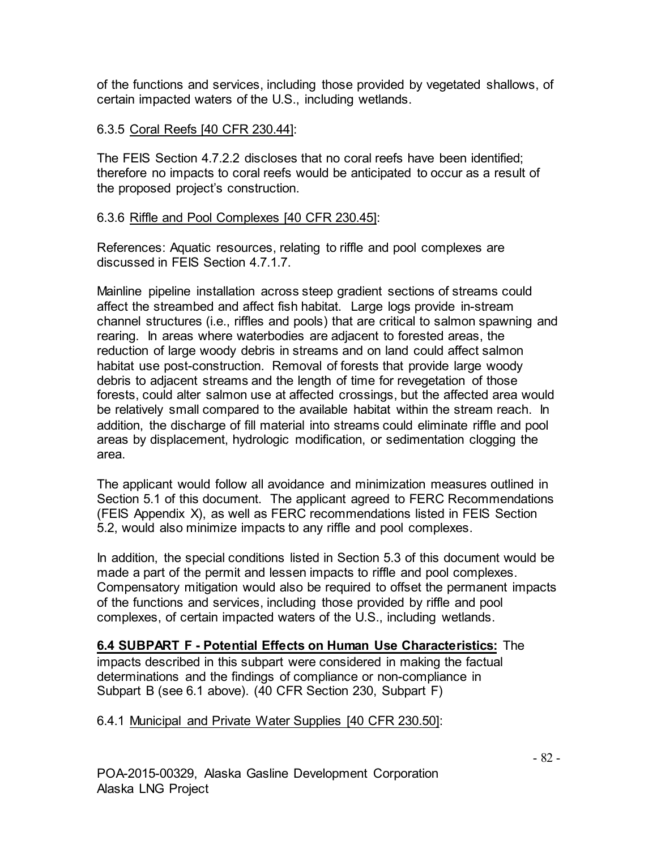of the functions and services, including those provided by vegetated shallows, of certain impacted waters of the U.S., including wetlands.

# 6.3.5 Coral Reefs [40 CFR 230.44]:

The FEIS Section 4.7.2.2 discloses that no coral reefs have been identified; therefore no impacts to coral reefs would be anticipated to occur as a result of the proposed project's construction.

# 6.3.6 Riffle and Pool Complexes [40 CFR 230.45]:

References: Aquatic resources, relating to riffle and pool complexes are discussed in FEIS Section 4.7.1.7.

Mainline pipeline installation across steep gradient sections of streams could affect the streambed and affect fish habitat. Large logs provide in-stream channel structures (i.e., riffles and pools) that are critical to salmon spawning and rearing. In areas where waterbodies are adjacent to forested areas, the reduction of large woody debris in streams and on land could affect salmon habitat use post-construction. Removal of forests that provide large woody debris to adjacent streams and the length of time for revegetation of those forests, could alter salmon use at affected crossings, but the affected area would be relatively small compared to the available habitat within the stream reach. In addition, the discharge of fill material into streams could eliminate riffle and pool areas by displacement, hydrologic modification, or sedimentation clogging the area.

The applicant would follow all avoidance and minimization measures outlined in Section 5.1 of this document. The applicant agreed to FERC Recommendations (FEIS Appendix X), as well as FERC recommendations listed in FEIS Section 5.2, would also minimize impacts to any riffle and pool complexes.

In addition, the special conditions listed in Section 5.3 of this document would be made a part of the permit and lessen impacts to riffle and pool complexes. Compensatory mitigation would also be required to offset the permanent impacts of the functions and services, including those provided by riffle and pool complexes, of certain impacted waters of the U.S., including wetlands.

#### **6.4 SUBPART F - Potential Effects on Human Use Characteristics:** The impacts described in this subpart were considered in making the factual determinations and the findings of compliance or non-compliance in Subpart B (see 6.1 above). (40 CFR Section 230, Subpart F)

# 6.4.1 Municipal and Private Water Supplies [40 CFR 230.50]: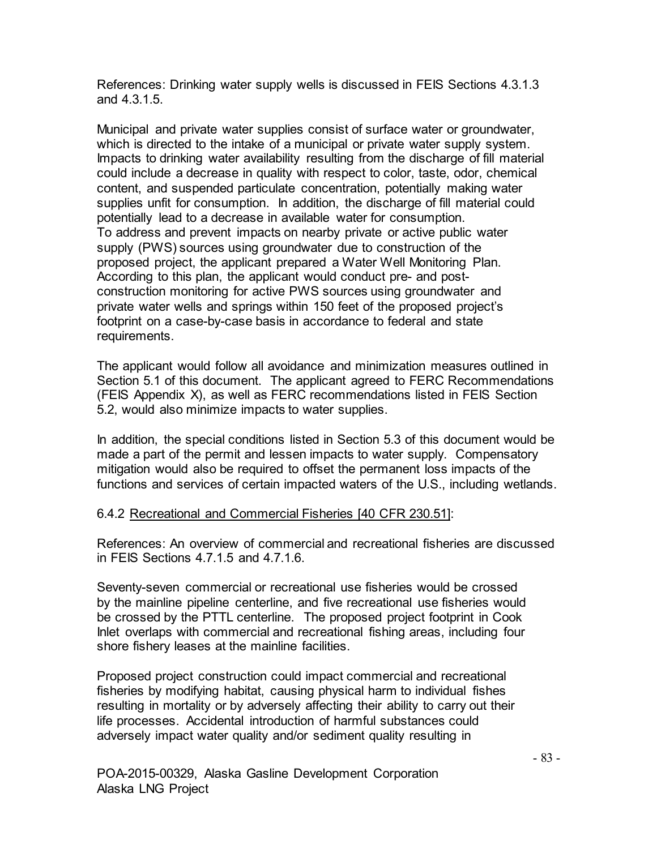References: Drinking water supply wells is discussed in FEIS Sections 4.3.1.3 and 4.3.1.5.

Municipal and private water supplies consist of surface water or groundwater, which is directed to the intake of a municipal or private water supply system. Impacts to drinking water availability resulting from the discharge of fill material could include a decrease in quality with respect to color, taste, odor, chemical content, and suspended particulate concentration, potentially making water supplies unfit for consumption. In addition, the discharge of fill material could potentially lead to a decrease in available water for consumption. To address and prevent impacts on nearby private or active public water supply (PWS) sources using groundwater due to construction of the proposed project, the applicant prepared a Water Well Monitoring Plan. According to this plan, the applicant would conduct pre- and postconstruction monitoring for active PWS sources using groundwater and private water wells and springs within 150 feet of the proposed project's footprint on a case-by-case basis in accordance to federal and state requirements.

The applicant would follow all avoidance and minimization measures outlined in Section 5.1 of this document. The applicant agreed to FERC Recommendations (FEIS Appendix X), as well as FERC recommendations listed in FEIS Section 5.2, would also minimize impacts to water supplies.

In addition, the special conditions listed in Section 5.3 of this document would be made a part of the permit and lessen impacts to water supply. Compensatory mitigation would also be required to offset the permanent loss impacts of the functions and services of certain impacted waters of the U.S., including wetlands.

#### 6.4.2 Recreational and Commercial Fisheries [40 CFR 230.51]:

References: An overview of commercial and recreational fisheries are discussed in FEIS Sections 4.7.1.5 and 4.7.1.6.

Seventy-seven commercial or recreational use fisheries would be crossed by the mainline pipeline centerline, and five recreational use fisheries would be crossed by the PTTL centerline. The proposed project footprint in Cook Inlet overlaps with commercial and recreational fishing areas, including four shore fishery leases at the mainline facilities.

Proposed project construction could impact commercial and recreational fisheries by modifying habitat, causing physical harm to individual fishes resulting in mortality or by adversely affecting their ability to carry out their life processes. Accidental introduction of harmful substances could adversely impact water quality and/or sediment quality resulting in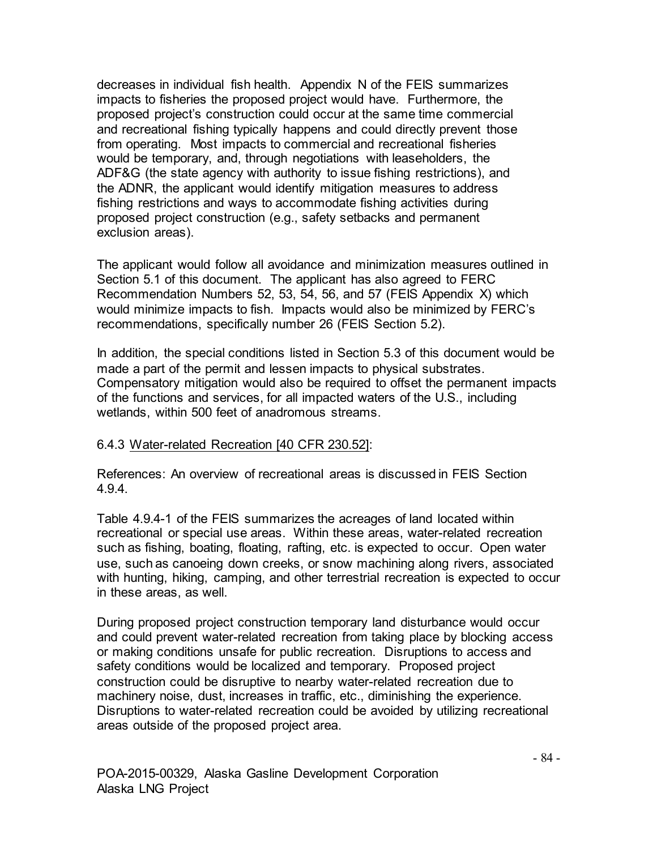decreases in individual fish health. Appendix N of the FEIS summarizes impacts to fisheries the proposed project would have. Furthermore, the proposed project's construction could occur at the same time commercial and recreational fishing typically happens and could directly prevent those from operating. Most impacts to commercial and recreational fisheries would be temporary, and, through negotiations with leaseholders, the ADF&G (the state agency with authority to issue fishing restrictions), and the ADNR, the applicant would identify mitigation measures to address fishing restrictions and ways to accommodate fishing activities during proposed project construction (e.g., safety setbacks and permanent exclusion areas).

The applicant would follow all avoidance and minimization measures outlined in Section 5.1 of this document. The applicant has also agreed to FERC Recommendation Numbers 52, 53, 54, 56, and 57 (FEIS Appendix X) which would minimize impacts to fish. Impacts would also be minimized by FERC's recommendations, specifically number 26 (FEIS Section 5.2).

In addition, the special conditions listed in Section 5.3 of this document would be made a part of the permit and lessen impacts to physical substrates. Compensatory mitigation would also be required to offset the permanent impacts of the functions and services, for all impacted waters of the U.S., including wetlands, within 500 feet of anadromous streams.

#### 6.4.3 Water-related Recreation [40 CFR 230.52]:

References: An overview of recreational areas is discussed in FEIS Section 4.9.4.

Table 4.9.4-1 of the FEIS summarizes the acreages of land located within recreational or special use areas. Within these areas, water-related recreation such as fishing, boating, floating, rafting, etc. is expected to occur. Open water use, such as canoeing down creeks, or snow machining along rivers, associated with hunting, hiking, camping, and other terrestrial recreation is expected to occur in these areas, as well.

During proposed project construction temporary land disturbance would occur and could prevent water-related recreation from taking place by blocking access or making conditions unsafe for public recreation. Disruptions to access and safety conditions would be localized and temporary. Proposed project construction could be disruptive to nearby water-related recreation due to machinery noise, dust, increases in traffic, etc., diminishing the experience. Disruptions to water-related recreation could be avoided by utilizing recreational areas outside of the proposed project area.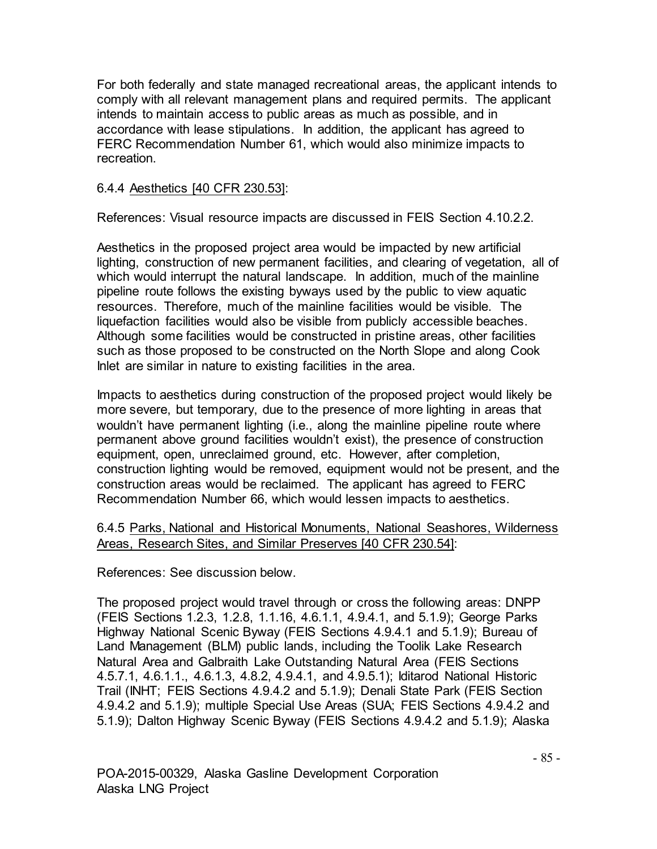For both federally and state managed recreational areas, the applicant intends to comply with all relevant management plans and required permits. The applicant intends to maintain access to public areas as much as possible, and in accordance with lease stipulations. In addition, the applicant has agreed to FERC Recommendation Number 61, which would also minimize impacts to recreation.

## 6.4.4 Aesthetics [40 CFR 230.53]:

References: Visual resource impacts are discussed in FEIS Section 4.10.2.2.

Aesthetics in the proposed project area would be impacted by new artificial lighting, construction of new permanent facilities, and clearing of vegetation, all of which would interrupt the natural landscape. In addition, much of the mainline pipeline route follows the existing byways used by the public to view aquatic resources. Therefore, much of the mainline facilities would be visible. The liquefaction facilities would also be visible from publicly accessible beaches. Although some facilities would be constructed in pristine areas, other facilities such as those proposed to be constructed on the North Slope and along Cook Inlet are similar in nature to existing facilities in the area.

Impacts to aesthetics during construction of the proposed project would likely be more severe, but temporary, due to the presence of more lighting in areas that wouldn't have permanent lighting (i.e., along the mainline pipeline route where permanent above ground facilities wouldn't exist), the presence of construction equipment, open, unreclaimed ground, etc. However, after completion, construction lighting would be removed, equipment would not be present, and the construction areas would be reclaimed. The applicant has agreed to FERC Recommendation Number 66, which would lessen impacts to aesthetics.

### 6.4.5 Parks, National and Historical Monuments, National Seashores, Wilderness Areas, Research Sites, and Similar Preserves [40 CFR 230.54]:

References: See discussion below.

The proposed project would travel through or cross the following areas: DNPP (FEIS Sections 1.2.3, 1.2.8, 1.1.16, 4.6.1.1, 4.9.4.1, and 5.1.9); George Parks Highway National Scenic Byway (FEIS Sections 4.9.4.1 and 5.1.9); Bureau of Land Management (BLM) public lands, including the Toolik Lake Research Natural Area and Galbraith Lake Outstanding Natural Area (FEIS Sections 4.5.7.1, 4.6.1.1., 4.6.1.3, 4.8.2, 4.9.4.1, and 4.9.5.1); Iditarod National Historic Trail (INHT; FEIS Sections 4.9.4.2 and 5.1.9); Denali State Park (FEIS Section 4.9.4.2 and 5.1.9); multiple Special Use Areas (SUA; FEIS Sections 4.9.4.2 and 5.1.9); Dalton Highway Scenic Byway (FEIS Sections 4.9.4.2 and 5.1.9); Alaska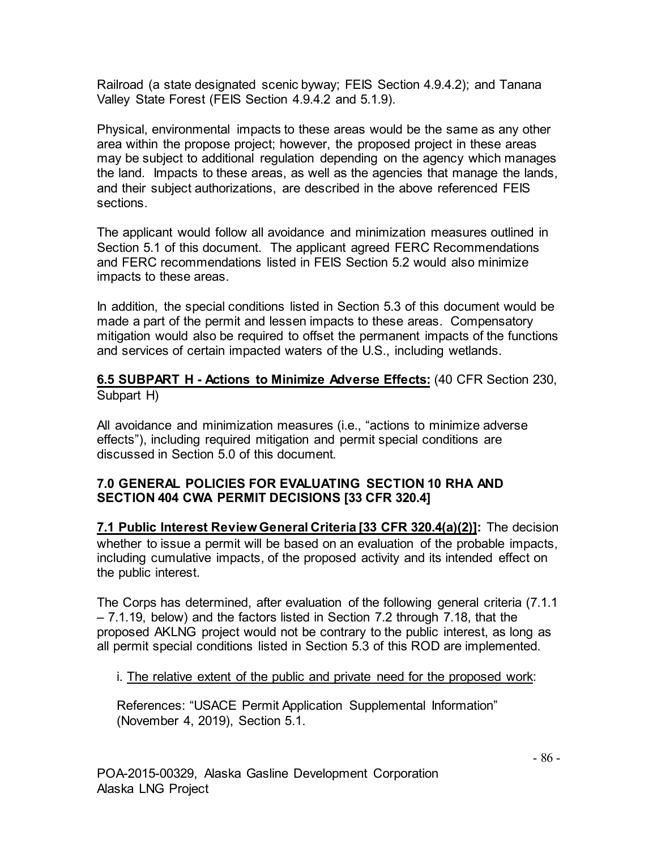Railroad (a state designated scenic byway; FEIS Section 4.9.4.2); and Tanana Valley State Forest (FEIS Section 4.9.4.2 and 5.1.9).

Physical, environmental impacts to these areas would be the same as any other area within the propose project; however, the proposed project in these areas may be subject to additional regulation depending on the agency which manages the land. Impacts to these areas, as well as the agencies that manage the lands, and their subject authorizations, are described in the above referenced FEIS sections.

The applicant would follow all avoidance and minimization measures outlined in Section 5.1 of this document. The applicant agreed FERC Recommendations and FERC recommendations listed in FEIS Section 5.2 would also minimize impacts to these areas.

In addition, the special conditions listed in Section 5.3 of this document would be made a part of the permit and lessen impacts to these areas. Compensatory mitigation would also be required to offset the permanent impacts of the functions and services of certain impacted waters of the U.S., including wetlands.

### **6.5 SUBPART H - Actions to Minimize Adverse Effects:** (40 CFR Section 230, Subpart H)

All avoidance and minimization measures (i.e., "actions to minimize adverse effects"), including required mitigation and permit special conditions are discussed in Section 5.0 of this document*.*

# **7.0 GENERAL POLICIES FOR EVALUATING SECTION 10 RHA AND SECTION 404 CWA PERMIT DECISIONS [33 CFR 320.4]**

**7.1 Public Interest ReviewGeneral Criteria [33 CFR 320.4(a)(2)]:** The decision whether to issue a permit will be based on an evaluation of the probable impacts, including cumulative impacts, of the proposed activity and its intended effect on the public interest.

The Corps has determined, after evaluation of the following general criteria (7.1.1 – 7.1.19, below) and the factors listed in Section 7.2 through 7.18, that the proposed AKLNG project would not be contrary to the public interest, as long as all permit special conditions listed in Section 5.3 of this ROD are implemented.

# i. The relative extent of the public and private need for the proposed work:

References: "USACE Permit Application Supplemental Information" (November 4, 2019), Section 5.1.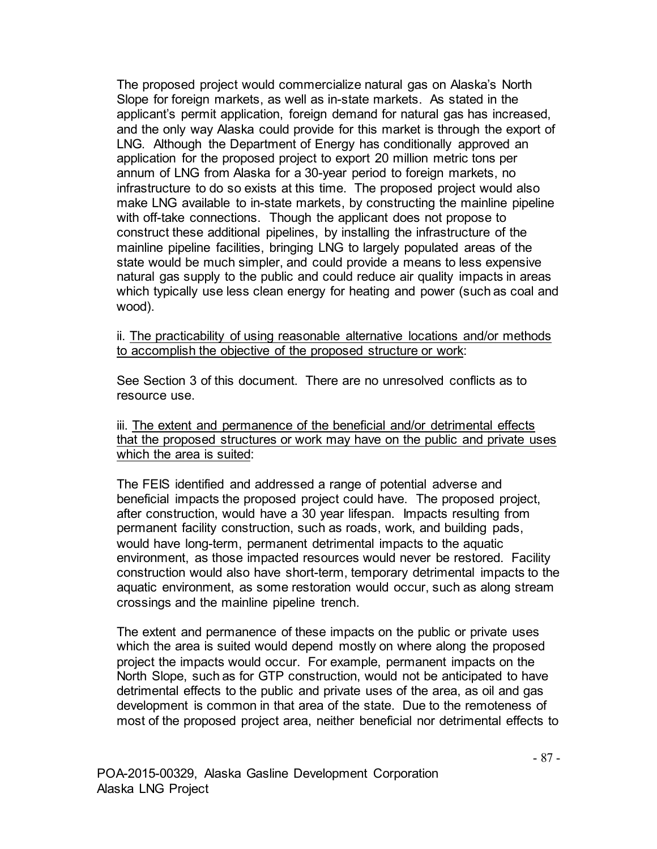The proposed project would commercialize natural gas on Alaska's North Slope for foreign markets, as well as in-state markets. As stated in the applicant's permit application, foreign demand for natural gas has increased, and the only way Alaska could provide for this market is through the export of LNG. Although the Department of Energy has conditionally approved an application for the proposed project to export 20 million metric tons per annum of LNG from Alaska for a 30-year period to foreign markets, no infrastructure to do so exists at this time. The proposed project would also make LNG available to in-state markets, by constructing the mainline pipeline with off-take connections. Though the applicant does not propose to construct these additional pipelines, by installing the infrastructure of the mainline pipeline facilities, bringing LNG to largely populated areas of the state would be much simpler, and could provide a means to less expensive natural gas supply to the public and could reduce air quality impacts in areas which typically use less clean energy for heating and power (such as coal and wood).

ii. The practicability of using reasonable alternative locations and/or methods to accomplish the objective of the proposed structure or work:

See Section 3 of this document. There are no unresolved conflicts as to resource use.

iii. The extent and permanence of the beneficial and/or detrimental effects that the proposed structures or work may have on the public and private uses which the area is suited:

The FEIS identified and addressed a range of potential adverse and beneficial impacts the proposed project could have. The proposed project, after construction, would have a 30 year lifespan. Impacts resulting from permanent facility construction, such as roads, work, and building pads, would have long-term, permanent detrimental impacts to the aquatic environment, as those impacted resources would never be restored. Facility construction would also have short-term, temporary detrimental impacts to the aquatic environment, as some restoration would occur, such as along stream crossings and the mainline pipeline trench.

The extent and permanence of these impacts on the public or private uses which the area is suited would depend mostly on where along the proposed project the impacts would occur. For example, permanent impacts on the North Slope, such as for GTP construction, would not be anticipated to have detrimental effects to the public and private uses of the area, as oil and gas development is common in that area of the state. Due to the remoteness of most of the proposed project area, neither beneficial nor detrimental effects to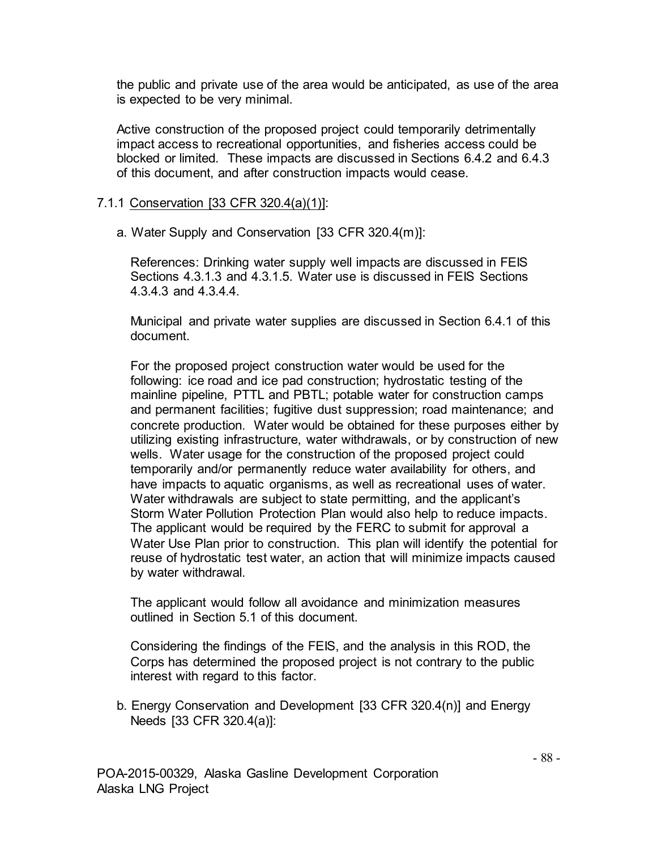the public and private use of the area would be anticipated, as use of the area is expected to be very minimal.

Active construction of the proposed project could temporarily detrimentally impact access to recreational opportunities, and fisheries access could be blocked or limited. These impacts are discussed in Sections 6.4.2 and 6.4.3 of this document, and after construction impacts would cease.

### 7.1.1 Conservation [33 CFR 320.4(a)(1)]:

a. Water Supply and Conservation [33 CFR 320.4(m)]:

References: Drinking water supply well impacts are discussed in FEIS Sections 4.3.1.3 and 4.3.1.5. Water use is discussed in FEIS Sections 4.3.4.3 and 4.3.4.4.

Municipal and private water supplies are discussed in Section 6.4.1 of this document.

For the proposed project construction water would be used for the following: ice road and ice pad construction; hydrostatic testing of the mainline pipeline, PTTL and PBTL; potable water for construction camps and permanent facilities; fugitive dust suppression; road maintenance; and concrete production. Water would be obtained for these purposes either by utilizing existing infrastructure, water withdrawals, or by construction of new wells. Water usage for the construction of the proposed project could temporarily and/or permanently reduce water availability for others, and have impacts to aquatic organisms, as well as recreational uses of water. Water withdrawals are subject to state permitting, and the applicant's Storm Water Pollution Protection Plan would also help to reduce impacts. The applicant would be required by the FERC to submit for approval a Water Use Plan prior to construction. This plan will identify the potential for reuse of hydrostatic test water, an action that will minimize impacts caused by water withdrawal.

The applicant would follow all avoidance and minimization measures outlined in Section 5.1 of this document.

Considering the findings of the FEIS, and the analysis in this ROD, the Corps has determined the proposed project is not contrary to the public interest with regard to this factor.

b. Energy Conservation and Development [33 CFR 320.4(n)] and Energy Needs [33 CFR 320.4(a)]: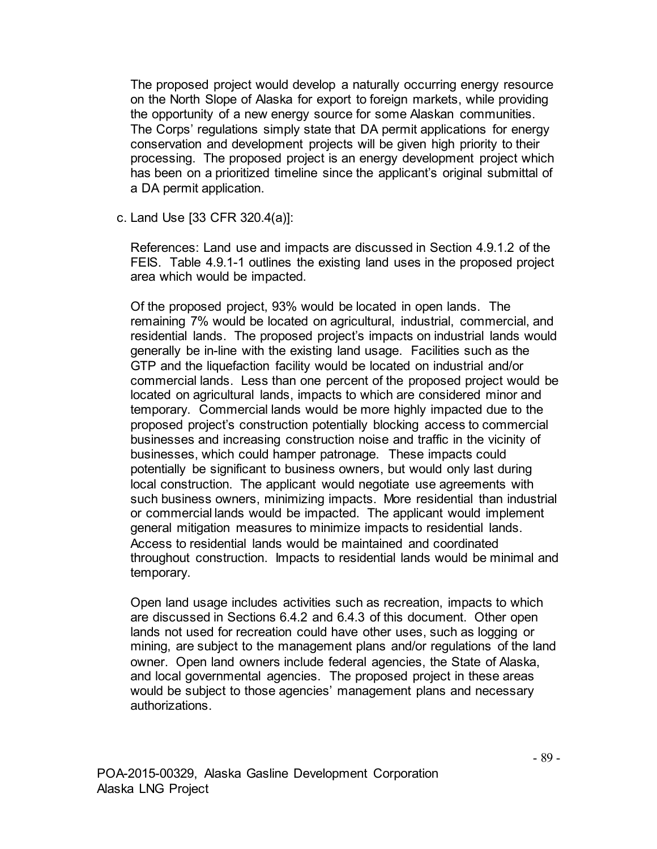The proposed project would develop a naturally occurring energy resource on the North Slope of Alaska for export to foreign markets, while providing the opportunity of a new energy source for some Alaskan communities. The Corps' regulations simply state that DA permit applications for energy conservation and development projects will be given high priority to their processing. The proposed project is an energy development project which has been on a prioritized timeline since the applicant's original submittal of a DA permit application.

c. Land Use [33 CFR 320.4(a)]:

References: Land use and impacts are discussed in Section 4.9.1.2 of the FEIS. Table 4.9.1-1 outlines the existing land uses in the proposed project area which would be impacted.

Of the proposed project, 93% would be located in open lands. The remaining 7% would be located on agricultural, industrial, commercial, and residential lands. The proposed project's impacts on industrial lands would generally be in-line with the existing land usage. Facilities such as the GTP and the liquefaction facility would be located on industrial and/or commercial lands. Less than one percent of the proposed project would be located on agricultural lands, impacts to which are considered minor and temporary. Commercial lands would be more highly impacted due to the proposed project's construction potentially blocking access to commercial businesses and increasing construction noise and traffic in the vicinity of businesses, which could hamper patronage. These impacts could potentially be significant to business owners, but would only last during local construction. The applicant would negotiate use agreements with such business owners, minimizing impacts. More residential than industrial or commercial lands would be impacted. The applicant would implement general mitigation measures to minimize impacts to residential lands. Access to residential lands would be maintained and coordinated throughout construction. Impacts to residential lands would be minimal and temporary.

Open land usage includes activities such as recreation, impacts to which are discussed in Sections 6.4.2 and 6.4.3 of this document. Other open lands not used for recreation could have other uses, such as logging or mining, are subject to the management plans and/or regulations of the land owner. Open land owners include federal agencies, the State of Alaska, and local governmental agencies. The proposed project in these areas would be subject to those agencies' management plans and necessary authorizations.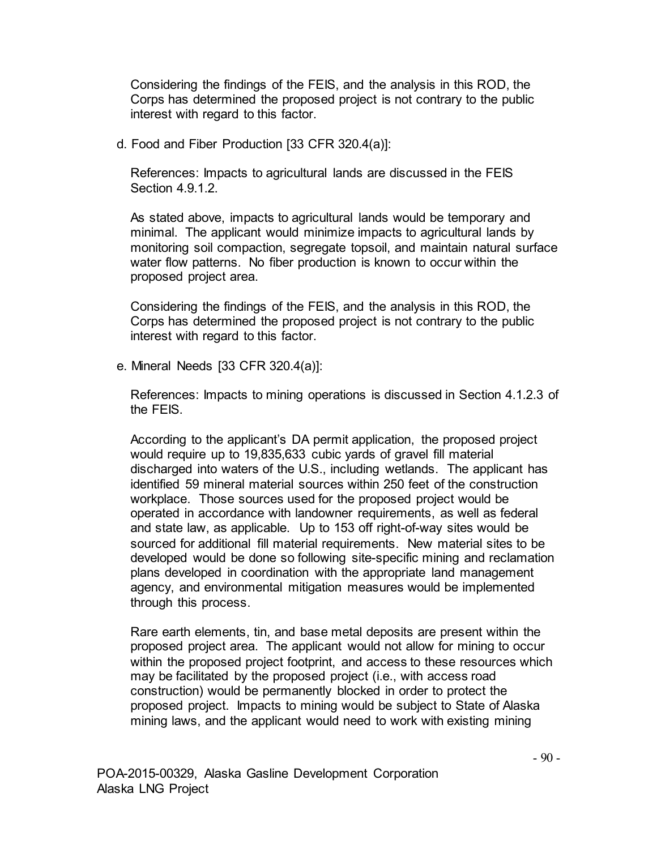Considering the findings of the FEIS, and the analysis in this ROD, the Corps has determined the proposed project is not contrary to the public interest with regard to this factor.

d. Food and Fiber Production [33 CFR 320.4(a)]:

References: Impacts to agricultural lands are discussed in the FEIS Section 4.9.1.2.

As stated above, impacts to agricultural lands would be temporary and minimal. The applicant would minimize impacts to agricultural lands by monitoring soil compaction, segregate topsoil, and maintain natural surface water flow patterns. No fiber production is known to occur within the proposed project area.

Considering the findings of the FEIS, and the analysis in this ROD, the Corps has determined the proposed project is not contrary to the public interest with regard to this factor.

e. Mineral Needs [33 CFR 320.4(a)]:

References: Impacts to mining operations is discussed in Section 4.1.2.3 of the FEIS.

According to the applicant's DA permit application, the proposed project would require up to 19,835,633 cubic yards of gravel fill material discharged into waters of the U.S., including wetlands. The applicant has identified 59 mineral material sources within 250 feet of the construction workplace. Those sources used for the proposed project would be operated in accordance with landowner requirements, as well as federal and state law, as applicable. Up to 153 off right-of-way sites would be sourced for additional fill material requirements. New material sites to be developed would be done so following site-specific mining and reclamation plans developed in coordination with the appropriate land management agency, and environmental mitigation measures would be implemented through this process.

Rare earth elements, tin, and base metal deposits are present within the proposed project area. The applicant would not allow for mining to occur within the proposed project footprint, and access to these resources which may be facilitated by the proposed project (i.e., with access road construction) would be permanently blocked in order to protect the proposed project. Impacts to mining would be subject to State of Alaska mining laws, and the applicant would need to work with existing mining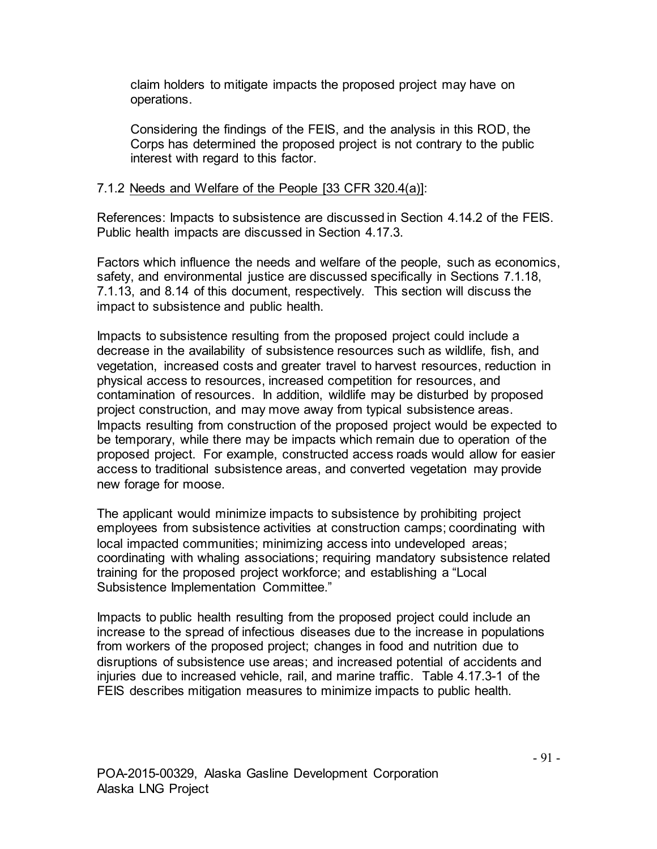claim holders to mitigate impacts the proposed project may have on operations.

Considering the findings of the FEIS, and the analysis in this ROD, the Corps has determined the proposed project is not contrary to the public interest with regard to this factor.

# 7.1.2 Needs and Welfare of the People [33 CFR 320.4(a)]:

References: Impacts to subsistence are discussed in Section 4.14.2 of the FEIS. Public health impacts are discussed in Section 4.17.3.

Factors which influence the needs and welfare of the people, such as economics, safety, and environmental justice are discussed specifically in Sections 7.1.18, 7.1.13, and 8.14 of this document, respectively. This section will discuss the impact to subsistence and public health.

Impacts to subsistence resulting from the proposed project could include a decrease in the availability of subsistence resources such as wildlife, fish, and vegetation, increased costs and greater travel to harvest resources, reduction in physical access to resources, increased competition for resources, and contamination of resources. In addition, wildlife may be disturbed by proposed project construction, and may move away from typical subsistence areas. Impacts resulting from construction of the proposed project would be expected to be temporary, while there may be impacts which remain due to operation of the proposed project. For example, constructed access roads would allow for easier access to traditional subsistence areas, and converted vegetation may provide new forage for moose.

The applicant would minimize impacts to subsistence by prohibiting project employees from subsistence activities at construction camps; coordinating with local impacted communities; minimizing access into undeveloped areas; coordinating with whaling associations; requiring mandatory subsistence related training for the proposed project workforce; and establishing a "Local Subsistence Implementation Committee."

Impacts to public health resulting from the proposed project could include an increase to the spread of infectious diseases due to the increase in populations from workers of the proposed project; changes in food and nutrition due to disruptions of subsistence use areas; and increased potential of accidents and injuries due to increased vehicle, rail, and marine traffic. Table 4.17.3-1 of the FEIS describes mitigation measures to minimize impacts to public health.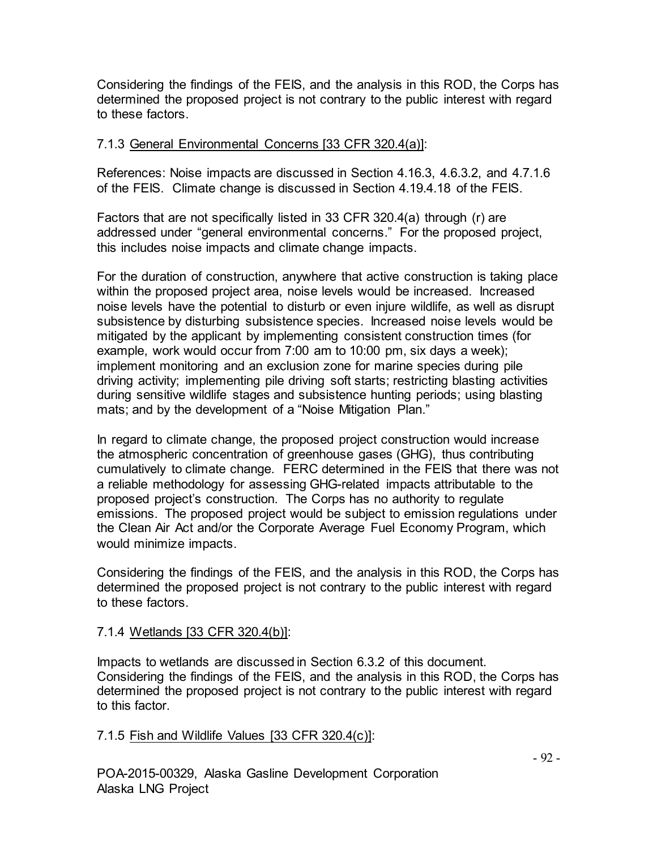Considering the findings of the FEIS, and the analysis in this ROD, the Corps has determined the proposed project is not contrary to the public interest with regard to these factors.

### 7.1.3 General Environmental Concerns [33 CFR 320.4(a)]:

References: Noise impacts are discussed in Section 4.16.3, 4.6.3.2, and 4.7.1.6 of the FEIS. Climate change is discussed in Section 4.19.4.18 of the FEIS.

Factors that are not specifically listed in 33 CFR 320.4(a) through (r) are addressed under "general environmental concerns." For the proposed project, this includes noise impacts and climate change impacts.

For the duration of construction, anywhere that active construction is taking place within the proposed project area, noise levels would be increased. Increased noise levels have the potential to disturb or even injure wildlife, as well as disrupt subsistence by disturbing subsistence species. Increased noise levels would be mitigated by the applicant by implementing consistent construction times (for example, work would occur from 7:00 am to 10:00 pm, six days a week); implement monitoring and an exclusion zone for marine species during pile driving activity; implementing pile driving soft starts; restricting blasting activities during sensitive wildlife stages and subsistence hunting periods; using blasting mats; and by the development of a "Noise Mitigation Plan."

In regard to climate change, the proposed project construction would increase the atmospheric concentration of greenhouse gases (GHG), thus contributing cumulatively to climate change. FERC determined in the FEIS that there was not a reliable methodology for assessing GHG-related impacts attributable to the proposed project's construction. The Corps has no authority to regulate emissions. The proposed project would be subject to emission regulations under the Clean Air Act and/or the Corporate Average Fuel Economy Program, which would minimize impacts.

Considering the findings of the FEIS, and the analysis in this ROD, the Corps has determined the proposed project is not contrary to the public interest with regard to these factors.

#### 7.1.4 Wetlands [33 CFR 320.4(b)]:

Impacts to wetlands are discussed in Section 6.3.2 of this document. Considering the findings of the FEIS, and the analysis in this ROD, the Corps has determined the proposed project is not contrary to the public interest with regard to this factor.

# 7.1.5 Fish and Wildlife Values [33 CFR 320.4(c)]: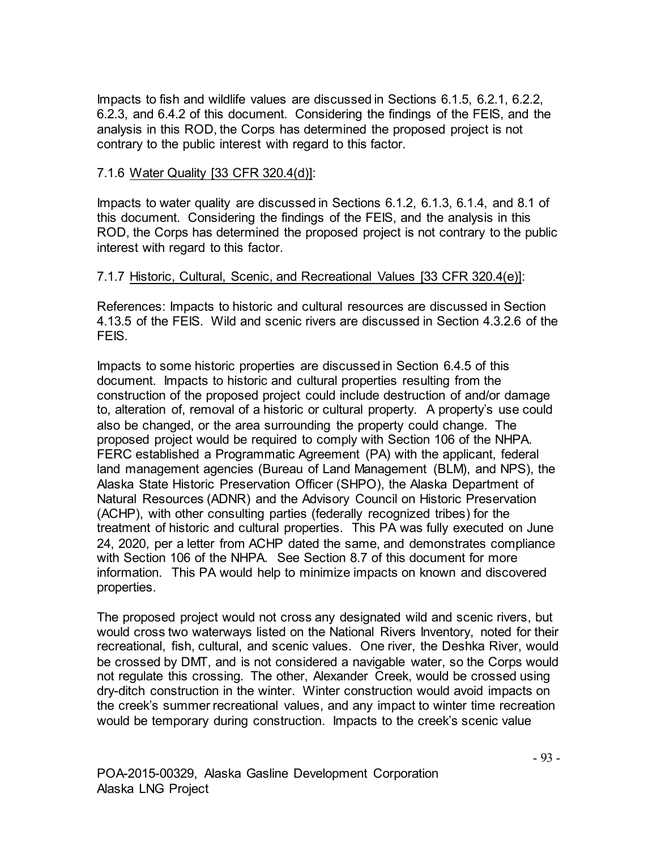Impacts to fish and wildlife values are discussed in Sections 6.1.5, 6.2.1, 6.2.2, 6.2.3, and 6.4.2 of this document. Considering the findings of the FEIS, and the analysis in this ROD, the Corps has determined the proposed project is not contrary to the public interest with regard to this factor.

### 7.1.6 Water Quality [33 CFR 320.4(d)]:

Impacts to water quality are discussed in Sections 6.1.2, 6.1.3, 6.1.4, and 8.1 of this document. Considering the findings of the FEIS, and the analysis in this ROD, the Corps has determined the proposed project is not contrary to the public interest with regard to this factor.

### 7.1.7 Historic, Cultural, Scenic, and Recreational Values [33 CFR 320.4(e)]:

References: Impacts to historic and cultural resources are discussed in Section 4.13.5 of the FEIS. Wild and scenic rivers are discussed in Section 4.3.2.6 of the **FFIS** 

Impacts to some historic properties are discussed in Section 6.4.5 of this document. Impacts to historic and cultural properties resulting from the construction of the proposed project could include destruction of and/or damage to, alteration of, removal of a historic or cultural property. A property's use could also be changed, or the area surrounding the property could change. The proposed project would be required to comply with Section 106 of the NHPA. FERC established a Programmatic Agreement (PA) with the applicant, federal land management agencies (Bureau of Land Management (BLM), and NPS), the Alaska State Historic Preservation Officer (SHPO), the Alaska Department of Natural Resources (ADNR) and the Advisory Council on Historic Preservation (ACHP), with other consulting parties (federally recognized tribes) for the treatment of historic and cultural properties. This PA was fully executed on June 24, 2020, per a letter from ACHP dated the same, and demonstrates compliance with Section 106 of the NHPA. See Section 8.7 of this document for more information. This PA would help to minimize impacts on known and discovered properties.

The proposed project would not cross any designated wild and scenic rivers, but would cross two waterways listed on the National Rivers Inventory, noted for their recreational, fish, cultural, and scenic values. One river, the Deshka River, would be crossed by DMT, and is not considered a navigable water, so the Corps would not regulate this crossing. The other, Alexander Creek, would be crossed using dry-ditch construction in the winter. Winter construction would avoid impacts on the creek's summer recreational values, and any impact to winter time recreation would be temporary during construction. Impacts to the creek's scenic value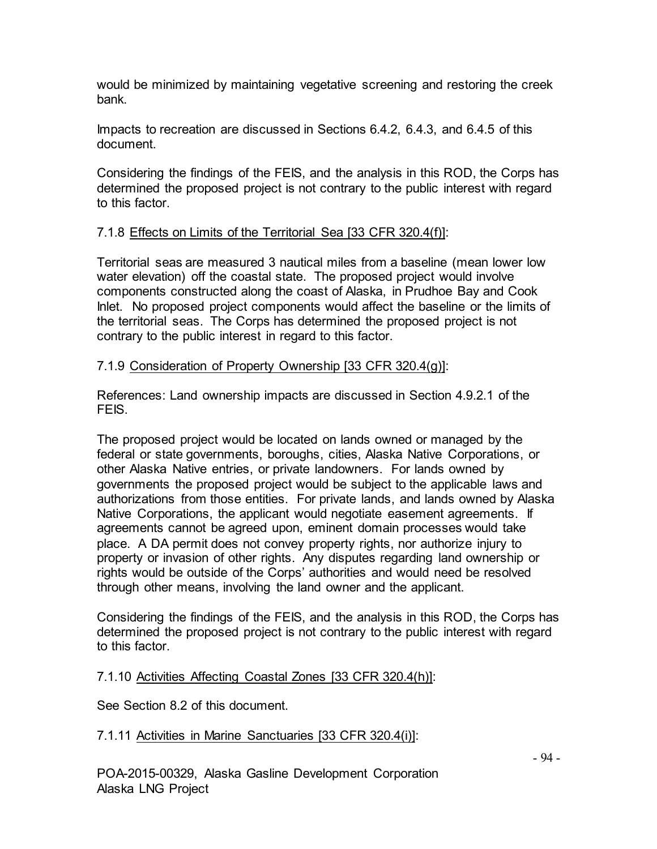would be minimized by maintaining vegetative screening and restoring the creek bank.

Impacts to recreation are discussed in Sections 6.4.2, 6.4.3, and 6.4.5 of this document.

Considering the findings of the FEIS, and the analysis in this ROD, the Corps has determined the proposed project is not contrary to the public interest with regard to this factor.

# 7.1.8 Effects on Limits of the Territorial Sea [33 CFR 320.4(f)]:

Territorial seas are measured 3 nautical miles from a baseline (mean lower low water elevation) off the coastal state. The proposed project would involve components constructed along the coast of Alaska, in Prudhoe Bay and Cook Inlet. No proposed project components would affect the baseline or the limits of the territorial seas. The Corps has determined the proposed project is not contrary to the public interest in regard to this factor.

### 7.1.9 Consideration of Property Ownership [33 CFR 320.4(g)]:

References: Land ownership impacts are discussed in Section 4.9.2.1 of the FEIS.

The proposed project would be located on lands owned or managed by the federal or state governments, boroughs, cities, Alaska Native Corporations, or other Alaska Native entries, or private landowners. For lands owned by governments the proposed project would be subject to the applicable laws and authorizations from those entities. For private lands, and lands owned by Alaska Native Corporations, the applicant would negotiate easement agreements. If agreements cannot be agreed upon, eminent domain processes would take place. A DA permit does not convey property rights, nor authorize injury to property or invasion of other rights. Any disputes regarding land ownership or rights would be outside of the Corps' authorities and would need be resolved through other means, involving the land owner and the applicant.

Considering the findings of the FEIS, and the analysis in this ROD, the Corps has determined the proposed project is not contrary to the public interest with regard to this factor.

#### 7.1.10 Activities Affecting Coastal Zones [33 CFR 320.4(h)]:

See Section 8.2 of this document.

7.1.11 Activities in Marine Sanctuaries [33 CFR 320.4(i)]: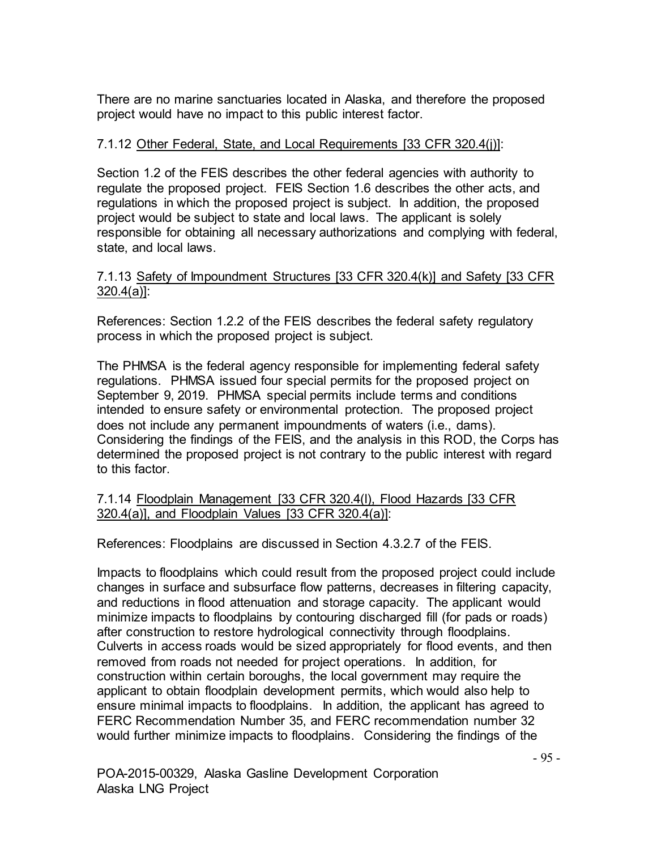There are no marine sanctuaries located in Alaska, and therefore the proposed project would have no impact to this public interest factor.

### 7.1.12 Other Federal, State, and Local Requirements [33 CFR 320.4(j)]:

Section 1.2 of the FEIS describes the other federal agencies with authority to regulate the proposed project. FEIS Section 1.6 describes the other acts, and regulations in which the proposed project is subject. In addition, the proposed project would be subject to state and local laws. The applicant is solely responsible for obtaining all necessary authorizations and complying with federal, state, and local laws.

### 7.1.13 Safety of Impoundment Structures [33 CFR 320.4(k)] and Safety [33 CFR 320.4(a)]:

References: Section 1.2.2 of the FEIS describes the federal safety regulatory process in which the proposed project is subject.

The PHMSA is the federal agency responsible for implementing federal safety regulations. PHMSA issued four special permits for the proposed project on September 9, 2019. PHMSA special permits include terms and conditions intended to ensure safety or environmental protection. The proposed project does not include any permanent impoundments of waters (i.e., dams). Considering the findings of the FEIS, and the analysis in this ROD, the Corps has determined the proposed project is not contrary to the public interest with regard to this factor.

#### 7.1.14 Floodplain Management [33 CFR 320.4(l), Flood Hazards [33 CFR 320.4(a)], and Floodplain Values [33 CFR 320.4(a)]:

References: Floodplains are discussed in Section 4.3.2.7 of the FEIS.

Impacts to floodplains which could result from the proposed project could include changes in surface and subsurface flow patterns, decreases in filtering capacity, and reductions in flood attenuation and storage capacity. The applicant would minimize impacts to floodplains by contouring discharged fill (for pads or roads) after construction to restore hydrological connectivity through floodplains. Culverts in access roads would be sized appropriately for flood events, and then removed from roads not needed for project operations. In addition, for construction within certain boroughs, the local government may require the applicant to obtain floodplain development permits, which would also help to ensure minimal impacts to floodplains. In addition, the applicant has agreed to FERC Recommendation Number 35, and FERC recommendation number 32 would further minimize impacts to floodplains. Considering the findings of the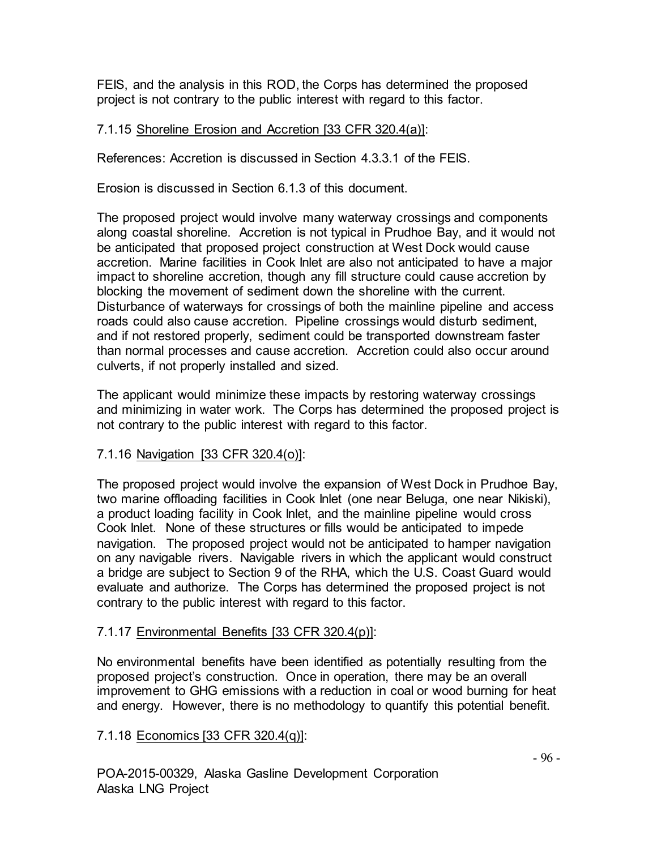FEIS, and the analysis in this ROD, the Corps has determined the proposed project is not contrary to the public interest with regard to this factor.

# 7.1.15 Shoreline Erosion and Accretion [33 CFR 320.4(a)]:

References: Accretion is discussed in Section 4.3.3.1 of the FEIS.

Erosion is discussed in Section 6.1.3 of this document.

The proposed project would involve many waterway crossings and components along coastal shoreline. Accretion is not typical in Prudhoe Bay, and it would not be anticipated that proposed project construction at West Dock would cause accretion. Marine facilities in Cook Inlet are also not anticipated to have a major impact to shoreline accretion, though any fill structure could cause accretion by blocking the movement of sediment down the shoreline with the current. Disturbance of waterways for crossings of both the mainline pipeline and access roads could also cause accretion. Pipeline crossings would disturb sediment, and if not restored properly, sediment could be transported downstream faster than normal processes and cause accretion. Accretion could also occur around culverts, if not properly installed and sized.

The applicant would minimize these impacts by restoring waterway crossings and minimizing in water work. The Corps has determined the proposed project is not contrary to the public interest with regard to this factor.

# 7.1.16 Navigation [33 CFR 320.4(o)]:

The proposed project would involve the expansion of West Dock in Prudhoe Bay, two marine offloading facilities in Cook Inlet (one near Beluga, one near Nikiski), a product loading facility in Cook Inlet, and the mainline pipeline would cross Cook Inlet. None of these structures or fills would be anticipated to impede navigation. The proposed project would not be anticipated to hamper navigation on any navigable rivers. Navigable rivers in which the applicant would construct a bridge are subject to Section 9 of the RHA, which the U.S. Coast Guard would evaluate and authorize. The Corps has determined the proposed project is not contrary to the public interest with regard to this factor.

# 7.1.17 Environmental Benefits [33 CFR 320.4(p)]:

No environmental benefits have been identified as potentially resulting from the proposed project's construction. Once in operation, there may be an overall improvement to GHG emissions with a reduction in coal or wood burning for heat and energy. However, there is no methodology to quantify this potential benefit.

# 7.1.18 Economics [33 CFR 320.4(q)]: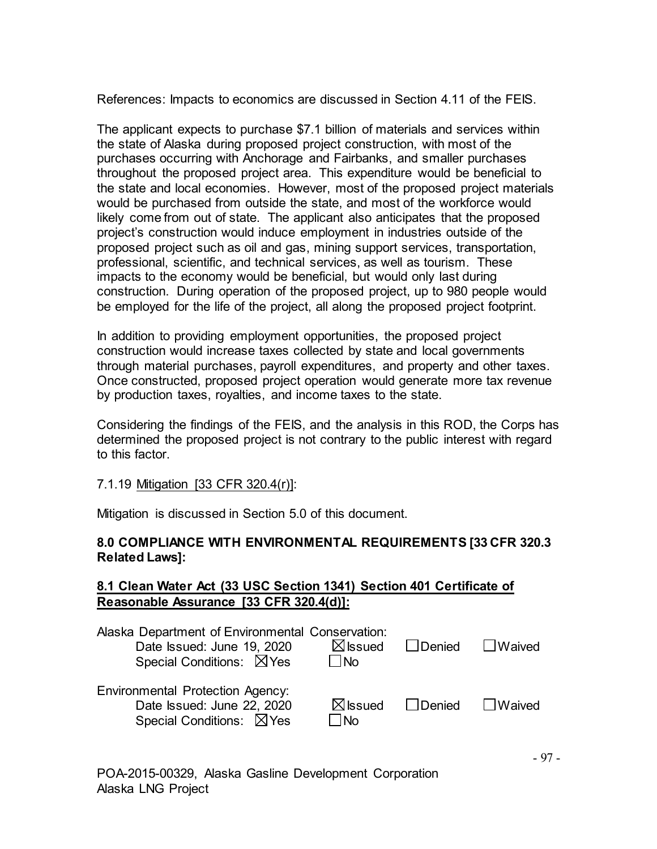References: Impacts to economics are discussed in Section 4.11 of the FEIS.

The applicant expects to purchase \$7.1 billion of materials and services within the state of Alaska during proposed project construction, with most of the purchases occurring with Anchorage and Fairbanks, and smaller purchases throughout the proposed project area. This expenditure would be beneficial to the state and local economies. However, most of the proposed project materials would be purchased from outside the state, and most of the workforce would likely come from out of state. The applicant also anticipates that the proposed project's construction would induce employment in industries outside of the proposed project such as oil and gas, mining support services, transportation, professional, scientific, and technical services, as well as tourism. These impacts to the economy would be beneficial, but would only last during construction. During operation of the proposed project, up to 980 people would be employed for the life of the project, all along the proposed project footprint.

In addition to providing employment opportunities, the proposed project construction would increase taxes collected by state and local governments through material purchases, payroll expenditures, and property and other taxes. Once constructed, proposed project operation would generate more tax revenue by production taxes, royalties, and income taxes to the state.

Considering the findings of the FEIS, and the analysis in this ROD, the Corps has determined the proposed project is not contrary to the public interest with regard to this factor.

# 7.1.19 Mitigation [33 CFR 320.4(r)]:

Mitigation is discussed in Section 5.0 of this document.

#### **8.0 COMPLIANCE WITH ENVIRONMENTAL REQUIREMENTS [33 CFR 320.3 Related Laws]:**

### **8.1 Clean Water Act (33 USC Section 1341) Section 401 Certificate of Reasonable Assurance [33 CFR 320.4(d)]:**

| Alaska Department of Environmental Conservation:<br>Date Issued: June 19, 2020<br>Special Conditions: $\boxtimes$ Yes | $\boxtimes$ Issued<br>l No       | $\Box$ Denied     | Waived |
|-----------------------------------------------------------------------------------------------------------------------|----------------------------------|-------------------|--------|
| <b>Environmental Protection Agency:</b><br>Date Issued: June 22, 2020<br>Special Conditions: ⊠Yes                     | $\boxtimes$ Issued<br><b>INo</b> | □ Denied ■ Waived |        |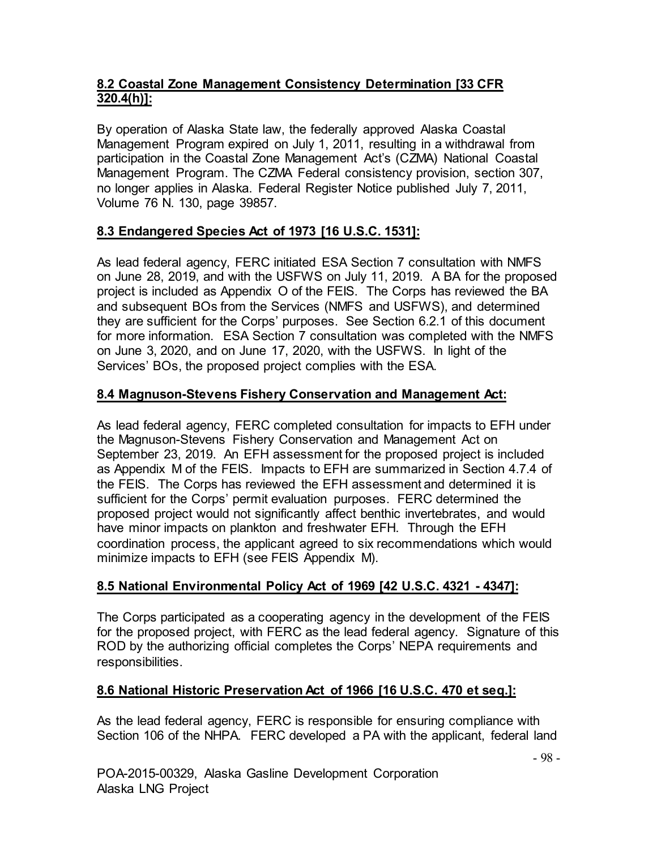# **8.2 Coastal Zone Management Consistency Determination [33 CFR 320.4(h)]:**

By operation of Alaska State law, the federally approved Alaska Coastal Management Program expired on July 1, 2011, resulting in a withdrawal from participation in the Coastal Zone Management Act's (CZMA) National Coastal Management Program. The CZMA Federal consistency provision, section 307, no longer applies in Alaska. Federal Register Notice published July 7, 2011, Volume 76 N. 130, page 39857.

# **8.3 Endangered Species Act of 1973 [16 U.S.C. 1531]:**

As lead federal agency, FERC initiated ESA Section 7 consultation with NMFS on June 28, 2019, and with the USFWS on July 11, 2019. A BA for the proposed project is included as Appendix O of the FEIS. The Corps has reviewed the BA and subsequent BOs from the Services (NMFS and USFWS), and determined they are sufficient for the Corps' purposes. See Section 6.2.1 of this document for more information. ESA Section 7 consultation was completed with the NMFS on June 3, 2020, and on June 17, 2020, with the USFWS. In light of the Services' BOs, the proposed project complies with the ESA.

# **8.4 Magnuson-Stevens Fishery Conservation and Management Act:**

As lead federal agency, FERC completed consultation for impacts to EFH under the Magnuson-Stevens Fishery Conservation and Management Act on September 23, 2019. An EFH assessment for the proposed project is included as Appendix M of the FEIS. Impacts to EFH are summarized in Section 4.7.4 of the FEIS. The Corps has reviewed the EFH assessment and determined it is sufficient for the Corps' permit evaluation purposes. FERC determined the proposed project would not significantly affect benthic invertebrates, and would have minor impacts on plankton and freshwater EFH. Through the EFH coordination process, the applicant agreed to six recommendations which would minimize impacts to EFH (see FEIS Appendix M).

# **8.5 National Environmental Policy Act of 1969 [42 U.S.C. 4321 - 4347]:**

The Corps participated as a cooperating agency in the development of the FEIS for the proposed project, with FERC as the lead federal agency. Signature of this ROD by the authorizing official completes the Corps' NEPA requirements and responsibilities.

# **8.6 National Historic Preservation Act of 1966 [16 U.S.C. 470 et seq.]:**

As the lead federal agency, FERC is responsible for ensuring compliance with Section 106 of the NHPA. FERC developed a PA with the applicant, federal land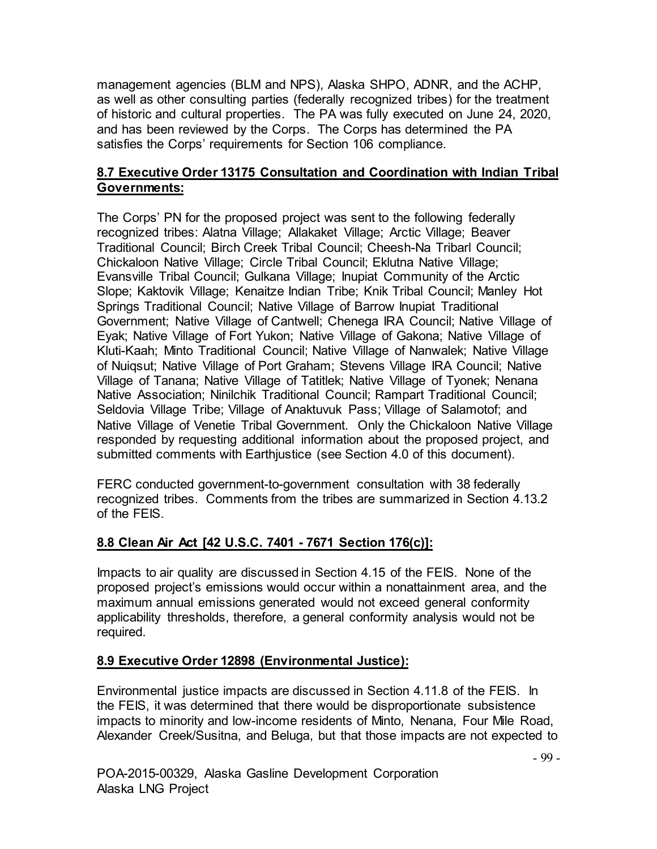management agencies (BLM and NPS), Alaska SHPO, ADNR, and the ACHP, as well as other consulting parties (federally recognized tribes) for the treatment of historic and cultural properties. The PA was fully executed on June 24, 2020, and has been reviewed by the Corps. The Corps has determined the PA satisfies the Corps' requirements for Section 106 compliance.

# **8.7 Executive Order 13175 Consultation and Coordination with Indian Tribal Governments:**

The Corps' PN for the proposed project was sent to the following federally recognized tribes: Alatna Village; Allakaket Village; Arctic Village; Beaver Traditional Council; Birch Creek Tribal Council; Cheesh-Na Tribarl Council; Chickaloon Native Village; Circle Tribal Council; Eklutna Native Village; Evansville Tribal Council; Gulkana Village; Inupiat Community of the Arctic Slope; Kaktovik Village; Kenaitze Indian Tribe; Knik Tribal Council; Manley Hot Springs Traditional Council; Native Village of Barrow Inupiat Traditional Government; Native Village of Cantwell; Chenega IRA Council; Native Village of Eyak; Native Village of Fort Yukon; Native Village of Gakona; Native Village of Kluti-Kaah; Minto Traditional Council; Native Village of Nanwalek; Native Village of Nuiqsut; Native Village of Port Graham; Stevens Village IRA Council; Native Village of Tanana; Native Village of Tatitlek; Native Village of Tyonek; Nenana Native Association; Ninilchik Traditional Council; Rampart Traditional Council; Seldovia Village Tribe; Village of Anaktuvuk Pass; Village of Salamotof; and Native Village of Venetie Tribal Government. Only the Chickaloon Native Village responded by requesting additional information about the proposed project, and submitted comments with Earthjustice (see Section 4.0 of this document).

FERC conducted government-to-government consultation with 38 federally recognized tribes. Comments from the tribes are summarized in Section 4.13.2 of the FEIS.

# **8.8 Clean Air Act [42 U.S.C. 7401 - 7671 Section 176(c)]:**

Impacts to air quality are discussed in Section 4.15 of the FEIS. None of the proposed project's emissions would occur within a nonattainment area, and the maximum annual emissions generated would not exceed general conformity applicability thresholds, therefore, a general conformity analysis would not be required.

# **8.9 Executive Order 12898 (Environmental Justice):**

Environmental justice impacts are discussed in Section 4.11.8 of the FEIS. In the FEIS, it was determined that there would be disproportionate subsistence impacts to minority and low-income residents of Minto, Nenana, Four Mile Road, Alexander Creek/Susitna, and Beluga, but that those impacts are not expected to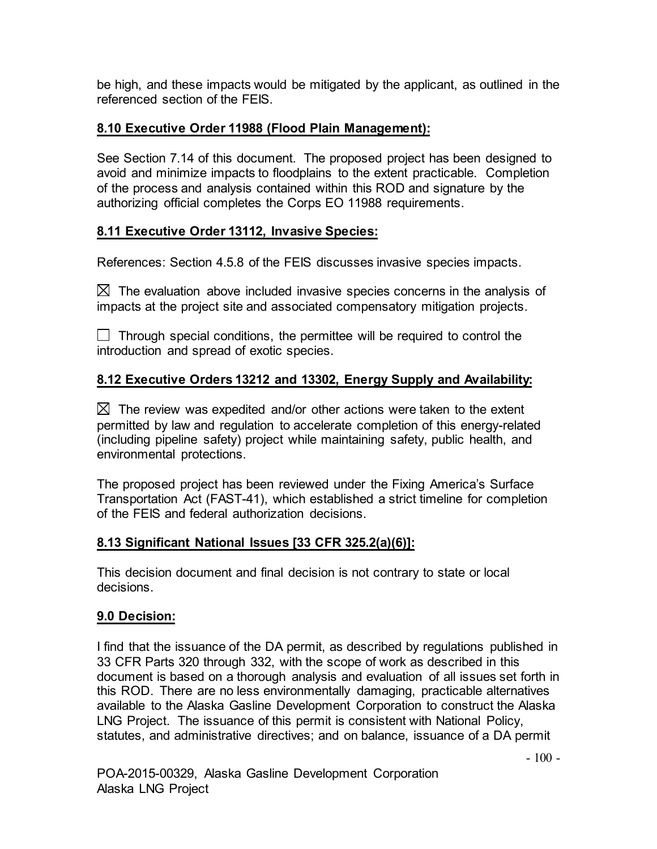be high, and these impacts would be mitigated by the applicant, as outlined in the referenced section of the FEIS.

### **8.10 Executive Order 11988 (Flood Plain Management):**

See Section 7.14 of this document. The proposed project has been designed to avoid and minimize impacts to floodplains to the extent practicable. Completion of the process and analysis contained within this ROD and signature by the authorizing official completes the Corps EO 11988 requirements.

#### **8.11 Executive Order 13112, Invasive Species:**

References: Section 4.5.8 of the FEIS discusses invasive species impacts.

 $\boxtimes$  The evaluation above included invasive species concerns in the analysis of impacts at the project site and associated compensatory mitigation projects.

 $\Box$  Through special conditions, the permittee will be required to control the introduction and spread of exotic species.

# **8.12 Executive Orders 13212 and 13302, Energy Supply and Availability:**

 $\boxtimes$  The review was expedited and/or other actions were taken to the extent permitted by law and regulation to accelerate completion of this energy-related (including pipeline safety) project while maintaining safety, public health, and environmental protections.

The proposed project has been reviewed under the Fixing America's Surface Transportation Act (FAST-41), which established a strict timeline for completion of the FEIS and federal authorization decisions.

#### **8.13 Significant National Issues [33 CFR 325.2(a)(6)]:**

This decision document and final decision is not contrary to state or local decisions.

#### **9.0 Decision:**

I find that the issuance of the DA permit, as described by regulations published in 33 CFR Parts 320 through 332, with the scope of work as described in this document is based on a thorough analysis and evaluation of all issues set forth in this ROD. There are no less environmentally damaging, practicable alternatives available to the Alaska Gasline Development Corporation to construct the Alaska LNG Project. The issuance of this permit is consistent with National Policy, statutes, and administrative directives; and on balance, issuance of a DA permit